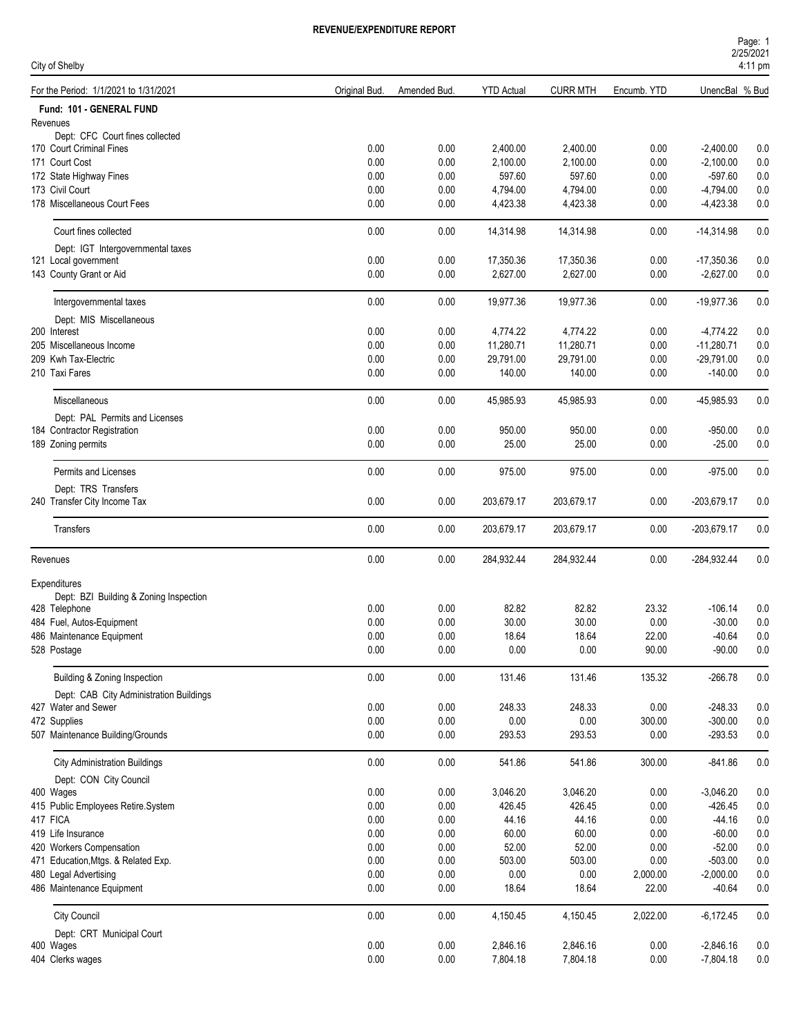| Page: 1           |  |
|-------------------|--|
| 2/25/2021         |  |
| $4.11 \text{ nm}$ |  |

| City of Shelby                                              |               |             |                   |                 |             |                | 4:11 pm |
|-------------------------------------------------------------|---------------|-------------|-------------------|-----------------|-------------|----------------|---------|
| For the Period: 1/1/2021 to 1/31/2021                       | Original Bud. | Amended Bud | <b>YTD Actual</b> | <b>CURR MTH</b> | Encumb. YTD | UnencBal % Bud |         |
| Fund: 101 - GENERAL FUND                                    |               |             |                   |                 |             |                |         |
| Revenues                                                    |               |             |                   |                 |             |                |         |
| Dept: CFC Court fines collected<br>170 Court Criminal Fines | 0.00          | 0.00        | 2,400.00          | 2,400.00        | 0.00        | $-2,400.00$    | 0.0     |
| 171 Court Cost                                              | 0.00          | 0.00        | 2,100.00          | 2,100.00        | 0.00        | $-2,100.00$    | 0.0     |
| 172 State Highway Fines                                     | 0.00          | 0.00        | 597.60            | 597.60          | 0.00        | $-597.60$      | 0.0     |
| 173 Civil Court                                             | 0.00          | 0.00        | 4,794.00          | 4,794.00        | 0.00        | $-4,794.00$    | 0.0     |
| 178 Miscellaneous Court Fees                                | 0.00          | 0.00        | 4,423.38          | 4,423.38        | 0.00        | $-4,423.38$    | 0.0     |
| Court fines collected                                       | 0.00          | 0.00        | 14,314.98         | 14,314.98       | 0.00        | $-14,314.98$   | 0.0     |
| Dept: IGT Intergovernmental taxes                           |               |             |                   |                 |             |                |         |
| 121 Local government                                        | 0.00          | 0.00        | 17,350.36         | 17,350.36       | 0.00        | $-17,350.36$   | 0.0     |
| 143 County Grant or Aid                                     | 0.00          | 0.00        | 2,627.00          | 2,627.00        | 0.00        | $-2,627.00$    | 0.0     |
| Intergovernmental taxes                                     | 0.00          | 0.00        | 19,977.36         | 19,977.36       | 0.00        | $-19,977.36$   | 0.0     |
| Dept: MIS Miscellaneous                                     |               |             |                   |                 |             |                |         |
| 200 Interest                                                | 0.00          | 0.00        | 4,774.22          | 4,774.22        | 0.00        | $-4,774.22$    | 0.0     |
| 205 Miscellaneous Income                                    | 0.00          | 0.00        | 11,280.71         | 11,280.71       | 0.00        | $-11,280.71$   | 0.0     |
| 209 Kwh Tax-Electric                                        | 0.00          | 0.00        | 29,791.00         | 29,791.00       | 0.00        | $-29,791.00$   | 0.0     |
| 210 Taxi Fares                                              | 0.00          | 0.00        | 140.00            | 140.00          | 0.00        | $-140.00$      | 0.0     |
| Miscellaneous                                               | 0.00          | 0.00        | 45,985.93         | 45,985.93       | 0.00        | -45,985.93     | 0.0     |
| Dept: PAL Permits and Licenses                              |               |             |                   |                 |             |                |         |
| 184 Contractor Registration                                 | 0.00          | 0.00        | 950.00            | 950.00          | 0.00        | $-950.00$      | 0.0     |
| 189 Zoning permits                                          | 0.00          | 0.00        | 25.00             | 25.00           | 0.00        | $-25.00$       | 0.0     |
| Permits and Licenses                                        | 0.00          | 0.00        | 975.00            | 975.00          | 0.00        | $-975.00$      | 0.0     |
| Dept: TRS Transfers<br>240 Transfer City Income Tax         | 0.00          | 0.00        | 203,679.17        | 203,679.17      | 0.00        | -203,679.17    | 0.0     |
| Transfers                                                   | 0.00          | 0.00        | 203,679.17        | 203,679.17      | 0.00        | -203,679.17    | 0.0     |
| Revenues                                                    | 0.00          | 0.00        | 284,932.44        | 284,932.44      | 0.00        | -284,932.44    | 0.0     |
| Expenditures                                                |               |             |                   |                 |             |                |         |
| Dept: BZI Building & Zoning Inspection                      |               |             |                   |                 |             |                |         |
| 428 Telephone                                               | 0.00          | 0.00        | 82.82             | 82.82           | 23.32       | $-106.14$      | 0.0     |
| 484 Fuel, Autos-Equipment                                   | 0.00          | 0.00        | 30.00             | 30.00           | 0.00        | $-30.00$       | 0.0     |
| 486 Maintenance Equipment                                   | 0.00          | 0.00        | 18.64             | 18.64           | 22.00       | $-40.64$       | 0.0     |
| 528 Postage                                                 | $0.00\,$      | 0.00        | 0.00              | 0.00            | 90.00       | $-90.00$       | 0.0     |
| Building & Zoning Inspection                                | 0.00          | 0.00        | 131.46            | 131.46          | 135.32      | $-266.78$      | 0.0     |
| Dept: CAB City Administration Buildings                     |               |             |                   |                 |             |                |         |
| 427 Water and Sewer                                         | 0.00          | 0.00        | 248.33            | 248.33          | 0.00        | $-248.33$      | 0.0     |
| 472 Supplies                                                | 0.00          | 0.00        | 0.00              | 0.00            | 300.00      | $-300.00$      | $0.0\,$ |
| 507 Maintenance Building/Grounds                            | 0.00          | 0.00        | 293.53            | 293.53          | 0.00        | $-293.53$      | 0.0     |
| <b>City Administration Buildings</b>                        | 0.00          | 0.00        | 541.86            | 541.86          | 300.00      | $-841.86$      | 0.0     |
| Dept: CON City Council                                      |               |             |                   |                 |             |                |         |
| 400 Wages                                                   | 0.00          | 0.00        | 3,046.20          | 3,046.20        | 0.00        | $-3,046.20$    | 0.0     |
| 415 Public Employees Retire.System                          | 0.00          | 0.00        | 426.45            | 426.45          | 0.00        | $-426.45$      | 0.0     |
| 417 FICA                                                    | 0.00          | 0.00        | 44.16             | 44.16           | 0.00        | $-44.16$       | 0.0     |
| 419 Life Insurance                                          | 0.00          | 0.00        | 60.00             | 60.00           | 0.00        | $-60.00$       | $0.0\,$ |
| 420 Workers Compensation                                    | 0.00          | 0.00        | 52.00             | 52.00           | 0.00        | $-52.00$       | $0.0\,$ |
| 471 Education, Mtgs. & Related Exp.                         | 0.00          | 0.00        | 503.00            | 503.00          | 0.00        | $-503.00$      | 0.0     |
| 480 Legal Advertising                                       | 0.00          | 0.00        | 0.00              | 0.00            | 2,000.00    | $-2,000.00$    | 0.0     |
| 486 Maintenance Equipment                                   | 0.00          | 0.00        | 18.64             | 18.64           | 22.00       | $-40.64$       | 0.0     |
| City Council                                                | 0.00          | 0.00        | 4,150.45          | 4,150.45        | 2,022.00    | $-6,172.45$    | 0.0     |
| Dept: CRT Municipal Court                                   |               |             |                   |                 |             |                |         |
| 400 Wages                                                   | $0.00\,$      | 0.00        | 2,846.16          | 2,846.16        | 0.00        | $-2,846.16$    | 0.0     |
| 404 Clerks wages                                            | $0.00\,$      | 0.00        | 7,804.18          | 7,804.18        | 0.00        | $-7,804.18$    | 0.0     |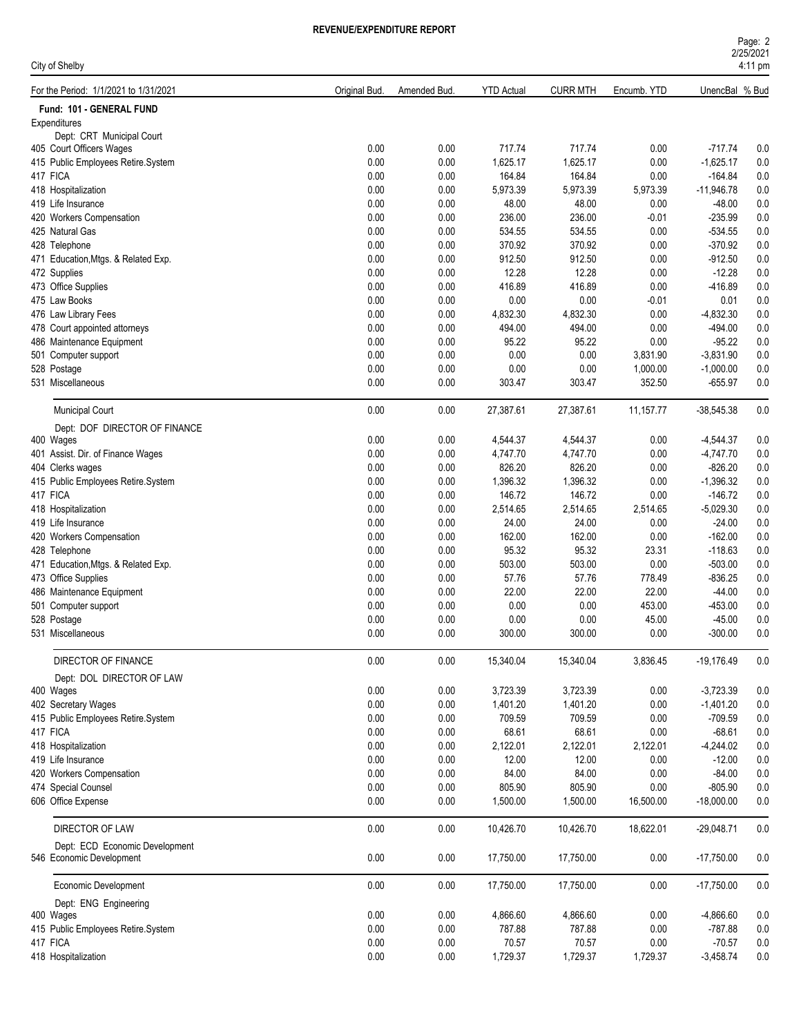| Page: 2           |  |
|-------------------|--|
| 2/25/2021         |  |
| $4:11 \text{ pm}$ |  |

| City of Shelby                        |               |              |                   |                 |             |                | 4:11 pm |
|---------------------------------------|---------------|--------------|-------------------|-----------------|-------------|----------------|---------|
| For the Period: 1/1/2021 to 1/31/2021 | Original Bud. | Amended Bud. | <b>YTD Actual</b> | <b>CURR MTH</b> | Encumb. YTD | UnencBal % Bud |         |
| Fund: 101 - GENERAL FUND              |               |              |                   |                 |             |                |         |
| Expenditures                          |               |              |                   |                 |             |                |         |
| Dept: CRT Municipal Court             |               |              |                   |                 |             |                |         |
| 405 Court Officers Wages              | 0.00          | 0.00         | 717.74            | 717.74          | 0.00        | $-717.74$      | 0.0     |
| 415 Public Employees Retire.System    | 0.00          | 0.00         | 1,625.17          | 1,625.17        | 0.00        | $-1,625.17$    | 0.0     |
| 417 FICA                              | 0.00          | 0.00         | 164.84            | 164.84          | 0.00        | $-164.84$      | 0.0     |
| 418 Hospitalization                   | 0.00          | 0.00         | 5,973.39          | 5,973.39        | 5,973.39    | $-11,946.78$   | 0.0     |
| 419 Life Insurance                    | 0.00          | 0.00         | 48.00             | 48.00           | 0.00        | -48.00         | 0.0     |
| 420 Workers Compensation              | 0.00          | 0.00         | 236.00            | 236.00          | -0.01       | $-235.99$      | 0.0     |
| 425 Natural Gas                       | 0.00          | 0.00         | 534.55            | 534.55          | 0.00        | $-534.55$      | 0.0     |
| 428 Telephone                         | 0.00          | 0.00         | 370.92            | 370.92          | 0.00        | $-370.92$      | 0.0     |
| 471 Education, Mtgs. & Related Exp.   | 0.00          | 0.00         | 912.50            | 912.50          | 0.00        | $-912.50$      | 0.0     |
| 472 Supplies                          | 0.00          | 0.00         | 12.28             | 12.28           | 0.00        | $-12.28$       | 0.0     |
| 473 Office Supplies                   | 0.00          | 0.00         | 416.89            | 416.89          | 0.00        | -416.89        | 0.0     |
| 475 Law Books                         | 0.00          | 0.00         | 0.00              | 0.00            | $-0.01$     | 0.01           | 0.0     |
| 476 Law Library Fees                  | 0.00          | 0.00         | 4,832.30          | 4,832.30        | 0.00        | $-4,832.30$    | 0.0     |
| 478 Court appointed attorneys         | 0.00          | 0.00         | 494.00            | 494.00          | 0.00        | $-494.00$      | 0.0     |
| 486 Maintenance Equipment             | 0.00          | 0.00         | 95.22             | 95.22           | 0.00        | $-95.22$       | $0.0\,$ |
| 501 Computer support                  | 0.00          | 0.00         | 0.00              | 0.00            | 3,831.90    | $-3,831.90$    | $0.0\,$ |
| 528 Postage                           | 0.00          | 0.00         | 0.00              | 0.00            | 1,000.00    | $-1,000.00$    | 0.0     |
| 531 Miscellaneous                     | 0.00          | 0.00         | 303.47            | 303.47          | 352.50      | $-655.97$      | 0.0     |
| <b>Municipal Court</b>                | 0.00          | 0.00         | 27,387.61         | 27,387.61       | 11,157.77   | $-38,545.38$   | 0.0     |
| Dept: DOF DIRECTOR OF FINANCE         |               |              |                   |                 |             |                |         |
| 400 Wages                             | 0.00          | 0.00         | 4,544.37          | 4,544.37        | 0.00        | $-4,544.37$    | 0.0     |
| 401 Assist. Dir. of Finance Wages     | 0.00          | 0.00         | 4,747.70          | 4,747.70        | 0.00        | $-4,747.70$    | 0.0     |
|                                       | 0.00          | 0.00         | 826.20            | 826.20          | 0.00        | $-826.20$      | 0.0     |
| 404 Clerks wages                      | 0.00          |              |                   |                 |             |                |         |
| 415 Public Employees Retire.System    |               | 0.00         | 1,396.32          | 1,396.32        | 0.00        | $-1,396.32$    | 0.0     |
| 417 FICA                              | 0.00          | 0.00         | 146.72            | 146.72          | 0.00        | $-146.72$      | 0.0     |
| 418 Hospitalization                   | 0.00          | 0.00         | 2,514.65          | 2,514.65        | 2,514.65    | -5,029.30      | 0.0     |
| 419 Life Insurance                    | 0.00          | 0.00         | 24.00             | 24.00           | 0.00        | $-24.00$       | 0.0     |
| 420 Workers Compensation              | 0.00          | 0.00         | 162.00            | 162.00          | 0.00        | $-162.00$      | 0.0     |
| 428 Telephone                         | 0.00          | 0.00         | 95.32             | 95.32           | 23.31       | $-118.63$      | 0.0     |
| 471 Education, Mtgs. & Related Exp.   | 0.00          | 0.00         | 503.00            | 503.00          | 0.00        | $-503.00$      | 0.0     |
| 473 Office Supplies                   | 0.00          | 0.00         | 57.76             | 57.76           | 778.49      | $-836.25$      | 0.0     |
| 486 Maintenance Equipment             | 0.00          | 0.00         | 22.00             | 22.00           | 22.00       | $-44.00$       | 0.0     |
| 501 Computer support                  | 0.00          | 0.00         | 0.00              | 0.00            | 453.00      | $-453.00$      | 0.0     |
| 528 Postage                           | 0.00          | 0.00         | 0.00              | 0.00            | 45.00       | $-45.00$       | 0.0     |
| 531 Miscellaneous                     | 0.00          | 0.00         | 300.00            | 300.00          | 0.00        | $-300.00$      | 0.0     |
| DIRECTOR OF FINANCE                   | 0.00          | 0.00         | 15,340.04         | 15,340.04       | 3,836.45    | $-19,176.49$   | 0.0     |
| Dept: DOL DIRECTOR OF LAW             |               |              |                   |                 |             |                |         |
| 400 Wages                             | 0.00          | 0.00         | 3,723.39          | 3,723.39        | 0.00        | $-3,723.39$    | 0.0     |
| 402 Secretary Wages                   | 0.00          | 0.00         | 1,401.20          | 1,401.20        | 0.00        | $-1,401.20$    | 0.0     |
| 415 Public Employees Retire.System    | 0.00          | 0.00         | 709.59            | 709.59          | 0.00        | $-709.59$      | $0.0\,$ |
| 417 FICA                              | 0.00          | 0.00         | 68.61             | 68.61           | 0.00        | $-68.61$       | 0.0     |
| 418 Hospitalization                   | 0.00          | 0.00         | 2,122.01          | 2,122.01        | 2,122.01    | $-4,244.02$    | 0.0     |
| 419 Life Insurance                    | 0.00          | 0.00         | 12.00             | 12.00           | 0.00        | $-12.00$       | 0.0     |
| 420 Workers Compensation              | 0.00          | 0.00         | 84.00             | 84.00           | 0.00        | $-84.00$       | $0.0\,$ |
| 474 Special Counsel                   | 0.00          | 0.00         | 805.90            | 805.90          | 0.00        | $-805.90$      | $0.0\,$ |
| 606 Office Expense                    | 0.00          | 0.00         | 1,500.00          | 1,500.00        | 16,500.00   | $-18,000.00$   | 0.0     |
| <b>DIRECTOR OF LAW</b>                | 0.00          | 0.00         | 10,426.70         | 10,426.70       | 18,622.01   | $-29,048.71$   | 0.0     |
| Dept: ECD Economic Development        |               |              |                   |                 |             |                |         |
| 546 Economic Development              | 0.00          | 0.00         | 17,750.00         | 17,750.00       | 0.00        | $-17,750.00$   | 0.0     |
| Economic Development                  | 0.00          | 0.00         | 17,750.00         | 17,750.00       | 0.00        | $-17,750.00$   | 0.0     |
| Dept: ENG Engineering                 |               |              |                   |                 |             |                |         |
| 400 Wages                             | 0.00          | 0.00         | 4,866.60          | 4,866.60        | 0.00        | $-4,866.60$    | 0.0     |
| 415 Public Employees Retire.System    | 0.00          | 0.00         | 787.88            | 787.88          | 0.00        | $-787.88$      | 0.0     |
| 417 FICA                              | 0.00          | 0.00         | 70.57             | 70.57           | 0.00        | $-70.57$       | 0.0     |
| 418 Hospitalization                   | 0.00          | 0.00         | 1,729.37          | 1,729.37        | 1,729.37    | $-3,458.74$    | 0.0     |
|                                       |               |              |                   |                 |             |                |         |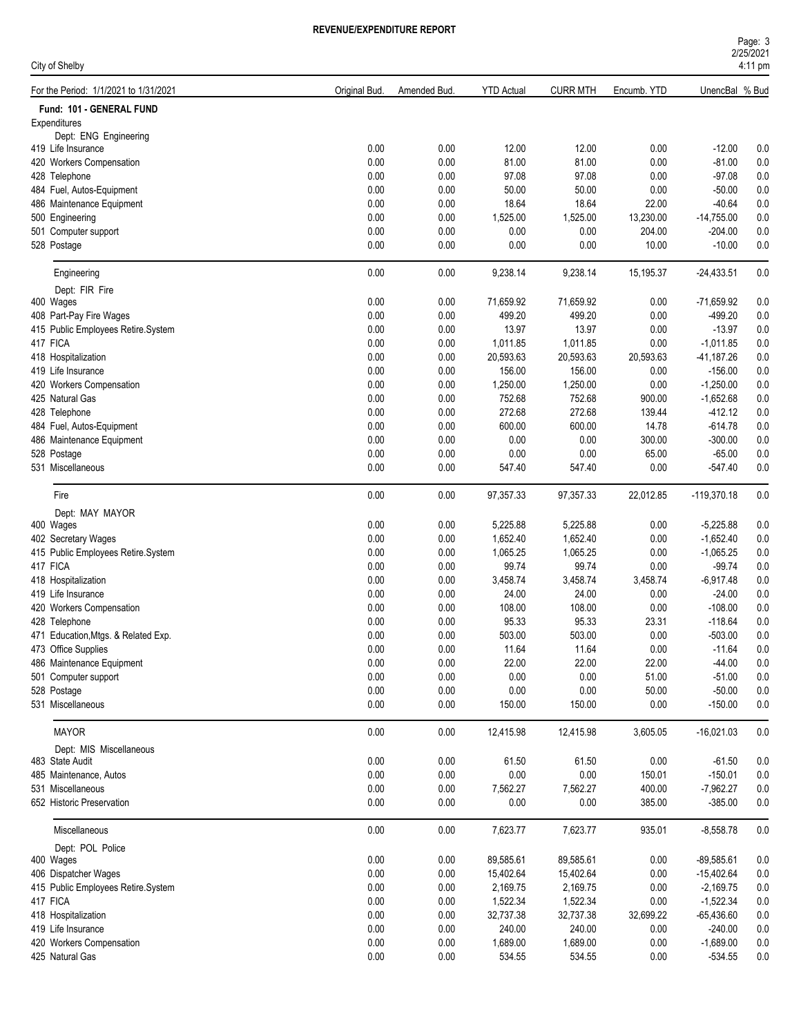### **REVEN**

|                                       |               | REVENUE/EXPENDITURE REPORT |                   |                 |             |                |                |  |
|---------------------------------------|---------------|----------------------------|-------------------|-----------------|-------------|----------------|----------------|--|
| City of Shelby                        |               |                            |                   |                 |             |                |                |  |
| For the Period: 1/1/2021 to 1/31/2021 | Original Bud. | Amended Bud.               | <b>YTD Actual</b> | <b>CURR MTH</b> | Encumb. YTD | UnencBal % Bud |                |  |
| Fund: 101 - GENERAL FUND              |               |                            |                   |                 |             |                |                |  |
| Expenditures                          |               |                            |                   |                 |             |                |                |  |
| Dept: ENG Engineering                 |               |                            |                   |                 |             |                |                |  |
| 419 Life Insurance                    | 0.00          | 0.00                       | 12.00             | 12.00           | 0.00        | $-12.00$       | 0.0            |  |
| 420 Workers Compensation              | 0.00          | 0.00                       | 81.00             | 81.00           | 0.00        | $-81.00$       | 0.0            |  |
| 428 Telephone                         | 0.00          | 0.00                       | 97.08             | 97.08           | 0.00        | $-97.08$       | 0.0            |  |
| 484 Fuel, Autos-Equipment             | 0.00          | 0.00                       | 50.00             | 50.00           | 0.00        | $-50.00$       | 0.0            |  |
| 486 Maintenance Equipment             | 0.00          | 0.00                       | 18.64             | 18.64           | 22.00       | $-40.64$       | 0.0            |  |
| 500 Engineering                       | 0.00          | 0.00                       | 1,525.00          | 1,525.00        | 13,230.00   | $-14,755.00$   | 0.0            |  |
| 501 Computer support                  | 0.00          | 0.00                       | 0.00              | 0.00            | 204.00      | $-204.00$      | 0.0            |  |
| 528 Postage                           | 0.00          | 0.00                       | 0.00              | 0.00            | 10.00       | $-10.00$       | 0.0            |  |
| Engineering                           | 0.00          | 0.00                       | 9,238.14          | 9,238.14        | 15,195.37   | $-24,433.51$   | 0.0            |  |
| Dept: FIR Fire                        |               |                            |                   |                 |             |                |                |  |
| 400 Wages                             | 0.00          | 0.00                       | 71,659.92         | 71,659.92       | 0.00        | -71,659.92     | 0.0            |  |
| 408 Part-Pay Fire Wages               | 0.00          | 0.00                       | 499 20            | 499.20          | 0.00        | -499.20        | 0 <sub>0</sub> |  |

| Fund: 101 - GENERAL FUND            |      |          |           |           |           |               |         |
|-------------------------------------|------|----------|-----------|-----------|-----------|---------------|---------|
| Expenditures                        |      |          |           |           |           |               |         |
| Dept: ENG Engineering               |      |          |           |           |           |               |         |
| 419 Life Insurance                  | 0.00 | 0.00     | 12.00     | 12.00     | 0.00      | $-12.00$      | 0.0     |
| 420 Workers Compensation            | 0.00 | 0.00     | 81.00     | 81.00     | 0.00      | $-81.00$      | 0.0     |
| 428 Telephone                       | 0.00 | 0.00     | 97.08     | 97.08     | 0.00      | $-97.08$      | 0.0     |
| 484 Fuel, Autos-Equipment           | 0.00 | 0.00     | 50.00     | 50.00     | 0.00      | $-50.00$      | 0.0     |
| 486 Maintenance Equipment           | 0.00 | 0.00     | 18.64     | 18.64     | 22.00     | $-40.64$      | 0.0     |
| 500 Engineering                     | 0.00 | 0.00     | 1,525.00  | 1,525.00  | 13,230.00 | $-14,755.00$  | 0.0     |
| 501 Computer support                | 0.00 | 0.00     | 0.00      | 0.00      | 204.00    | $-204.00$     | 0.0     |
| 528 Postage                         | 0.00 | 0.00     | 0.00      | 0.00      | 10.00     | $-10.00$      | 0.0     |
|                                     |      |          |           |           |           |               |         |
| Engineering                         | 0.00 | 0.00     | 9,238.14  | 9,238.14  | 15,195.37 | $-24,433.51$  | 0.0     |
| Dept: FIR Fire                      |      |          |           |           |           |               |         |
| 400 Wages                           | 0.00 | 0.00     | 71,659.92 | 71,659.92 | 0.00      | $-71,659.92$  | 0.0     |
| 408 Part-Pay Fire Wages             | 0.00 | 0.00     | 499.20    | 499.20    | 0.00      | $-499.20$     | 0.0     |
| 415 Public Employees Retire.System  | 0.00 | 0.00     | 13.97     | 13.97     | 0.00      | $-13.97$      | 0.0     |
| 417 FICA                            | 0.00 | 0.00     | 1,011.85  | 1,011.85  | 0.00      | $-1,011.85$   | 0.0     |
| 418 Hospitalization                 | 0.00 | 0.00     | 20,593.63 | 20,593.63 | 20,593.63 | $-41,187.26$  | 0.0     |
| 419 Life Insurance                  | 0.00 | 0.00     | 156.00    | 156.00    | 0.00      | $-156.00$     | 0.0     |
| 420 Workers Compensation            | 0.00 | 0.00     | 1,250.00  | 1,250.00  | 0.00      | $-1,250.00$   | 0.0     |
| 425 Natural Gas                     | 0.00 | 0.00     | 752.68    | 752.68    | 900.00    | $-1,652.68$   | 0.0     |
| 428 Telephone                       | 0.00 | 0.00     | 272.68    | 272.68    | 139.44    | $-412.12$     | 0.0     |
| 484 Fuel, Autos-Equipment           | 0.00 | 0.00     | 600.00    | 600.00    | 14.78     | $-614.78$     | 0.0     |
| 486 Maintenance Equipment           | 0.00 | 0.00     | 0.00      | 0.00      | 300.00    | $-300.00$     | 0.0     |
| 528 Postage                         | 0.00 | 0.00     | 0.00      | 0.00      | 65.00     | $-65.00$      | 0.0     |
| 531 Miscellaneous                   | 0.00 | 0.00     | 547.40    | 547.40    | 0.00      | $-547.40$     | 0.0     |
|                                     |      |          |           |           |           |               |         |
| Fire                                | 0.00 | 0.00     | 97,357.33 | 97,357.33 | 22,012.85 | $-119,370.18$ | 0.0     |
| Dept: MAY MAYOR                     |      |          |           |           |           |               |         |
| 400 Wages                           | 0.00 | 0.00     | 5,225.88  | 5,225.88  | 0.00      | $-5,225.88$   | 0.0     |
| 402 Secretary Wages                 | 0.00 | 0.00     | 1,652.40  | 1,652.40  | 0.00      | $-1,652.40$   | 0.0     |
| 415 Public Employees Retire.System  | 0.00 | 0.00     | 1,065.25  | 1,065.25  | 0.00      | $-1,065.25$   | 0.0     |
| 417 FICA                            | 0.00 | 0.00     | 99.74     | 99.74     | 0.00      | -99.74        | 0.0     |
| 418 Hospitalization                 | 0.00 | 0.00     | 3,458.74  | 3,458.74  | 3,458.74  | $-6,917.48$   | 0.0     |
| 419 Life Insurance                  | 0.00 | 0.00     | 24.00     | 24.00     | 0.00      | $-24.00$      | 0.0     |
| 420 Workers Compensation            | 0.00 | 0.00     | 108.00    | 108.00    | 0.00      | $-108.00$     | 0.0     |
| 428 Telephone                       | 0.00 | 0.00     | 95.33     | 95.33     | 23.31     | $-118.64$     | 0.0     |
| 471 Education, Mtgs. & Related Exp. | 0.00 | 0.00     | 503.00    | 503.00    | 0.00      | $-503.00$     | 0.0     |
| 473 Office Supplies                 | 0.00 | 0.00     | 11.64     | 11.64     | 0.00      | $-11.64$      | 0.0     |
| 486 Maintenance Equipment           | 0.00 | 0.00     | 22.00     | 22.00     | 22.00     | $-44.00$      | 0.0     |
| 501 Computer support                | 0.00 | 0.00     | 0.00      | 0.00      | 51.00     | $-51.00$      | 0.0     |
| 528 Postage                         | 0.00 | $0.00\,$ | $0.00\,$  | 0.00      | 50.00     | $-50.00$      | $0.0\,$ |
| 531 Miscellaneous                   | 0.00 | 0.00     | 150.00    | 150.00    | 0.00      | $-150.00$     | 0.0     |
|                                     |      |          |           |           |           |               |         |
| <b>MAYOR</b>                        | 0.00 | 0.00     | 12,415.98 | 12,415.98 | 3,605.05  | $-16,021.03$  | 0.0     |
|                                     |      |          |           |           |           |               |         |
| Dept: MIS Miscellaneous             |      |          |           |           |           |               |         |
| 483 State Audit                     | 0.00 | 0.00     | 61.50     | 61.50     | 0.00      | $-61.50$      | 0.0     |
| 485 Maintenance, Autos              | 0.00 | 0.00     | 0.00      | 0.00      | 150.01    | $-150.01$     | 0.0     |
| 531 Miscellaneous                   | 0.00 | 0.00     | 7,562.27  | 7,562.27  | 400.00    | $-7,962.27$   | 0.0     |
| 652 Historic Preservation           | 0.00 | 0.00     | 0.00      | 0.00      | 385.00    | $-385.00$     | 0.0     |
| Miscellaneous                       | 0.00 | 0.00     | 7,623.77  | 7,623.77  | 935.01    | $-8,558.78$   | 0.0     |
|                                     |      |          |           |           |           |               |         |
| Dept: POL Police                    |      |          |           |           |           |               |         |
| 400 Wages                           | 0.00 | 0.00     | 89,585.61 | 89,585.61 | 0.00      | $-89,585.61$  | 0.0     |
| 406 Dispatcher Wages                | 0.00 | 0.00     | 15,402.64 | 15,402.64 | 0.00      | $-15,402.64$  | 0.0     |
| 415 Public Employees Retire.System  | 0.00 | 0.00     | 2,169.75  | 2,169.75  | 0.00      | $-2,169.75$   | 0.0     |
| 417 FICA                            | 0.00 | 0.00     | 1,522.34  | 1,522.34  | 0.00      | $-1,522.34$   | 0.0     |
| 418 Hospitalization                 | 0.00 | 0.00     | 32,737.38 | 32,737.38 | 32,699.22 | $-65,436.60$  | 0.0     |
| 419 Life Insurance                  | 0.00 | 0.00     | 240.00    | 240.00    | 0.00      | $-240.00$     | 0.0     |
| 420 Workers Compensation            | 0.00 | 0.00     | 1,689.00  | 1,689.00  | 0.00      | $-1,689.00$   | 0.0     |
| 425 Natural Gas                     | 0.00 | 0.00     | 534.55    | 534.55    | 0.00      | $-534.55$     | 0.0     |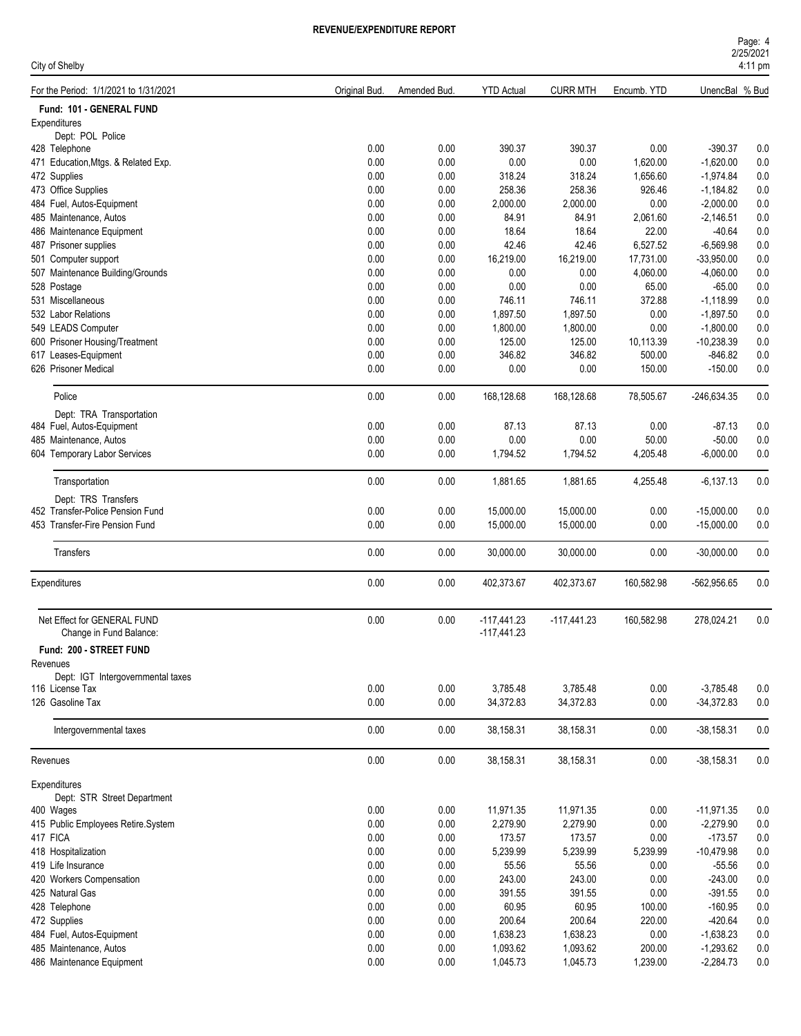| Page: 4           |  |
|-------------------|--|
| 2/25/2021         |  |
| $4.11 \text{ nm}$ |  |

| City of Shelby                        |               |              |                   |                 |             |                | 4:11 pm |
|---------------------------------------|---------------|--------------|-------------------|-----------------|-------------|----------------|---------|
| For the Period: 1/1/2021 to 1/31/2021 | Original Bud. | Amended Bud. | <b>YTD Actual</b> | <b>CURR MTH</b> | Encumb. YTD | UnencBal % Bud |         |
| Fund: 101 - GENERAL FUND              |               |              |                   |                 |             |                |         |
| Expenditures                          |               |              |                   |                 |             |                |         |
| Dept: POL Police                      |               |              |                   |                 |             |                |         |
| 428 Telephone                         | 0.00          | 0.00         | 390.37            | 390.37          | 0.00        | $-390.37$      | 0.0     |
| 471 Education, Mtgs. & Related Exp.   | 0.00          | 0.00         | 0.00              | 0.00            | 1,620.00    | $-1,620.00$    | 0.0     |
| 472 Supplies                          | 0.00          | 0.00         | 318.24            | 318.24          | 1,656.60    | $-1,974.84$    | 0.0     |
| 473 Office Supplies                   | 0.00          | 0.00         | 258.36            | 258.36          | 926.46      | $-1,184.82$    | 0.0     |
| 484 Fuel, Autos-Equipment             | 0.00          | 0.00         | 2,000.00          | 2,000.00        | 0.00        | $-2,000.00$    | 0.0     |
| 485 Maintenance, Autos                | 0.00          | 0.00         | 84.91             | 84.91           | 2,061.60    | $-2,146.51$    | 0.0     |
| 486 Maintenance Equipment             | 0.00          | 0.00         | 18.64             | 18.64           | 22.00       | $-40.64$       | 0.0     |
| 487 Prisoner supplies                 | 0.00          | 0.00         | 42.46             | 42.46           | 6,527.52    | $-6,569.98$    | 0.0     |
| 501 Computer support                  | 0.00          | 0.00         | 16,219.00         | 16,219.00       | 17,731.00   | $-33,950.00$   | 0.0     |
| 507 Maintenance Building/Grounds      | 0.00          | 0.00         | 0.00              | 0.00            | 4,060.00    | $-4,060.00$    | 0.0     |
| 528 Postage                           | 0.00          | 0.00         | 0.00              | 0.00            | 65.00       | $-65.00$       | 0.0     |
| 531 Miscellaneous                     | 0.00          | 0.00         | 746.11            | 746.11          | 372.88      | $-1,118.99$    | 0.0     |
| 532 Labor Relations                   | 0.00          | 0.00         | 1,897.50          | 1,897.50        | 0.00        | $-1,897.50$    | 0.0     |
| 549 LEADS Computer                    | 0.00          | 0.00         | 1,800.00          | 1,800.00        | 0.00        | $-1,800.00$    | 0.0     |
| 600 Prisoner Housing/Treatment        | 0.00          | 0.00         | 125.00            | 125.00          | 10,113.39   | $-10,238.39$   | 0.0     |
| 617 Leases-Equipment                  | 0.00          | 0.00         | 346.82            | 346.82          | 500.00      | $-846.82$      | 0.0     |
| 626 Prisoner Medical                  | 0.00          | 0.00         | 0.00              | 0.00            | 150.00      | $-150.00$      | 0.0     |
|                                       |               |              |                   |                 |             |                |         |
| Police                                | 0.00          | 0.00         | 168,128.68        | 168,128.68      | 78,505.67   | $-246,634.35$  | 0.0     |
| Dept: TRA Transportation              |               |              |                   |                 |             |                |         |
| 484 Fuel, Autos-Equipment             | 0.00          | 0.00         | 87.13             | 87.13           | 0.00        | $-87.13$       | 0.0     |
| 485 Maintenance, Autos                | 0.00          | 0.00         | 0.00              | 0.00            | 50.00       | $-50.00$       | 0.0     |
| 604 Temporary Labor Services          | 0.00          | 0.00         | 1,794.52          | 1,794.52        | 4,205.48    | $-6,000.00$    | 0.0     |
|                                       |               |              |                   |                 |             |                |         |
| Transportation                        | 0.00          | 0.00         | 1,881.65          | 1,881.65        | 4,255.48    | $-6,137.13$    | 0.0     |
| Dept: TRS Transfers                   |               |              |                   |                 |             |                |         |
| 452 Transfer-Police Pension Fund      | 0.00          | 0.00         | 15,000.00         | 15,000.00       | 0.00        | $-15,000.00$   | 0.0     |
| 453 Transfer-Fire Pension Fund        | 0.00          | 0.00         | 15,000.00         | 15,000.00       | 0.00        | $-15,000.00$   | 0.0     |
| Transfers                             | 0.00          | 0.00         | 30,000.00         | 30,000.00       | 0.00        | $-30,000.00$   | 0.0     |
|                                       |               |              |                   |                 |             |                |         |
| Expenditures                          | 0.00          | 0.00         | 402,373.67        | 402,373.67      | 160,582.98  | $-562,956.65$  | 0.0     |
| Net Effect for GENERAL FUND           | 0.00          | 0.00         | $-117,441.23$     | $-117,441.23$   | 160,582.98  | 278,024.21     | 0.0     |
| Change in Fund Balance:               |               |              | $-117,441.23$     |                 |             |                |         |
| Fund: 200 - STREET FUND               |               |              |                   |                 |             |                |         |
| Revenues                              |               |              |                   |                 |             |                |         |
| Dept: IGT Intergovernmental taxes     |               |              |                   |                 |             |                |         |
| 116 License Tax                       | 0.00          | 0.00         | 3,785.48          | 3,785.48        | 0.00        | $-3,785.48$    | 0.0     |
| 126 Gasoline Tax                      | 0.00          | 0.00         | 34,372.83         | 34,372.83       | 0.00        | $-34,372.83$   | 0.0     |
|                                       |               |              |                   |                 |             |                |         |
| Intergovernmental taxes               | 0.00          | 0.00         | 38,158.31         | 38,158.31       | 0.00        | $-38,158.31$   | 0.0     |
| Revenues                              | 0.00          | 0.00         | 38,158.31         | 38,158.31       | 0.00        | $-38,158.31$   | 0.0     |
| Expenditures                          |               |              |                   |                 |             |                |         |
| Dept: STR Street Department           |               |              |                   |                 |             |                |         |
| 400 Wages                             | 0.00          | 0.00         | 11,971.35         | 11,971.35       | 0.00        | $-11,971.35$   | 0.0     |
| 415 Public Employees Retire.System    | 0.00          | 0.00         | 2,279.90          | 2,279.90        | 0.00        | $-2,279.90$    | $0.0\,$ |
| 417 FICA                              | 0.00          | 0.00         | 173.57            | 173.57          | 0.00        | $-173.57$      | $0.0\,$ |
| 418 Hospitalization                   | 0.00          | 0.00         | 5,239.99          | 5,239.99        | 5,239.99    | $-10,479.98$   | 0.0     |
| 419 Life Insurance                    | 0.00          | 0.00         | 55.56             | 55.56           | 0.00        | $-55.56$       | 0.0     |
| 420 Workers Compensation              | 0.00          | 0.00         | 243.00            | 243.00          | 0.00        | $-243.00$      | 0.0     |
| 425 Natural Gas                       | 0.00          | 0.00         | 391.55            | 391.55          | 0.00        | $-391.55$      | 0.0     |
| 428 Telephone                         | 0.00          | 0.00         | 60.95             | 60.95           | 100.00      | $-160.95$      | 0.0     |
| 472 Supplies                          | 0.00          | 0.00         | 200.64            | 200.64          | 220.00      | $-420.64$      | 0.0     |
| 484 Fuel, Autos-Equipment             | 0.00          | 0.00         | 1,638.23          | 1,638.23        | 0.00        | $-1,638.23$    | 0.0     |
| 485 Maintenance, Autos                | 0.00          | 0.00         | 1,093.62          | 1,093.62        | 200.00      | $-1,293.62$    | 0.0     |
| 486 Maintenance Equipment             | 0.00          | 0.00         | 1,045.73          | 1,045.73        | 1,239.00    | $-2,284.73$    | 0.0     |
|                                       |               |              |                   |                 |             |                |         |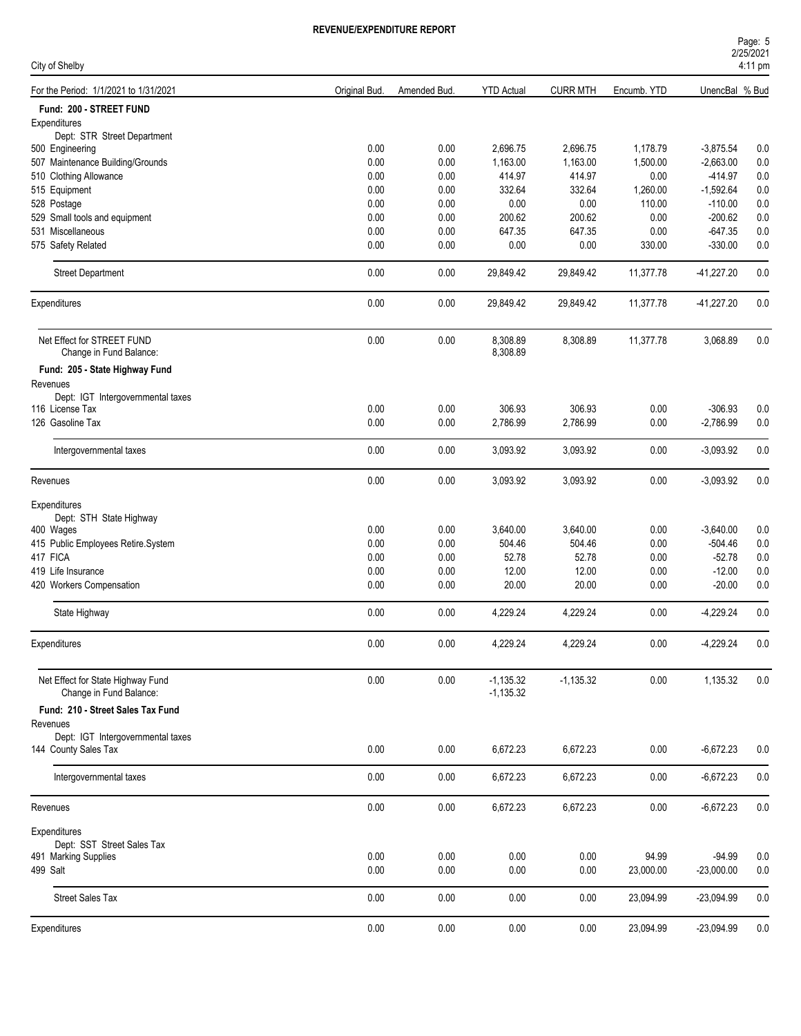| Page: 5           |  |
|-------------------|--|
| 2/25/2021         |  |
| $4.11 \text{ nm}$ |  |

| City of Shelby                                               |               |              |                            |                 |             |                | 4:11 pm |
|--------------------------------------------------------------|---------------|--------------|----------------------------|-----------------|-------------|----------------|---------|
| For the Period: 1/1/2021 to 1/31/2021                        | Original Bud. | Amended Bud. | <b>YTD Actual</b>          | <b>CURR MTH</b> | Encumb. YTD | UnencBal % Bud |         |
| Fund: 200 - STREET FUND                                      |               |              |                            |                 |             |                |         |
| Expenditures                                                 |               |              |                            |                 |             |                |         |
| Dept: STR Street Department                                  | 0.00          | 0.00         | 2,696.75                   | 2,696.75        | 1,178.79    | $-3,875.54$    | 0.0     |
| 500 Engineering                                              | 0.00          |              |                            |                 |             |                |         |
| 507 Maintenance Building/Grounds                             |               | 0.00         | 1,163.00                   | 1,163.00        | 1,500.00    | $-2,663.00$    | 0.0     |
| 510 Clothing Allowance                                       | 0.00          | 0.00         | 414.97                     | 414.97          | 0.00        | $-414.97$      | 0.0     |
| 515 Equipment                                                | 0.00          | 0.00         | 332.64                     | 332.64          | 1,260.00    | $-1,592.64$    | 0.0     |
| 528 Postage                                                  | 0.00          | 0.00         | 0.00                       | 0.00            | 110.00      | $-110.00$      | 0.0     |
| 529 Small tools and equipment                                | 0.00          | 0.00         | 200.62                     | 200.62          | 0.00        | $-200.62$      | 0.0     |
| 531 Miscellaneous                                            | 0.00          | 0.00         | 647.35                     | 647.35          | 0.00        | $-647.35$      | 0.0     |
| 575 Safety Related                                           | 0.00          | 0.00         | 0.00                       | 0.00            | 330.00      | $-330.00$      | 0.0     |
| <b>Street Department</b>                                     | 0.00          | 0.00         | 29,849.42                  | 29,849.42       | 11,377.78   | $-41,227.20$   | 0.0     |
| Expenditures                                                 | $0.00\,$      | 0.00         | 29,849.42                  | 29,849.42       | 11,377.78   | $-41,227.20$   | 0.0     |
| Net Effect for STREET FUND<br>Change in Fund Balance:        | 0.00          | 0.00         | 8,308.89<br>8,308.89       | 8,308.89        | 11,377.78   | 3,068.89       | 0.0     |
|                                                              |               |              |                            |                 |             |                |         |
| Fund: 205 - State Highway Fund                               |               |              |                            |                 |             |                |         |
| Revenues                                                     |               |              |                            |                 |             |                |         |
| Dept: IGT Intergovernmental taxes<br>116 License Tax         | 0.00          | 0.00         | 306.93                     | 306.93          | 0.00        | $-306.93$      | 0.0     |
| 126 Gasoline Tax                                             | 0.00          | 0.00         | 2,786.99                   | 2,786.99        | 0.00        | $-2,786.99$    | 0.0     |
|                                                              |               |              |                            |                 |             |                |         |
| Intergovernmental taxes                                      | 0.00          | 0.00         | 3,093.92                   | 3,093.92        | 0.00        | $-3,093.92$    | 0.0     |
| Revenues                                                     | 0.00          | 0.00         | 3,093.92                   | 3,093.92        | 0.00        | $-3,093.92$    | 0.0     |
| Expenditures                                                 |               |              |                            |                 |             |                |         |
| Dept: STH State Highway                                      |               |              |                            |                 |             |                |         |
| 400 Wages                                                    | 0.00          | 0.00         | 3,640.00                   | 3,640.00        | 0.00        | $-3,640.00$    | 0.0     |
| 415 Public Employees Retire.System                           | 0.00          | 0.00         | 504.46                     | 504.46          | 0.00        | $-504.46$      | 0.0     |
| 417 FICA                                                     | 0.00          | 0.00         | 52.78                      | 52.78           | 0.00        | $-52.78$       | 0.0     |
| 419 Life Insurance                                           | 0.00          | 0.00         | 12.00                      | 12.00           | 0.00        | $-12.00$       | 0.0     |
| 420 Workers Compensation                                     | 0.00          | 0.00         | 20.00                      | 20.00           | 0.00        | $-20.00$       | 0.0     |
| State Highway                                                | 0.00          | 0.00         | 4,229.24                   | 4,229.24        | 0.00        | $-4,229.24$    | 0.0     |
| Expenditures                                                 | 0.00          | 0.00         | 4,229.24                   | 4,229.24        | 0.00        | $-4,229.24$    | 0.0     |
|                                                              |               |              |                            |                 |             |                |         |
| Net Effect for State Highway Fund<br>Change in Fund Balance: | 0.00          | 0.00         | $-1,135.32$<br>$-1,135.32$ | $-1,135.32$     | 0.00        | 1,135.32       | 0.0     |
| Fund: 210 - Street Sales Tax Fund                            |               |              |                            |                 |             |                |         |
| Revenues                                                     |               |              |                            |                 |             |                |         |
| Dept: IGT Intergovernmental taxes                            |               |              |                            |                 |             |                |         |
| 144 County Sales Tax                                         | 0.00          | 0.00         | 6,672.23                   | 6,672.23        | 0.00        | $-6,672.23$    | 0.0     |
| Intergovernmental taxes                                      | 0.00          | 0.00         | 6,672.23                   | 6,672.23        | 0.00        | $-6,672.23$    | 0.0     |
| Revenues                                                     | 0.00          | 0.00         | 6,672.23                   | 6,672.23        | 0.00        | $-6,672.23$    | 0.0     |
| Expenditures                                                 |               |              |                            |                 |             |                |         |
| Dept: SST Street Sales Tax                                   |               |              |                            |                 |             |                |         |
| 491 Marking Supplies                                         | 0.00          | 0.00         | 0.00                       | 0.00            | 94.99       | $-94.99$       | 0.0     |
| 499 Salt                                                     | 0.00          | 0.00         | 0.00                       | 0.00            | 23,000.00   | $-23,000.00$   | 0.0     |
| <b>Street Sales Tax</b>                                      | 0.00          | 0.00         | 0.00                       | 0.00            | 23,094.99   | $-23,094.99$   | 0.0     |
|                                                              |               |              |                            |                 |             |                |         |
| Expenditures                                                 | 0.00          | 0.00         | 0.00                       | 0.00            | 23,094.99   | $-23,094.99$   | 0.0     |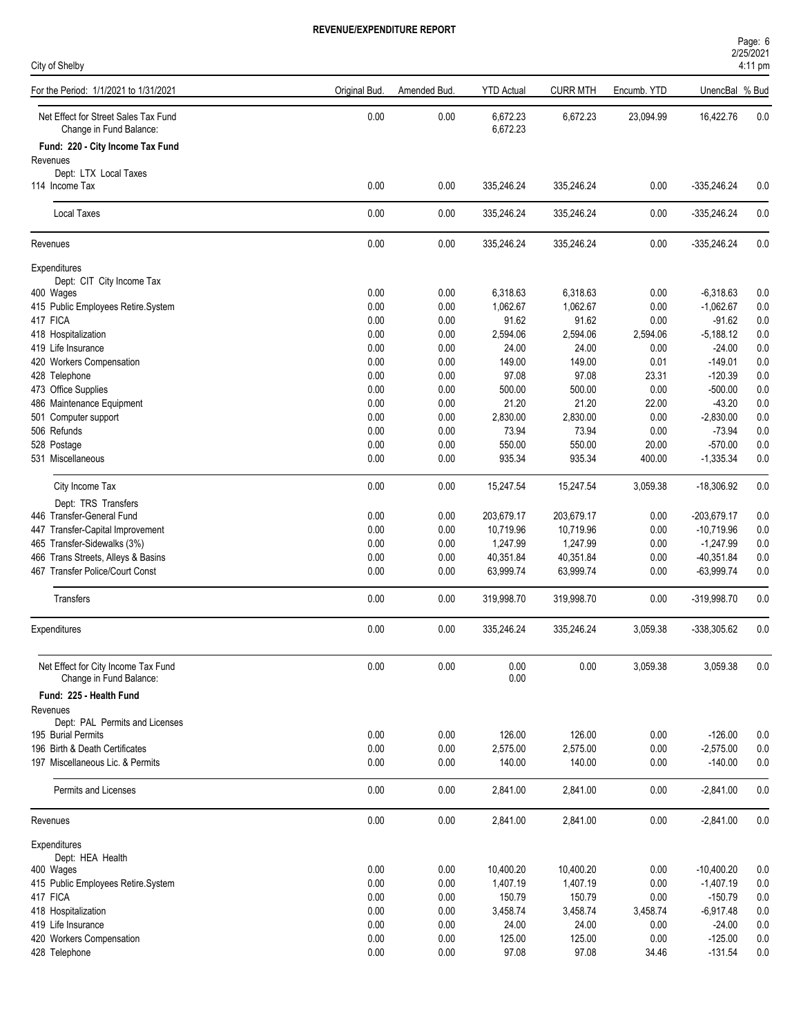| City of Shelby                                                  |               |              |                      |                 |             |                | 4:11 pm |
|-----------------------------------------------------------------|---------------|--------------|----------------------|-----------------|-------------|----------------|---------|
| For the Period: 1/1/2021 to 1/31/2021                           | Original Bud. | Amended Bud. | <b>YTD Actual</b>    | <b>CURR MTH</b> | Encumb. YTD | UnencBal % Bud |         |
| Net Effect for Street Sales Tax Fund<br>Change in Fund Balance: | 0.00          | 0.00         | 6,672.23<br>6,672.23 | 6,672.23        | 23,094.99   | 16,422.76      | 0.0     |
| Fund: 220 - City Income Tax Fund                                |               |              |                      |                 |             |                |         |
| Revenues<br>Dept: LTX Local Taxes                               |               |              |                      |                 |             |                |         |
| 114 Income Tax                                                  | 0.00          | 0.00         | 335,246.24           | 335,246.24      | 0.00        | $-335,246.24$  | 0.0     |
| <b>Local Taxes</b>                                              | 0.00          | 0.00         | 335,246.24           | 335,246.24      | 0.00        | $-335,246.24$  | 0.0     |
| Revenues                                                        | $0.00\,$      | 0.00         | 335,246.24           | 335,246.24      | 0.00        | $-335,246.24$  | 0.0     |
| Expenditures                                                    |               |              |                      |                 |             |                |         |
| Dept: CIT City Income Tax                                       |               |              |                      |                 |             |                |         |
| 400 Wages                                                       | 0.00          | 0.00         | 6,318.63             | 6,318.63        | 0.00        | $-6,318.63$    | 0.0     |
| 415 Public Employees Retire.System                              | 0.00          | 0.00         | 1,062.67             | 1,062.67        | 0.00        | $-1,062.67$    | 0.0     |
| 417 FICA                                                        | 0.00          | 0.00         | 91.62                | 91.62           | 0.00        | $-91.62$       | 0.0     |
| 418 Hospitalization                                             | 0.00          | 0.00         | 2,594.06             | 2,594.06        | 2,594.06    | $-5,188.12$    | 0.0     |
| 419 Life Insurance                                              | 0.00          | 0.00         | 24.00                | 24.00           | 0.00        | $-24.00$       | 0.0     |
| 420 Workers Compensation                                        | 0.00          | 0.00         | 149.00               | 149.00          | 0.01        | $-149.01$      | 0.0     |
| 428 Telephone                                                   | 0.00          | 0.00         | 97.08                | 97.08           | 23.31       | $-120.39$      | 0.0     |
| 473 Office Supplies                                             | 0.00          | 0.00         | 500.00               | 500.00          | 0.00        | $-500.00$      | 0.0     |
| 486 Maintenance Equipment                                       | 0.00          | 0.00         | 21.20                | 21.20           | 22.00       | $-43.20$       | 0.0     |
| 501 Computer support                                            | 0.00          | 0.00         | 2,830.00             | 2,830.00        | 0.00        | $-2,830.00$    | 0.0     |
| 506 Refunds                                                     | 0.00          | 0.00         | 73.94                | 73.94           | 0.00        | $-73.94$       | 0.0     |
| 528 Postage                                                     | 0.00          | 0.00         | 550.00               | 550.00          | 20.00       | $-570.00$      | 0.0     |
| 531 Miscellaneous                                               | 0.00          | 0.00         | 935.34               | 935.34          | 400.00      | $-1,335.34$    | 0.0     |
| City Income Tax                                                 | 0.00          | 0.00         | 15,247.54            | 15,247.54       | 3,059.38    | $-18,306.92$   | 0.0     |
| Dept: TRS Transfers                                             |               |              |                      |                 |             |                |         |
| 446 Transfer-General Fund                                       | 0.00          | 0.00         | 203,679.17           | 203,679.17      | 0.00        | -203,679.17    | 0.0     |
| 447 Transfer-Capital Improvement                                | 0.00          | 0.00         | 10,719.96            | 10,719.96       | 0.00        | $-10,719.96$   | 0.0     |
| 465 Transfer-Sidewalks (3%)                                     | 0.00          | 0.00         | 1,247.99             | 1,247.99        | 0.00        | $-1,247.99$    | 0.0     |
| 466 Trans Streets, Alleys & Basins                              | 0.00          | 0.00         | 40,351.84            | 40,351.84       | 0.00        | $-40,351.84$   | 0.0     |
| 467 Transfer Police/Court Const                                 | 0.00          | 0.00         | 63,999.74            | 63,999.74       | 0.00        | $-63,999.74$   | 0.0     |
| Transfers                                                       | 0.00          | 0.00         | 319,998.70           | 319,998.70      | 0.00        | -319,998.70    | 0.0     |
| Expenditures                                                    | 0.00          | 0.00         | 335,246.24           | 335,246.24      | 3,059.38    | $-338,305.62$  | 0.0     |
| Net Effect for City Income Tax Fund                             | 0.00          | 0.00         | 0.00                 | 0.00            | 3,059.38    | 3,059.38       | 0.0     |
| Change in Fund Balance:                                         |               |              | 0.00                 |                 |             |                |         |
| Fund: 225 - Health Fund                                         |               |              |                      |                 |             |                |         |
| Revenues                                                        |               |              |                      |                 |             |                |         |
| Dept: PAL Permits and Licenses<br>195 Burial Permits            | 0.00          | 0.00         | 126.00               | 126.00          | 0.00        | $-126.00$      | 0.0     |
| 196 Birth & Death Certificates                                  | 0.00          | 0.00         | 2,575.00             | 2,575.00        | 0.00        | $-2,575.00$    | 0.0     |
| 197 Miscellaneous Lic. & Permits                                | 0.00          | 0.00         | 140.00               | 140.00          | 0.00        | $-140.00$      | 0.0     |
| Permits and Licenses                                            | 0.00          | 0.00         | 2,841.00             | 2,841.00        | 0.00        | $-2,841.00$    | 0.0     |
| Revenues                                                        | $0.00\,$      | 0.00         | 2,841.00             | 2,841.00        | 0.00        | $-2,841.00$    | 0.0     |
| Expenditures                                                    |               |              |                      |                 |             |                |         |
| Dept: HEA Health                                                | 0.00          | 0.00         | 10,400.20            | 10,400.20       | 0.00        | $-10,400.20$   | 0.0     |
| 400 Wages<br>415 Public Employees Retire.System                 | 0.00          | 0.00         | 1,407.19             | 1,407.19        | 0.00        | $-1,407.19$    | $0.0\,$ |
| 417 FICA                                                        | 0.00          | 0.00         | 150.79               | 150.79          | 0.00        | $-150.79$      | 0.0     |
| 418 Hospitalization                                             | 0.00          | 0.00         | 3,458.74             | 3,458.74        | 3,458.74    | $-6,917.48$    | 0.0     |
| 419 Life Insurance                                              | 0.00          | 0.00         | 24.00                | 24.00           | 0.00        | $-24.00$       | 0.0     |
| 420 Workers Compensation                                        | 0.00          | 0.00         | 125.00               | 125.00          | 0.00        | $-125.00$      | 0.0     |
| 428 Telephone                                                   | 0.00          | 0.00         | 97.08                | 97.08           | 34.46       | $-131.54$      | 0.0     |
|                                                                 |               |              |                      |                 |             |                |         |

2/25/2021 Page: 6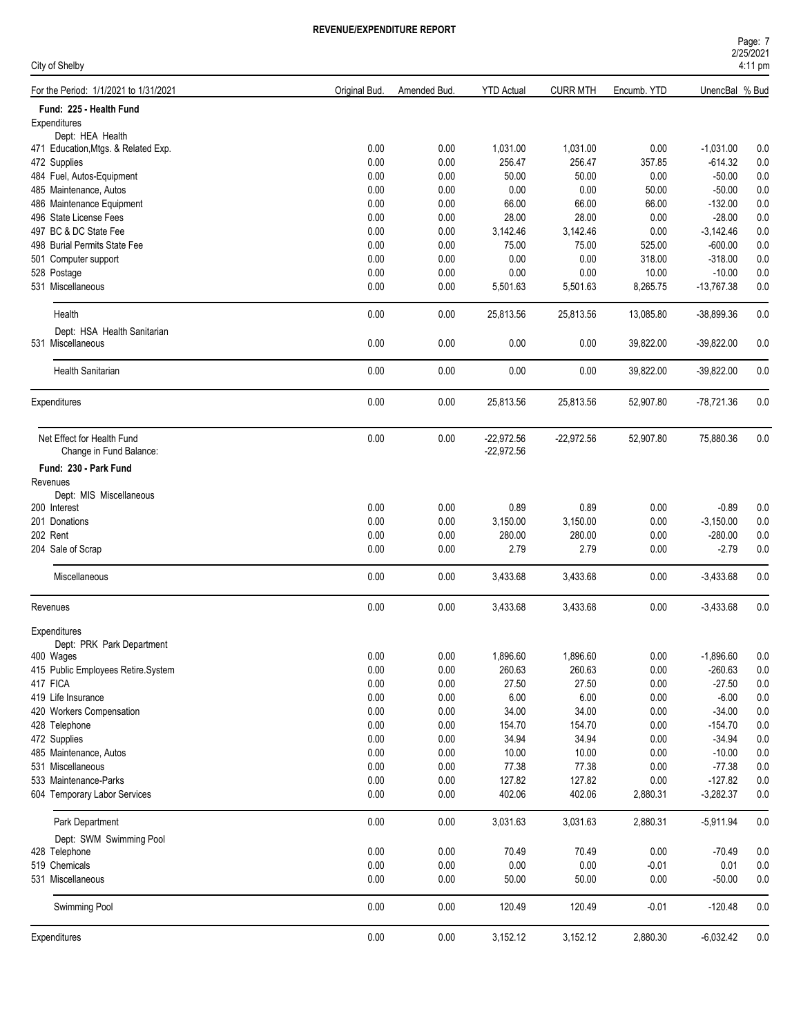| Page: 7           |  |  |
|-------------------|--|--|
| 2/25/2021         |  |  |
| $1.11 \text{ nm}$ |  |  |

| City of Shelby                        |               |              |                   |                 |             |                | 4:11 pm |  |
|---------------------------------------|---------------|--------------|-------------------|-----------------|-------------|----------------|---------|--|
| For the Period: 1/1/2021 to 1/31/2021 | Original Bud. | Amended Bud. | <b>YTD Actual</b> | <b>CURR MTH</b> | Encumb. YTD | UnencBal % Bud |         |  |
| Fund: 225 - Health Fund               |               |              |                   |                 |             |                |         |  |
| Expenditures                          |               |              |                   |                 |             |                |         |  |
| Dept: HEA Health                      |               |              |                   |                 |             |                |         |  |
| 471 Education, Mtgs. & Related Exp.   | 0.00          | 0.00         | 1,031.00          | 1,031.00        | 0.00        | $-1,031.00$    | 0.0     |  |
| 472 Supplies                          | 0.00          | 0.00         | 256.47            | 256.47          | 357.85      | $-614.32$      | 0.0     |  |
| 484 Fuel, Autos-Equipment             | 0.00          | 0.00         | 50.00             | 50.00           | 0.00        | $-50.00$       | 0.0     |  |
| 485 Maintenance, Autos                | 0.00          | 0.00         | 0.00              | 0.00            | 50.00       | $-50.00$       | 0.0     |  |
| 486 Maintenance Equipment             | 0.00          | 0.00         | 66.00             | 66.00           | 66.00       | $-132.00$      | 0.0     |  |
| 496 State License Fees                | 0.00          | 0.00         | 28.00             | 28.00           | 0.00        | $-28.00$       | 0.0     |  |
| 497 BC & DC State Fee                 | 0.00          | 0.00         | 3,142.46          | 3,142.46        | 0.00        | $-3,142.46$    | 0.0     |  |
| 498 Burial Permits State Fee          | 0.00          | 0.00         | 75.00             | 75.00           | 525.00      | $-600.00$      | 0.0     |  |
| 501 Computer support                  | 0.00          | 0.00         | 0.00              | 0.00            | 318.00      | $-318.00$      | 0.0     |  |
| 528 Postage                           | 0.00          | 0.00         | 0.00              | 0.00            | 10.00       | $-10.00$       | 0.0     |  |
| 531 Miscellaneous                     | 0.00          | 0.00         | 5,501.63          | 5,501.63        | 8,265.75    | $-13,767.38$   | 0.0     |  |
| Health                                | 0.00          | 0.00         | 25,813.56         | 25,813.56       | 13,085.80   | $-38,899.36$   | 0.0     |  |
| Dept: HSA Health Sanitarian           |               |              |                   |                 |             |                |         |  |
| 531 Miscellaneous                     | 0.00          | 0.00         | 0.00              | 0.00            | 39,822.00   | $-39,822.00$   | 0.0     |  |
|                                       |               |              |                   |                 |             |                |         |  |
| <b>Health Sanitarian</b>              | 0.00          | 0.00         | 0.00              | 0.00            | 39,822.00   | $-39,822.00$   | 0.0     |  |
| Expenditures                          | 0.00          | 0.00         | 25,813.56         | 25,813.56       | 52,907.80   | -78,721.36     | 0.0     |  |
|                                       |               |              |                   |                 |             |                |         |  |
| Net Effect for Health Fund            | 0.00          | 0.00         | $-22,972.56$      | $-22,972.56$    | 52,907.80   | 75,880.36      | 0.0     |  |
| Change in Fund Balance:               |               |              | $-22,972.56$      |                 |             |                |         |  |
| Fund: 230 - Park Fund                 |               |              |                   |                 |             |                |         |  |
| Revenues                              |               |              |                   |                 |             |                |         |  |
| Dept: MIS Miscellaneous               |               |              |                   |                 |             |                |         |  |
| 200 Interest                          | 0.00          | 0.00         | 0.89              | 0.89            | 0.00        | $-0.89$        | 0.0     |  |
| 201 Donations                         | 0.00          | 0.00         | 3,150.00          | 3,150.00        | 0.00        | $-3,150.00$    | 0.0     |  |
| 202 Rent                              | 0.00          | 0.00         | 280.00            | 280.00          | 0.00        | $-280.00$      | 0.0     |  |
| 204 Sale of Scrap                     | 0.00          | 0.00         | 2.79              | 2.79            | 0.00        | $-2.79$        | 0.0     |  |
|                                       |               |              |                   |                 |             |                |         |  |
| Miscellaneous                         | 0.00          | 0.00         | 3,433.68          | 3,433.68        | 0.00        | $-3,433.68$    | 0.0     |  |
| Revenues                              | 0.00          | 0.00         | 3,433.68          | 3,433.68        | 0.00        | $-3,433.68$    | 0.0     |  |
| Expenditures                          |               |              |                   |                 |             |                |         |  |
| Dept: PRK Park Department             |               |              |                   |                 |             |                |         |  |
| 400 Wages                             | 0.00          | 0.00         | 1,896.60          | 1,896.60        | 0.00        | $-1,896.60$    | 0.0     |  |
| 415 Public Employees Retire.System    | 0.00          | 0.00         | 260.63            | 260.63          | 0.00        | $-260.63$      | $0.0\,$ |  |
| 417 FICA                              | 0.00          | 0.00         | 27.50             | 27.50           | 0.00        | $-27.50$       | $0.0\,$ |  |
| 419 Life Insurance                    | 0.00          | 0.00         | $6.00\,$          | 6.00            | 0.00        | $-6.00$        | 0.0     |  |
| 420 Workers Compensation              | 0.00          | 0.00         | 34.00             | 34.00           | 0.00        | $-34.00$       | 0.0     |  |
| 428 Telephone                         | 0.00          | 0.00         | 154.70            | 154.70          | 0.00        | $-154.70$      | 0.0     |  |
| 472 Supplies                          | 0.00          | 0.00         | 34.94             | 34.94           | 0.00        | $-34.94$       | 0.0     |  |
| 485 Maintenance, Autos                | 0.00          | 0.00         | 10.00             | 10.00           | 0.00        | $-10.00$       | $0.0\,$ |  |
| 531 Miscellaneous                     | 0.00          | 0.00         | 77.38             | 77.38           | 0.00        | $-77.38$       | $0.0\,$ |  |
| 533 Maintenance-Parks                 | 0.00          | 0.00         | 127.82            | 127.82          | 0.00        | $-127.82$      | $0.0\,$ |  |
| 604 Temporary Labor Services          | 0.00          | 0.00         | 402.06            | 402.06          | 2,880.31    | $-3,282.37$    | 0.0     |  |
| Park Department                       | 0.00          | 0.00         | 3,031.63          | 3,031.63        | 2,880.31    | $-5,911.94$    | 0.0     |  |
| Dept: SWM Swimming Pool               |               |              |                   |                 |             |                |         |  |
| 428 Telephone                         | 0.00          | 0.00         | 70.49             | 70.49           | 0.00        | $-70.49$       | 0.0     |  |
| 519 Chemicals                         | 0.00          | 0.00         | 0.00              | 0.00            | $-0.01$     | 0.01           | $0.0\,$ |  |
| 531 Miscellaneous                     | 0.00          | 0.00         | 50.00             | 50.00           | 0.00        | $-50.00$       | 0.0     |  |
|                                       |               |              |                   |                 |             |                |         |  |
| Swimming Pool                         | 0.00          | 0.00         | 120.49            | 120.49          | $-0.01$     | $-120.48$      | 0.0     |  |
| Expenditures                          | $0.00\,$      | 0.00         | 3,152.12          | 3,152.12        | 2,880.30    | $-6,032.42$    | $0.0\,$ |  |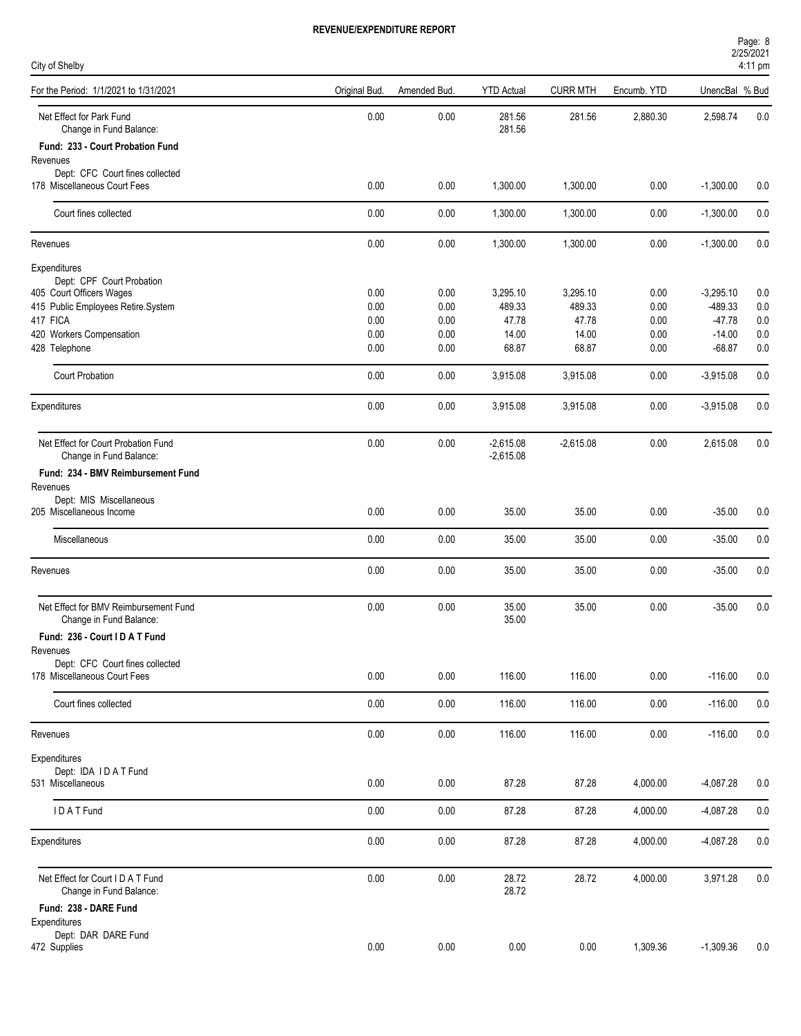| City of Shelby                                                  |               |              |                   |                 |              |                      | 4:11 pm    |  |
|-----------------------------------------------------------------|---------------|--------------|-------------------|-----------------|--------------|----------------------|------------|--|
| For the Period: 1/1/2021 to 1/31/2021                           | Original Bud. | Amended Bud. | <b>YTD Actual</b> | <b>CURR MTH</b> | Encumb. YTD  | UnencBal % Bud       |            |  |
| Net Effect for Park Fund<br>Change in Fund Balance:             | 0.00          | 0.00         | 281.56<br>281.56  | 281.56          | 2,880.30     | 2,598.74             | 0.0        |  |
| Fund: 233 - Court Probation Fund                                |               |              |                   |                 |              |                      |            |  |
| Revenues                                                        |               |              |                   |                 |              |                      |            |  |
| Dept: CFC Court fines collected<br>178 Miscellaneous Court Fees | 0.00          | 0.00         | 1,300.00          | 1,300.00        | 0.00         | $-1,300.00$          | 0.0        |  |
| Court fines collected                                           | 0.00          | 0.00         | 1,300.00          | 1,300.00        | 0.00         | $-1,300.00$          | 0.0        |  |
| Revenues                                                        | 0.00          | 0.00         | 1,300.00          | 1,300.00        | 0.00         | $-1,300.00$          | 0.0        |  |
| Expenditures                                                    |               |              |                   |                 |              |                      |            |  |
| Dept: CPF Court Probation                                       |               |              |                   |                 |              |                      |            |  |
| 405 Court Officers Wages                                        | 0.00          | 0.00         | 3,295.10          | 3,295.10        | 0.00         | $-3,295.10$          | 0.0        |  |
| 415 Public Employees Retire.System                              | 0.00          | 0.00         | 489.33            | 489.33          | 0.00         | -489.33              | 0.0        |  |
| 417 FICA                                                        | 0.00          | 0.00         | 47.78             | 47.78           | 0.00         | $-47.78$             | 0.0        |  |
| 420 Workers Compensation<br>428 Telephone                       | 0.00<br>0.00  | 0.00<br>0.00 | 14.00<br>68.87    | 14.00<br>68.87  | 0.00<br>0.00 | $-14.00$<br>$-68.87$ | 0.0<br>0.0 |  |
|                                                                 |               |              |                   |                 |              |                      |            |  |
| <b>Court Probation</b>                                          | 0.00          | 0.00         | 3,915.08          | 3,915.08        | 0.00         | $-3,915.08$          | 0.0        |  |
| Expenditures                                                    | 0.00          | 0.00         | 3,915.08          | 3,915.08        | 0.00         | $-3,915.08$          | 0.0        |  |
| Net Effect for Court Probation Fund                             | 0.00          | 0.00         | $-2,615.08$       | $-2,615.08$     | 0.00         | 2,615.08             | 0.0        |  |
| Change in Fund Balance:                                         |               |              | $-2,615.08$       |                 |              |                      |            |  |
| Fund: 234 - BMV Reimbursement Fund                              |               |              |                   |                 |              |                      |            |  |
| Revenues<br>Dept: MIS Miscellaneous                             |               |              |                   |                 |              |                      |            |  |
| 205 Miscellaneous Income                                        | 0.00          | 0.00         | 35.00             | 35.00           | 0.00         | $-35.00$             | 0.0        |  |
|                                                                 |               |              |                   |                 |              |                      |            |  |
| Miscellaneous                                                   | 0.00          | 0.00         | 35.00             | 35.00           | 0.00         | $-35.00$             | 0.0        |  |
| Revenues                                                        | 0.00          | 0.00         | 35.00             | 35.00           | 0.00         | $-35.00$             | 0.0        |  |
| Net Effect for BMV Reimbursement Fund                           | 0.00          | 0.00         | 35.00             | 35.00           | 0.00         | $-35.00$             | 0.0        |  |
| Change in Fund Balance:                                         |               |              | 35.00             |                 |              |                      |            |  |
| Fund: 236 - Court I D A T Fund                                  |               |              |                   |                 |              |                      |            |  |
| Revenues<br>Dept: CFC Court fines collected                     |               |              |                   |                 |              |                      |            |  |
| 178 Miscellaneous Court Fees                                    | 0.00          | 0.00         | 116.00            | 116.00          | 0.00         | $-116.00$            | 0.0        |  |
| Court fines collected                                           | 0.00          | $0.00\,$     | 116.00            | 116.00          | 0.00         | $-116.00$            | $0.0\,$    |  |
| Revenues                                                        | 0.00          | 0.00         | 116.00            | 116.00          | 0.00         | $-116.00$            | $0.0\,$    |  |
| Expenditures                                                    |               |              |                   |                 |              |                      |            |  |
| Dept: IDA IDAT Fund                                             |               |              |                   |                 |              |                      |            |  |
| 531 Miscellaneous                                               | 0.00          | 0.00         | 87.28             | 87.28           | 4,000.00     | $-4,087.28$          | 0.0        |  |
| IDATFund                                                        |               |              | 87.28             |                 |              |                      |            |  |
|                                                                 | 0.00          | 0.00         |                   | 87.28           | 4,000.00     | $-4,087.28$          | 0.0        |  |
| Expenditures                                                    | 0.00          | 0.00         | 87.28             | 87.28           | 4,000.00     | $-4,087.28$          | 0.0        |  |
| Net Effect for Court I D A T Fund                               | 0.00          | 0.00         | 28.72             | 28.72           | 4,000.00     | 3,971.28             | 0.0        |  |
| Change in Fund Balance:                                         |               |              | 28.72             |                 |              |                      |            |  |
| Fund: 238 - DARE Fund                                           |               |              |                   |                 |              |                      |            |  |
| Expenditures<br>Dept: DAR DARE Fund                             |               |              |                   |                 |              |                      |            |  |
| 472 Supplies                                                    | 0.00          | 0.00         | 0.00              | 0.00            | 1,309.36     | $-1,309.36$          | 0.0        |  |

2/25/2021 Page: 8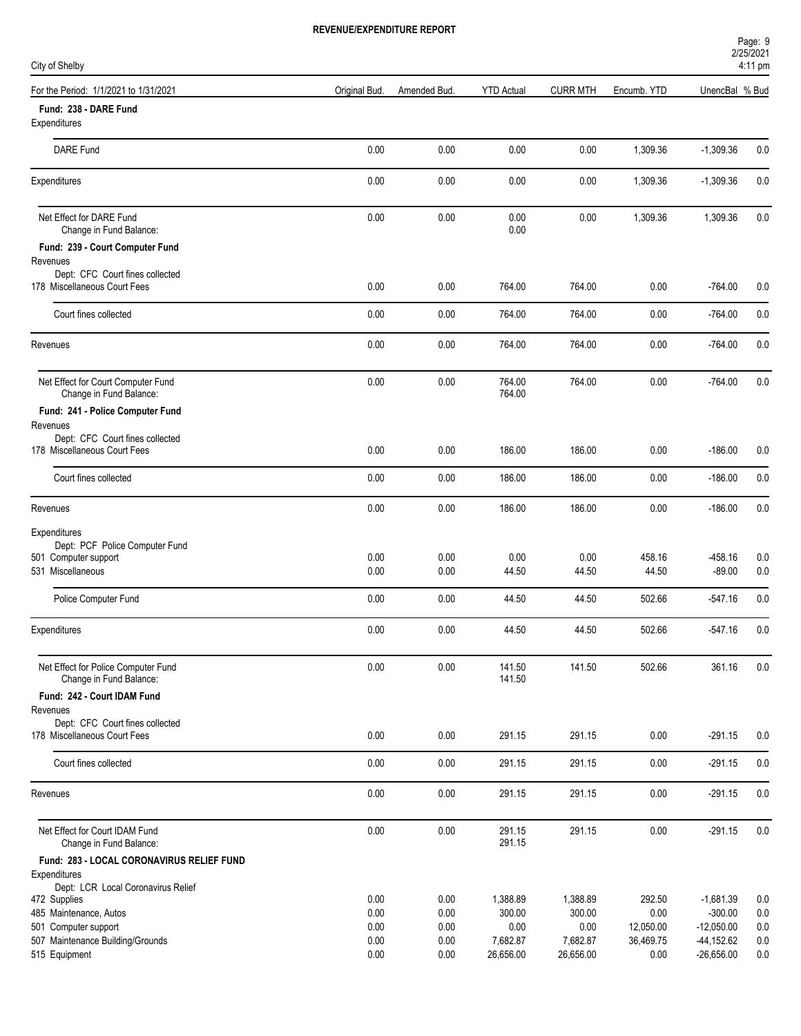| Page: 9   |  |
|-----------|--|
| 2/25/2021 |  |
|           |  |

| City of Shelby                                                  |               |              |                    |                 |                   |                           | $4:11 \text{ pm}$ |
|-----------------------------------------------------------------|---------------|--------------|--------------------|-----------------|-------------------|---------------------------|-------------------|
| For the Period: 1/1/2021 to 1/31/2021                           | Original Bud. | Amended Bud. | <b>YTD Actual</b>  | <b>CURR MTH</b> | Encumb. YTD       | UnencBal % Bud            |                   |
| Fund: 238 - DARE Fund<br>Expenditures                           |               |              |                    |                 |                   |                           |                   |
| <b>DARE Fund</b>                                                | 0.00          | 0.00         | 0.00               | 0.00            | 1,309.36          | $-1,309.36$               | 0.0               |
| Expenditures                                                    | 0.00          | 0.00         | 0.00               | 0.00            | 1,309.36          | $-1,309.36$               | 0.0               |
| Net Effect for DARE Fund<br>Change in Fund Balance:             | 0.00          | 0.00         | 0.00<br>0.00       | 0.00            | 1,309.36          | 1,309.36                  | 0.0               |
| Fund: 239 - Court Computer Fund                                 |               |              |                    |                 |                   |                           |                   |
| Revenues                                                        |               |              |                    |                 |                   |                           |                   |
| Dept: CFC Court fines collected<br>178 Miscellaneous Court Fees | 0.00          | 0.00         | 764.00             | 764.00          | 0.00              | $-764.00$                 | 0.0               |
| Court fines collected                                           | 0.00          | 0.00         | 764.00             | 764.00          | 0.00              | $-764.00$                 | 0.0               |
| Revenues                                                        | 0.00          | 0.00         | 764.00             | 764.00          | 0.00              | $-764.00$                 | 0.0               |
| Net Effect for Court Computer Fund<br>Change in Fund Balance:   | 0.00          | 0.00         | 764.00<br>764.00   | 764.00          | 0.00              | $-764.00$                 | 0.0               |
| Fund: 241 - Police Computer Fund                                |               |              |                    |                 |                   |                           |                   |
| Revenues                                                        |               |              |                    |                 |                   |                           |                   |
| Dept: CFC Court fines collected<br>178 Miscellaneous Court Fees | 0.00          | 0.00         | 186.00             | 186.00          | 0.00              | $-186.00$                 | 0.0               |
| Court fines collected                                           | 0.00          | 0.00         | 186.00             | 186.00          | 0.00              | $-186.00$                 | 0.0               |
| Revenues                                                        | 0.00          | 0.00         | 186.00             | 186.00          | 0.00              | $-186.00$                 | 0.0               |
| Expenditures                                                    |               |              |                    |                 |                   |                           |                   |
| Dept: PCF Police Computer Fund                                  |               |              |                    |                 |                   |                           |                   |
| 501 Computer support<br>531 Miscellaneous                       | 0.00<br>0.00  | 0.00<br>0.00 | 0.00<br>44.50      | 0.00<br>44.50   | 458.16<br>44.50   | $-458.16$<br>$-89.00$     | 0.0<br>0.0        |
|                                                                 |               |              |                    |                 |                   |                           |                   |
| Police Computer Fund                                            | 0.00          | 0.00         | 44.50              | 44.50           | 502.66            | $-547.16$                 | 0.0               |
| Expenditures                                                    | 0.00          | 0.00         | 44.50              | 44.50           | 502.66            | $-547.16$                 | 0.0               |
| Net Effect for Police Computer Fund<br>Change in Fund Balance:  | 0.00          | 0.00         | 141.50<br>141.50   | 141.50          | 502.66            | 361.16                    | 0.0               |
| Fund: 242 - Court IDAM Fund                                     |               |              |                    |                 |                   |                           |                   |
| Revenues                                                        |               |              |                    |                 |                   |                           |                   |
| Dept: CFC Court fines collected<br>178 Miscellaneous Court Fees | 0.00          | 0.00         | 291.15             | 291.15          | 0.00              | $-291.15$                 | 0.0               |
| Court fines collected                                           | 0.00          | 0.00         | 291.15             | 291.15          | 0.00              | $-291.15$                 | 0.0               |
| Revenues                                                        | 0.00          | 0.00         | 291.15             | 291.15          | 0.00              | $-291.15$                 | 0.0               |
| Net Effect for Court IDAM Fund                                  | 0.00          | 0.00         | 291.15             | 291.15          | 0.00              | $-291.15$                 |                   |
| Change in Fund Balance:                                         |               |              | 291.15             |                 |                   |                           | 0.0               |
| Fund: 283 - LOCAL CORONAVIRUS RELIEF FUND<br>Expenditures       |               |              |                    |                 |                   |                           |                   |
| Dept: LCR Local Coronavirus Relief                              |               |              |                    |                 |                   |                           |                   |
| 472 Supplies                                                    | 0.00          | 0.00         | 1,388.89           | 1,388.89        | 292.50            | $-1,681.39$               | 0.0               |
| 485 Maintenance, Autos<br>501 Computer support                  | 0.00<br>0.00  | 0.00<br>0.00 | 300.00<br>$0.00\,$ | 300.00<br>0.00  | 0.00<br>12,050.00 | $-300.00$<br>$-12,050.00$ | 0.0<br>0.0        |
| 507 Maintenance Building/Grounds                                | 0.00          | 0.00         | 7,682.87           | 7,682.87        | 36,469.75         | $-44, 152.62$             | 0.0               |
| 515 Equipment                                                   | 0.00          | 0.00         | 26,656.00          | 26,656.00       | 0.00              | $-26,656.00$              | 0.0               |
|                                                                 |               |              |                    |                 |                   |                           |                   |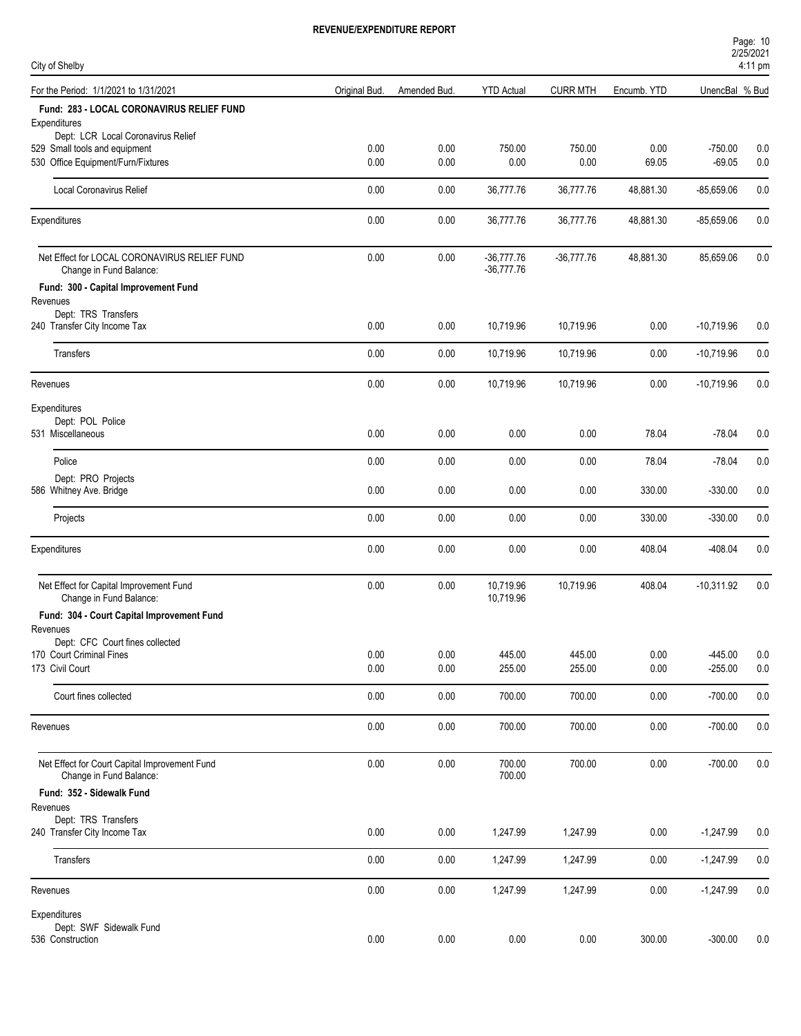| Page: 10          |  |  |
|-------------------|--|--|
| 2/25/2021         |  |  |
| $1.11 \text{ nm}$ |  |  |

| City of Shelby                                                                                  |               |              |                              |                  |              | <b>ZIZOIZUZ I</b><br>4:11 pm |            |  |
|-------------------------------------------------------------------------------------------------|---------------|--------------|------------------------------|------------------|--------------|------------------------------|------------|--|
| For the Period: 1/1/2021 to 1/31/2021                                                           | Original Bud. | Amended Bud. | <b>YTD Actual</b>            | <b>CURR MTH</b>  | Encumb. YTD  | UnencBal % Bud               |            |  |
| Fund: 283 - LOCAL CORONAVIRUS RELIEF FUND<br>Expenditures<br>Dept: LCR Local Coronavirus Relief |               |              |                              |                  |              |                              |            |  |
| 529 Small tools and equipment                                                                   | 0.00          | 0.00         | 750.00                       | 750.00           | 0.00         | $-750.00$                    | 0.0        |  |
| 530 Office Equipment/Furn/Fixtures                                                              | 0.00          | 0.00         | 0.00                         | 0.00             | 69.05        | $-69.05$                     | 0.0        |  |
| Local Coronavirus Relief                                                                        | 0.00          | 0.00         | 36,777.76                    | 36,777.76        | 48,881.30    | $-85,659.06$                 | 0.0        |  |
| Expenditures                                                                                    | 0.00          | 0.00         | 36,777.76                    | 36,777.76        | 48,881.30    | $-85,659.06$                 | 0.0        |  |
| Net Effect for LOCAL CORONAVIRUS RELIEF FUND<br>Change in Fund Balance:                         | 0.00          | 0.00         | $-36,777.76$<br>$-36,777.76$ | $-36,777.76$     | 48,881.30    | 85,659.06                    | 0.0        |  |
| Fund: 300 - Capital Improvement Fund<br>Revenues                                                |               |              |                              |                  |              |                              |            |  |
| Dept: TRS Transfers<br>240 Transfer City Income Tax                                             | 0.00          | 0.00         | 10,719.96                    | 10,719.96        | 0.00         | $-10,719.96$                 | 0.0        |  |
| <b>Transfers</b>                                                                                | 0.00          | 0.00         | 10,719.96                    | 10,719.96        | 0.00         | $-10,719.96$                 | 0.0        |  |
| Revenues                                                                                        | 0.00          | 0.00         | 10,719.96                    | 10,719.96        | 0.00         | $-10,719.96$                 | 0.0        |  |
| Expenditures<br>Dept: POL Police                                                                |               |              |                              |                  |              |                              |            |  |
| 531 Miscellaneous                                                                               | 0.00          | 0.00         | 0.00                         | 0.00             | 78.04        | $-78.04$                     | 0.0        |  |
| Police                                                                                          | 0.00          | 0.00         | 0.00                         | 0.00             | 78.04        | $-78.04$                     | 0.0        |  |
| Dept: PRO Projects<br>586 Whitney Ave. Bridge                                                   | 0.00          | 0.00         | 0.00                         | 0.00             | 330.00       | $-330.00$                    | 0.0        |  |
| Projects                                                                                        | 0.00          | 0.00         | 0.00                         | 0.00             | 330.00       | $-330.00$                    | 0.0        |  |
| Expenditures                                                                                    | 0.00          | 0.00         | 0.00                         | 0.00             | 408.04       | -408.04                      | 0.0        |  |
| Net Effect for Capital Improvement Fund<br>Change in Fund Balance:                              | 0.00          | 0.00         | 10,719.96<br>10,719.96       | 10,719.96        | 408.04       | $-10,311.92$                 | 0.0        |  |
| Fund: 304 - Court Capital Improvement Fund                                                      |               |              |                              |                  |              |                              |            |  |
| Revenues<br>Dept: CFC Court fines collected                                                     |               |              |                              |                  |              |                              |            |  |
| 170 Court Criminal Fines<br>173 Civil Court                                                     | 0.00<br>0.00  | 0.00<br>0.00 | 445.00<br>255.00             | 445.00<br>255.00 | 0.00<br>0.00 | $-445.00$<br>$-255.00$       | 0.0<br>0.0 |  |
| Court fines collected                                                                           | 0.00          | 0.00         | 700.00                       | 700.00           | 0.00         | $-700.00$                    | 0.0        |  |
| Revenues                                                                                        | $0.00\,$      | 0.00         | 700.00                       | 700.00           | 0.00         | $-700.00$                    | $0.0\,$    |  |
| Net Effect for Court Capital Improvement Fund<br>Change in Fund Balance:                        | 0.00          | 0.00         | 700.00<br>700.00             | 700.00           | 0.00         | $-700.00$                    | $0.0\,$    |  |
| Fund: 352 - Sidewalk Fund<br>Revenues                                                           |               |              |                              |                  |              |                              |            |  |
| Dept: TRS Transfers<br>240 Transfer City Income Tax                                             | 0.00          | 0.00         | 1,247.99                     | 1,247.99         | 0.00         | $-1,247.99$                  | 0.0        |  |
| Transfers                                                                                       | 0.00          | 0.00         | 1,247.99                     | 1,247.99         | 0.00         | $-1,247.99$                  | 0.0        |  |
| Revenues                                                                                        | 0.00          | 0.00         | 1,247.99                     | 1,247.99         | 0.00         | $-1,247.99$                  | 0.0        |  |
| Expenditures                                                                                    |               |              |                              |                  |              |                              |            |  |
| Dept: SWF Sidewalk Fund<br>536 Construction                                                     | 0.00          | $0.00\,$     | $0.00\,$                     | 0.00             | 300.00       | $-300.00$                    | $0.0\,$    |  |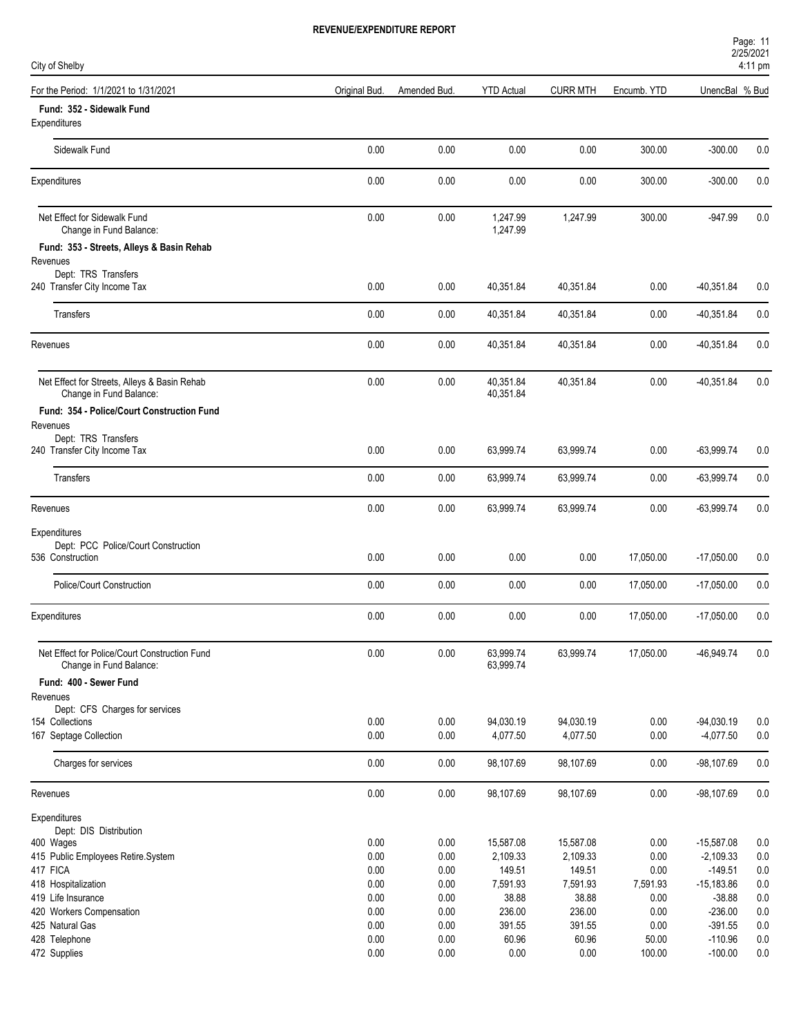| Page: 11  |  |
|-----------|--|
| 2/25/2021 |  |
| .         |  |

| City of Shelby                                                           |               |              |                        |                 | 4:11 pm     |                |         |  |  |
|--------------------------------------------------------------------------|---------------|--------------|------------------------|-----------------|-------------|----------------|---------|--|--|
| For the Period: 1/1/2021 to 1/31/2021                                    | Original Bud. | Amended Bud. | <b>YTD Actual</b>      | <b>CURR MTH</b> | Encumb. YTD | UnencBal % Bud |         |  |  |
| Fund: 352 - Sidewalk Fund<br>Expenditures                                |               |              |                        |                 |             |                |         |  |  |
| Sidewalk Fund                                                            | 0.00          | 0.00         | 0.00                   | 0.00            | 300.00      | $-300.00$      | 0.0     |  |  |
| Expenditures                                                             | 0.00          | 0.00         | 0.00                   | 0.00            | 300.00      | $-300.00$      | 0.0     |  |  |
| Net Effect for Sidewalk Fund<br>Change in Fund Balance:                  | 0.00          | 0.00         | 1,247.99<br>1,247.99   | 1,247.99        | 300.00      | $-947.99$      | 0.0     |  |  |
| Fund: 353 - Streets, Alleys & Basin Rehab                                |               |              |                        |                 |             |                |         |  |  |
| Revenues                                                                 |               |              |                        |                 |             |                |         |  |  |
| Dept: TRS Transfers<br>240 Transfer City Income Tax                      | 0.00          | 0.00         | 40,351.84              | 40,351.84       | 0.00        | $-40,351.84$   | 0.0     |  |  |
| Transfers                                                                | 0.00          | 0.00         | 40,351.84              | 40,351.84       | 0.00        | $-40,351.84$   | 0.0     |  |  |
| Revenues                                                                 | 0.00          | 0.00         | 40,351.84              | 40,351.84       | 0.00        | $-40,351.84$   | 0.0     |  |  |
| Net Effect for Streets, Alleys & Basin Rehab<br>Change in Fund Balance:  | 0.00          | 0.00         | 40,351.84<br>40,351.84 | 40,351.84       | 0.00        | $-40,351.84$   | 0.0     |  |  |
| Fund: 354 - Police/Court Construction Fund<br>Revenues                   |               |              |                        |                 |             |                |         |  |  |
| Dept: TRS Transfers                                                      |               |              |                        |                 |             |                |         |  |  |
| 240 Transfer City Income Tax                                             | 0.00          | 0.00         | 63,999.74              | 63,999.74       | 0.00        | $-63,999.74$   | 0.0     |  |  |
| Transfers                                                                | 0.00          | 0.00         | 63,999.74              | 63,999.74       | 0.00        | $-63,999.74$   | 0.0     |  |  |
| Revenues                                                                 | 0.00          | 0.00         | 63,999.74              | 63,999.74       | 0.00        | $-63,999.74$   | 0.0     |  |  |
| Expenditures                                                             |               |              |                        |                 |             |                |         |  |  |
| Dept: PCC Police/Court Construction<br>536 Construction                  | 0.00          | 0.00         | 0.00                   | 0.00            | 17,050.00   | $-17,050.00$   | 0.0     |  |  |
|                                                                          |               |              |                        |                 |             |                |         |  |  |
| Police/Court Construction                                                | 0.00          | 0.00         | 0.00                   | 0.00            | 17,050.00   | $-17,050.00$   | 0.0     |  |  |
| Expenditures                                                             | 0.00          | 0.00         | 0.00                   | 0.00            | 17,050.00   | $-17,050.00$   | 0.0     |  |  |
| Net Effect for Police/Court Construction Fund<br>Change in Fund Balance: | 0.00          | 0.00         | 63,999.74<br>63,999.74 | 63,999.74       | 17,050.00   | -46,949.74     | 0.0     |  |  |
| Fund: 400 - Sewer Fund                                                   |               |              |                        |                 |             |                |         |  |  |
| Revenues                                                                 |               |              |                        |                 |             |                |         |  |  |
| Dept: CFS Charges for services<br>154 Collections                        | 0.00          | 0.00         | 94,030.19              | 94,030.19       | 0.00        | $-94,030.19$   | $0.0\,$ |  |  |
| 167 Septage Collection                                                   | $0.00\,$      | $0.00\,$     | 4,077.50               | 4,077.50        | $0.00\,$    | $-4,077.50$    | $0.0\,$ |  |  |
| Charges for services                                                     | 0.00          | $0.00\,$     | 98,107.69              | 98,107.69       | 0.00        | -98,107.69     | 0.0     |  |  |
| Revenues                                                                 | 0.00          | $0.00\,$     | 98,107.69              | 98,107.69       | 0.00        | $-98,107.69$   | 0.0     |  |  |
| Expenditures<br>Dept: DIS Distribution                                   |               |              |                        |                 |             |                |         |  |  |
| 400 Wages                                                                | 0.00          | $0.00\,$     | 15,587.08              | 15,587.08       | 0.00        | $-15,587.08$   | 0.0     |  |  |
| 415 Public Employees Retire.System                                       | 0.00          | 0.00         | 2,109.33               | 2,109.33        | 0.00        | $-2,109.33$    | $0.0\,$ |  |  |
| 417 FICA                                                                 | 0.00          | 0.00         | 149.51                 | 149.51          | 0.00        | $-149.51$      | $0.0\,$ |  |  |
| 418 Hospitalization                                                      | 0.00          | $0.00\,$     | 7,591.93               | 7,591.93        | 7,591.93    | $-15,183.86$   | 0.0     |  |  |
| 419 Life Insurance                                                       | 0.00          | $0.00\,$     | 38.88                  | 38.88           | $0.00\,$    | $-38.88$       | 0.0     |  |  |
| 420 Workers Compensation                                                 | 0.00          | 0.00         | 236.00                 | 236.00          | 0.00        | $-236.00$      | 0.0     |  |  |
| 425 Natural Gas                                                          | 0.00          | $0.00\,$     | 391.55                 | 391.55          | 0.00        | $-391.55$      | $0.0\,$ |  |  |
| 428 Telephone                                                            | 0.00          | $0.00\,$     | 60.96                  | 60.96           | 50.00       | $-110.96$      | $0.0\,$ |  |  |
| 472 Supplies                                                             | 0.00          | $0.00\,$     | $0.00\,$               | 0.00            | 100.00      | $-100.00$      | 0.0     |  |  |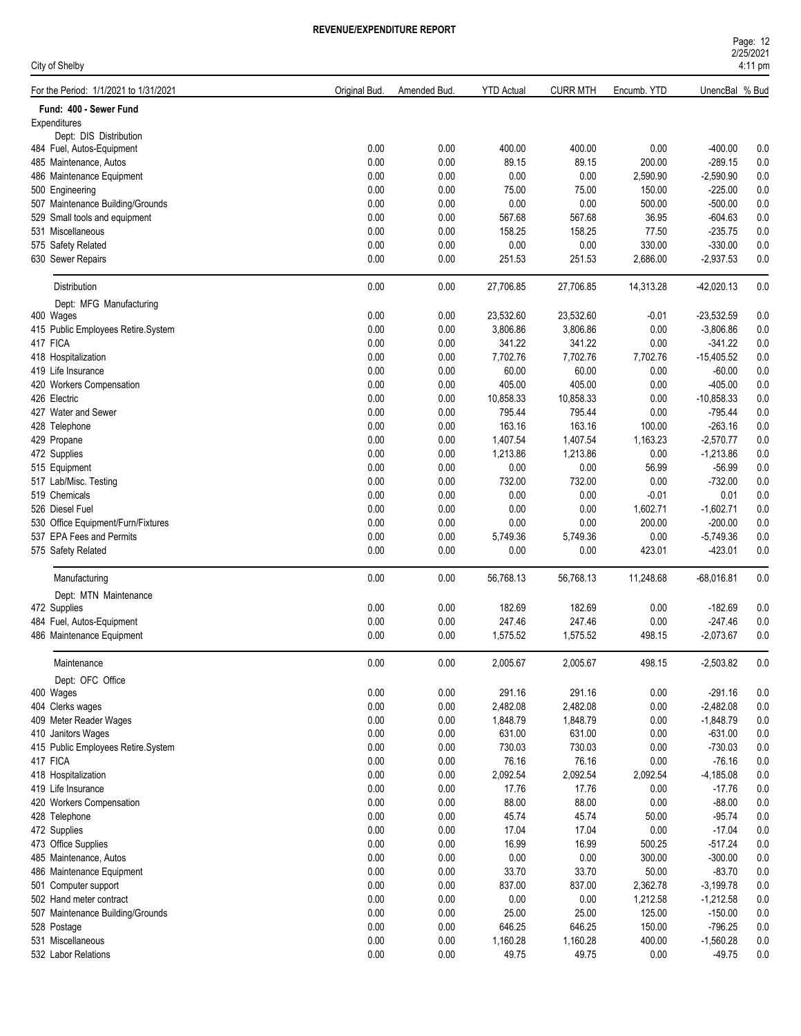| City of Shelby                        |               |              |                   |                 |             | 4:11 pm        |     |  |
|---------------------------------------|---------------|--------------|-------------------|-----------------|-------------|----------------|-----|--|
| For the Period: 1/1/2021 to 1/31/2021 | Original Bud. | Amended Bud. | <b>YTD Actual</b> | <b>CURR MTH</b> | Encumb. YTD | UnencBal % Bud |     |  |
| Fund: 400 - Sewer Fund                |               |              |                   |                 |             |                |     |  |
| Expenditures                          |               |              |                   |                 |             |                |     |  |
| Dept: DIS Distribution                | 0.00          | 0.00         |                   |                 |             |                |     |  |
| 484 Fuel, Autos-Equipment             |               |              | 400.00            | 400.00          | 0.00        | $-400.00$      | 0.0 |  |
| 485 Maintenance, Autos                | 0.00          | 0.00         | 89.15             | 89.15           | 200.00      | $-289.15$      | 0.0 |  |
| 486 Maintenance Equipment             | 0.00          | 0.00         | 0.00              | 0.00            | 2,590.90    | $-2,590.90$    | 0.0 |  |
| 500 Engineering                       | 0.00          | 0.00         | 75.00             | 75.00           | 150.00      | $-225.00$      | 0.0 |  |
| 507 Maintenance Building/Grounds      | 0.00          | 0.00         | 0.00              | 0.00            | 500.00      | $-500.00$      | 0.0 |  |
| 529 Small tools and equipment         | 0.00          | 0.00         | 567.68            | 567.68          | 36.95       | $-604.63$      | 0.0 |  |
| 531 Miscellaneous                     | 0.00          | 0.00         | 158.25            | 158.25          | 77.50       | $-235.75$      | 0.0 |  |
| 575 Safety Related                    | 0.00          | 0.00         | 0.00              | 0.00            | 330.00      | $-330.00$      | 0.0 |  |
| 630 Sewer Repairs                     | 0.00          | 0.00         | 251.53            | 251.53          | 2,686.00    | $-2,937.53$    | 0.0 |  |
| Distribution                          | 0.00          | 0.00         | 27,706.85         | 27,706.85       | 14,313.28   | $-42,020.13$   | 0.0 |  |
| Dept: MFG Manufacturing               |               |              |                   |                 |             |                |     |  |
| 400 Wages                             | 0.00          | 0.00         | 23,532.60         | 23,532.60       | $-0.01$     | $-23,532.59$   | 0.0 |  |
| 415 Public Employees Retire.System    | 0.00          | 0.00         | 3,806.86          | 3,806.86        | 0.00        | $-3,806.86$    | 0.0 |  |
| 417 FICA                              | 0.00          | 0.00         | 341.22            | 341.22          | 0.00        | $-341.22$      | 0.0 |  |
| 418 Hospitalization                   | 0.00          | 0.00         | 7,702.76          | 7,702.76        | 7,702.76    | $-15,405.52$   | 0.0 |  |
| 419 Life Insurance                    | 0.00          | 0.00         | 60.00             | 60.00           | 0.00        | $-60.00$       | 0.0 |  |
| 420 Workers Compensation              | 0.00          | 0.00         | 405.00            | 405.00          | 0.00        | $-405.00$      | 0.0 |  |
| 426 Electric                          | 0.00          | 0.00         | 10,858.33         | 10,858.33       | 0.00        | $-10,858.33$   | 0.0 |  |
| 427 Water and Sewer                   | 0.00          | 0.00         | 795.44            | 795.44          | 0.00        | $-795.44$      | 0.0 |  |
| 428 Telephone                         | 0.00          | 0.00         | 163.16            | 163.16          | 100.00      | $-263.16$      | 0.0 |  |
| 429 Propane                           | 0.00          | 0.00         | 1,407.54          | 1,407.54        | 1,163.23    | $-2,570.77$    | 0.0 |  |
| 472 Supplies                          | 0.00          | 0.00         | 1,213.86          | 1,213.86        | 0.00        | $-1,213.86$    | 0.0 |  |
| 515 Equipment                         | 0.00          | 0.00         | 0.00              | 0.00            | 56.99       | $-56.99$       | 0.0 |  |
| 517 Lab/Misc. Testing                 | 0.00          | 0.00         | 732.00            | 732.00          | 0.00        | $-732.00$      | 0.0 |  |
| 519 Chemicals                         | 0.00          | 0.00         | 0.00              | 0.00            | $-0.01$     | 0.01           | 0.0 |  |
| 526 Diesel Fuel                       | 0.00          | 0.00         | 0.00              | 0.00            | 1,602.71    | $-1,602.71$    | 0.0 |  |
| 530 Office Equipment/Furn/Fixtures    | 0.00          | 0.00         | 0.00              | 0.00            | 200.00      | $-200.00$      | 0.0 |  |
| 537 EPA Fees and Permits              | 0.00          | 0.00         | 5,749.36          | 5,749.36        | 0.00        | $-5,749.36$    | 0.0 |  |
| 575 Safety Related                    | 0.00          | 0.00         | 0.00              | 0.00            | 423.01      | $-423.01$      | 0.0 |  |
| Manufacturing                         | 0.00          | 0.00         | 56,768.13         | 56,768.13       | 11,248.68   | $-68,016.81$   | 0.0 |  |
| Dept: MTN Maintenance                 |               |              |                   |                 |             |                |     |  |
| 472 Supplies                          | 0.00          | 0.00         | 182.69            | 182.69          | 0.00        | $-182.69$      | 0.0 |  |
| 484 Fuel, Autos-Equipment             | 0.00          | 0.00         | 247.46            | 247.46          | 0.00        | $-247.46$      | 0.0 |  |
| 486 Maintenance Equipment             | 0.00          | 0.00         | 1,575.52          | 1,575.52        | 498.15      | $-2,073.67$    | 0.0 |  |
|                                       |               |              |                   |                 |             |                |     |  |
| Maintenance                           | 0.00          | 0.00         | 2,005.67          | 2,005.67        | 498.15      | $-2,503.82$    | 0.0 |  |
| Dept: OFC Office<br>400 Wages         | 0.00          | 0.00         | 291.16            | 291.16          | 0.00        | $-291.16$      | 0.0 |  |
| 404 Clerks wages                      | 0.00          | 0.00         | 2,482.08          | 2,482.08        | 0.00        | $-2,482.08$    | 0.0 |  |
| 409 Meter Reader Wages                | 0.00          | 0.00         | 1,848.79          | 1,848.79        | 0.00        | $-1,848.79$    | 0.0 |  |
| 410 Janitors Wages                    | 0.00          | 0.00         | 631.00            | 631.00          | 0.00        | $-631.00$      | 0.0 |  |
| 415 Public Employees Retire.System    | 0.00          | 0.00         | 730.03            | 730.03          | 0.00        | $-730.03$      | 0.0 |  |
| 417 FICA                              | 0.00          | 0.00         | 76.16             | 76.16           | 0.00        | $-76.16$       | 0.0 |  |
| 418 Hospitalization                   | 0.00          | 0.00         | 2,092.54          | 2,092.54        | 2,092.54    | $-4,185.08$    | 0.0 |  |
| 419 Life Insurance                    | 0.00          | 0.00         | 17.76             | 17.76           | 0.00        | $-17.76$       | 0.0 |  |
|                                       |               |              |                   |                 |             |                |     |  |
| 420 Workers Compensation              | 0.00          | 0.00         | 88.00             | 88.00           | 0.00        | $-88.00$       | 0.0 |  |
| 428 Telephone                         | 0.00          | 0.00         | 45.74             | 45.74           | 50.00       | $-95.74$       | 0.0 |  |
| 472 Supplies                          | 0.00          | 0.00         | 17.04             | 17.04           | 0.00        | $-17.04$       | 0.0 |  |
| 473 Office Supplies                   | 0.00          | 0.00         | 16.99             | 16.99           | 500.25      | $-517.24$      | 0.0 |  |
| 485 Maintenance, Autos                | 0.00          | 0.00         | 0.00              | 0.00            | 300.00      | $-300.00$      | 0.0 |  |
| 486 Maintenance Equipment             | 0.00          | 0.00         | 33.70             | 33.70           | 50.00       | $-83.70$       | 0.0 |  |
| 501 Computer support                  | 0.00          | 0.00         | 837.00            | 837.00          | 2,362.78    | $-3,199.78$    | 0.0 |  |
| 502 Hand meter contract               | 0.00          | 0.00         | 0.00              | 0.00            | 1,212.58    | $-1,212.58$    | 0.0 |  |
| 507 Maintenance Building/Grounds      | 0.00          | 0.00         | 25.00             | 25.00           | 125.00      | $-150.00$      | 0.0 |  |
| 528 Postage                           | 0.00          | 0.00         | 646.25            | 646.25          | 150.00      | $-796.25$      | 0.0 |  |
| 531 Miscellaneous                     | 0.00          | 0.00         | 1,160.28          | 1,160.28        | 400.00      | $-1,560.28$    | 0.0 |  |
| 532 Labor Relations                   | 0.00          | 0.00         | 49.75             | 49.75           | 0.00        | $-49.75$       | 0.0 |  |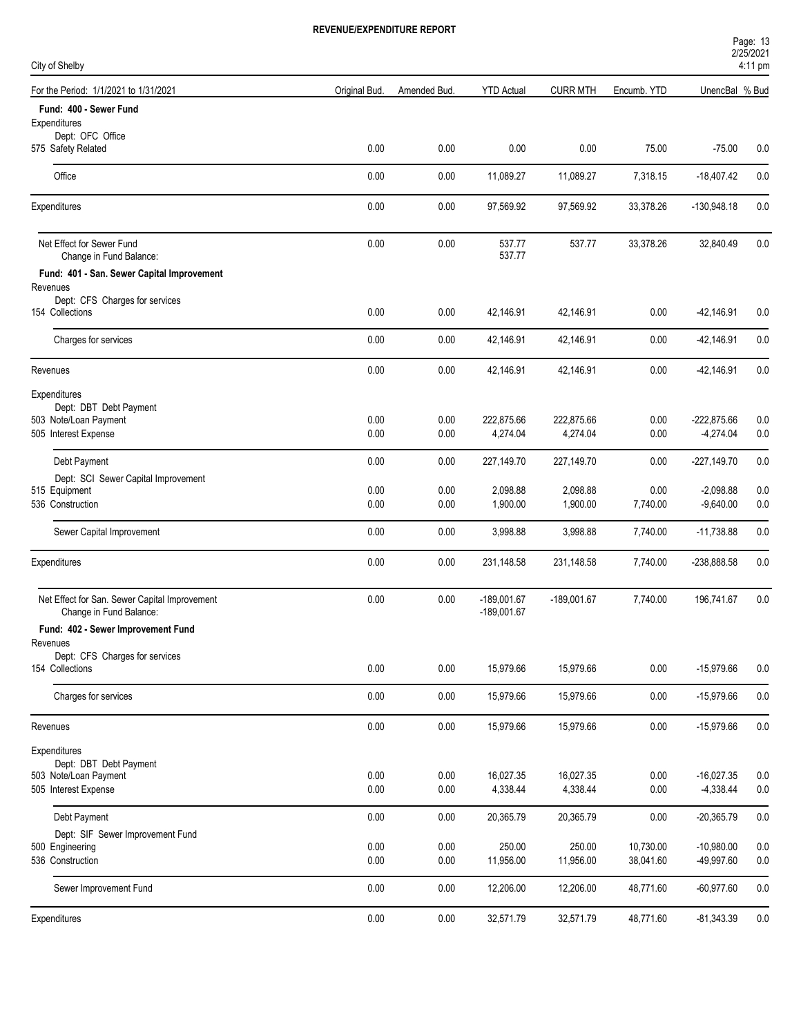| Page: 13          |
|-------------------|
| 2/25/2021         |
| $4:11 \text{ pm}$ |

| City of Shelby                                                           |               |              |                                |                      |                  |                            | 4:11 pm    |
|--------------------------------------------------------------------------|---------------|--------------|--------------------------------|----------------------|------------------|----------------------------|------------|
| For the Period: 1/1/2021 to 1/31/2021                                    | Original Bud. | Amended Bud. | <b>YTD Actual</b>              | <b>CURR MTH</b>      | Encumb. YTD      | UnencBal % Bud             |            |
| Fund: 400 - Sewer Fund                                                   |               |              |                                |                      |                  |                            |            |
| Expenditures                                                             |               |              |                                |                      |                  |                            |            |
| Dept: OFC Office<br>575 Safety Related                                   | 0.00          | 0.00         | 0.00                           | 0.00                 | 75.00            | $-75.00$                   | 0.0        |
| Office                                                                   | 0.00          | 0.00         | 11,089.27                      | 11,089.27            | 7,318.15         | $-18,407.42$               | 0.0        |
| Expenditures                                                             | 0.00          | 0.00         | 97,569.92                      | 97,569.92            | 33,378.26        | $-130,948.18$              | 0.0        |
| Net Effect for Sewer Fund<br>Change in Fund Balance:                     | 0.00          | 0.00         | 537.77<br>537.77               | 537.77               | 33,378.26        | 32,840.49                  | 0.0        |
| Fund: 401 - San. Sewer Capital Improvement                               |               |              |                                |                      |                  |                            |            |
| Revenues                                                                 |               |              |                                |                      |                  |                            |            |
| Dept: CFS Charges for services<br>154 Collections                        | 0.00          | 0.00         | 42,146.91                      | 42,146.91            | 0.00             | $-42,146.91$               | 0.0        |
| Charges for services                                                     | 0.00          | 0.00         | 42,146.91                      | 42,146.91            | 0.00             | $-42,146.91$               | 0.0        |
| Revenues                                                                 | 0.00          | 0.00         | 42,146.91                      | 42,146.91            | 0.00             | $-42,146.91$               | 0.0        |
| Expenditures                                                             |               |              |                                |                      |                  |                            |            |
| Dept: DBT Debt Payment<br>503 Note/Loan Payment                          | 0.00          | 0.00         | 222,875.66                     | 222,875.66           | 0.00             | $-222,875.66$              | 0.0        |
| 505 Interest Expense                                                     | 0.00          | 0.00         | 4,274.04                       | 4,274.04             | 0.00             | $-4,274.04$                | 0.0        |
|                                                                          |               |              |                                |                      |                  |                            |            |
| Debt Payment                                                             | 0.00          | 0.00         | 227,149.70                     | 227,149.70           | 0.00             | $-227,149.70$              | 0.0        |
| Dept: SCI Sewer Capital Improvement                                      |               |              |                                |                      |                  |                            |            |
| 515 Equipment<br>536 Construction                                        | 0.00<br>0.00  | 0.00<br>0.00 | 2,098.88<br>1,900.00           | 2,098.88<br>1,900.00 | 0.00<br>7,740.00 | $-2,098.88$<br>$-9,640.00$ | 0.0<br>0.0 |
|                                                                          |               |              |                                |                      |                  |                            |            |
| Sewer Capital Improvement                                                | 0.00          | 0.00         | 3,998.88                       | 3,998.88             | 7,740.00         | $-11,738.88$               | 0.0        |
| Expenditures                                                             | 0.00          | 0.00         | 231,148.58                     | 231,148.58           | 7,740.00         | -238,888.58                | 0.0        |
| Net Effect for San. Sewer Capital Improvement<br>Change in Fund Balance: | 0.00          | 0.00         | $-189,001.67$<br>$-189,001.67$ | $-189,001.67$        | 7,740.00         | 196,741.67                 | 0.0        |
| Fund: 402 - Sewer Improvement Fund                                       |               |              |                                |                      |                  |                            |            |
| Revenues                                                                 |               |              |                                |                      |                  |                            |            |
| Dept: CFS Charges for services<br>154 Collections                        | 0.00          | 0.00         | 15,979.66                      | 15,979.66            | 0.00             | $-15,979.66$               | 0.0        |
| Charges for services                                                     | 0.00          | 0.00         | 15,979.66                      | 15,979.66            | 0.00             | $-15,979.66$               | 0.0        |
| Revenues                                                                 | 0.00          | 0.00         | 15,979.66                      | 15,979.66            | 0.00             | $-15,979.66$               | 0.0        |
| Expenditures                                                             |               |              |                                |                      |                  |                            |            |
| Dept: DBT Debt Payment<br>503 Note/Loan Payment                          | 0.00          | $0.00\,$     | 16,027.35                      | 16,027.35            | 0.00             | $-16,027.35$               | 0.0        |
| 505 Interest Expense                                                     | 0.00          | 0.00         | 4,338.44                       | 4,338.44             | 0.00             | $-4,338.44$                | $0.0\,$    |
|                                                                          |               |              |                                |                      |                  |                            |            |
| Debt Payment                                                             | 0.00          | 0.00         | 20,365.79                      | 20,365.79            | 0.00             | $-20,365.79$               | 0.0        |
| Dept: SIF Sewer Improvement Fund<br>500 Engineering                      | 0.00          | 0.00         | 250.00                         | 250.00               | 10,730.00        | $-10,980.00$               | 0.0        |
| 536 Construction                                                         | 0.00          | $0.00\,$     | 11,956.00                      | 11,956.00            | 38,041.60        | -49,997.60                 | 0.0        |
| Sewer Improvement Fund                                                   | 0.00          | 0.00         | 12,206.00                      | 12,206.00            | 48,771.60        | $-60,977.60$               | 0.0        |
|                                                                          |               |              |                                |                      |                  |                            |            |
| Expenditures                                                             | 0.00          | 0.00         | 32,571.79                      | 32,571.79            | 48,771.60        | $-81,343.39$               | 0.0        |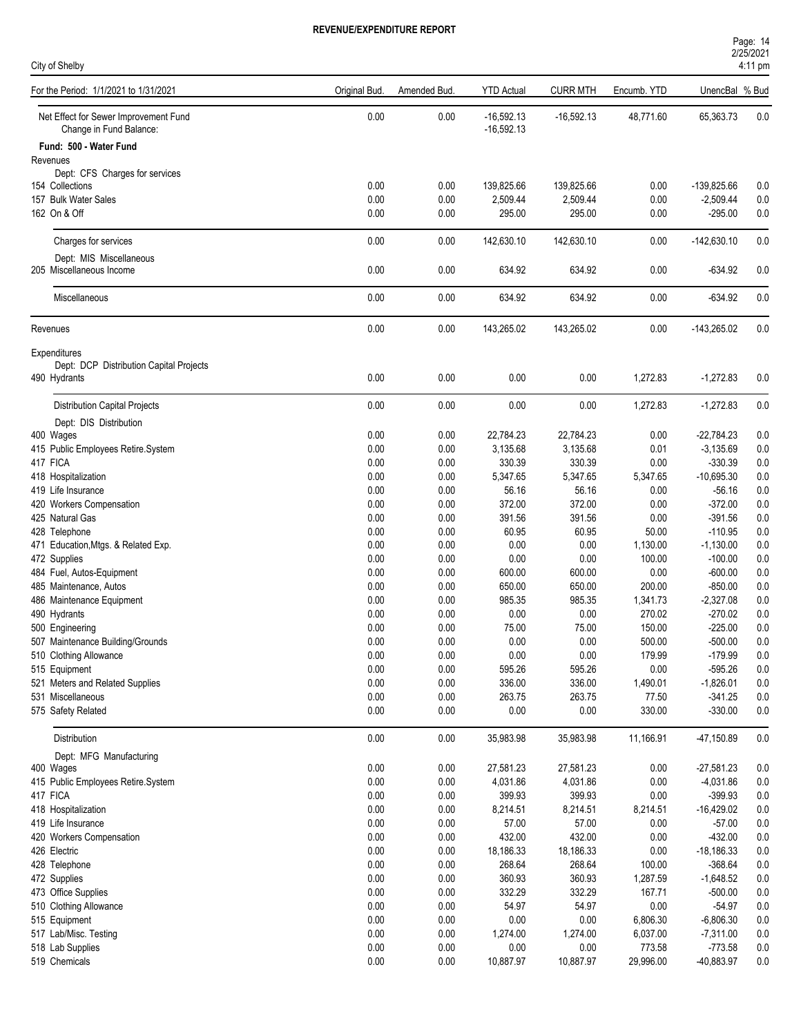| Page: 14          |  |  |  |
|-------------------|--|--|--|
| 2/25/2021         |  |  |  |
| $4:11 \text{ pm}$ |  |  |  |

| City of Shelby                                                   |               |              |                              |                 |             |                | 4:11 pm |
|------------------------------------------------------------------|---------------|--------------|------------------------------|-----------------|-------------|----------------|---------|
| For the Period: 1/1/2021 to 1/31/2021                            | Original Bud. | Amended Bud. | <b>YTD Actual</b>            | <b>CURR MTH</b> | Encumb. YTD | UnencBal % Bud |         |
| Net Effect for Sewer Improvement Fund<br>Change in Fund Balance: | 0.00          | 0.00         | $-16,592.13$<br>$-16,592.13$ | $-16,592.13$    | 48,771.60   | 65,363.73      | 0.0     |
| Fund: 500 - Water Fund                                           |               |              |                              |                 |             |                |         |
| Revenues                                                         |               |              |                              |                 |             |                |         |
| Dept: CFS Charges for services<br>154 Collections                | 0.00          | 0.00         | 139,825.66                   | 139,825.66      | 0.00        | $-139,825.66$  | 0.0     |
| 157 Bulk Water Sales                                             | 0.00          | 0.00         | 2,509.44                     | 2,509.44        | 0.00        | $-2,509.44$    | $0.0\,$ |
| 162 On & Off                                                     | 0.00          | 0.00         | 295.00                       | 295.00          | 0.00        | $-295.00$      | 0.0     |
|                                                                  |               |              |                              |                 |             |                |         |
| Charges for services                                             | 0.00          | 0.00         | 142,630.10                   | 142,630.10      | 0.00        | $-142,630.10$  | 0.0     |
| Dept: MIS Miscellaneous                                          |               |              |                              |                 |             |                |         |
| 205 Miscellaneous Income                                         | 0.00          | 0.00         | 634.92                       | 634.92          | 0.00        | $-634.92$      | 0.0     |
|                                                                  |               |              |                              |                 |             |                |         |
| Miscellaneous                                                    | 0.00          | 0.00         | 634.92                       | 634.92          | 0.00        | $-634.92$      | 0.0     |
|                                                                  |               |              |                              |                 |             |                |         |
| Revenues                                                         | 0.00          | 0.00         | 143,265.02                   | 143,265.02      | 0.00        | $-143,265.02$  | 0.0     |
|                                                                  |               |              |                              |                 |             |                |         |
| <b>Expenditures</b>                                              |               |              |                              |                 |             |                |         |
| Dept: DCP Distribution Capital Projects<br>490 Hydrants          | 0.00          | 0.00         | 0.00                         | 0.00            | 1,272.83    | $-1,272.83$    | 0.0     |
|                                                                  |               |              |                              |                 |             |                |         |
| <b>Distribution Capital Projects</b>                             | 0.00          | 0.00         | 0.00                         | 0.00            | 1,272.83    | $-1,272.83$    | 0.0     |
|                                                                  |               |              |                              |                 |             |                |         |
| Dept: DIS Distribution<br>400 Wages                              | 0.00          | 0.00         | 22,784.23                    | 22,784.23       | 0.00        | $-22,784.23$   | 0.0     |
| 415 Public Employees Retire.System                               | 0.00          | 0.00         | 3,135.68                     | 3,135.68        | 0.01        | $-3,135.69$    | 0.0     |
| 417 FICA                                                         | 0.00          | 0.00         | 330.39                       | 330.39          | 0.00        | $-330.39$      | 0.0     |
| 418 Hospitalization                                              | 0.00          | 0.00         | 5,347.65                     | 5,347.65        | 5,347.65    | $-10,695.30$   | 0.0     |
| 419 Life Insurance                                               | 0.00          | 0.00         | 56.16                        | 56.16           | 0.00        | $-56.16$       | 0.0     |
| 420 Workers Compensation                                         | 0.00          | 0.00         | 372.00                       | 372.00          | 0.00        | $-372.00$      | 0.0     |
| 425 Natural Gas                                                  | 0.00          | 0.00         | 391.56                       | 391.56          | 0.00        | $-391.56$      | 0.0     |
| 428 Telephone                                                    | 0.00          | 0.00         | 60.95                        | 60.95           | 50.00       | $-110.95$      | 0.0     |
| 471 Education, Mtgs. & Related Exp.                              | 0.00          | 0.00         | 0.00                         | 0.00            | 1,130.00    | $-1,130.00$    | 0.0     |
| 472 Supplies                                                     | 0.00          | 0.00         | 0.00                         | 0.00            | 100.00      | $-100.00$      | 0.0     |
| 484 Fuel, Autos-Equipment                                        | 0.00          | 0.00         | 600.00                       | 600.00          | 0.00        | $-600.00$      | 0.0     |
| 485 Maintenance, Autos                                           | 0.00          | 0.00         | 650.00                       | 650.00          | 200.00      | $-850.00$      | 0.0     |
| 486 Maintenance Equipment                                        | 0.00          | 0.00         | 985.35                       | 985.35          | 1,341.73    | $-2,327.08$    | 0.0     |
| 490 Hydrants                                                     | 0.00          | 0.00         | 0.00                         | 0.00            | 270.02      | $-270.02$      | 0.0     |
| 500 Engineering                                                  | 0.00          | 0.00         | 75.00                        | 75.00           | 150.00      | $-225.00$      | 0.0     |
| 507 Maintenance Building/Grounds                                 | $0.00\,$      | 0.00         | 0.00                         | 0.00            | 500.00      | $-500.00$      | 0.0     |
| 510 Clothing Allowance                                           | 0.00          | 0.00         | 0.00                         | 0.00            | 179.99      | $-179.99$      | 0.0     |
| 515 Equipment                                                    | 0.00          | 0.00         | 595.26                       | 595.26          | 0.00        | $-595.26$      | $0.0\,$ |
| 521 Meters and Related Supplies                                  | $0.00\,$      | 0.00         | 336.00                       | 336.00          | 1,490.01    | $-1,826.01$    | $0.0\,$ |
| 531 Miscellaneous                                                | 0.00          | 0.00         | 263.75                       | 263.75          | 77.50       | $-341.25$      | 0.0     |
| 575 Safety Related                                               | 0.00          | 0.00         | 0.00                         | 0.00            | 330.00      | $-330.00$      | 0.0     |
| Distribution                                                     | 0.00          | 0.00         | 35,983.98                    | 35,983.98       | 11,166.91   | -47,150.89     | $0.0\,$ |
| Dept: MFG Manufacturing                                          |               |              |                              |                 |             |                |         |
| 400 Wages                                                        | 0.00          | 0.00         | 27,581.23                    | 27,581.23       | 0.00        | $-27,581.23$   | 0.0     |
| 415 Public Employees Retire.System                               | 0.00          | 0.00         | 4,031.86                     | 4,031.86        | 0.00        | $-4,031.86$    | 0.0     |
| 417 FICA                                                         | 0.00          | 0.00         | 399.93                       | 399.93          | 0.00        | $-399.93$      | $0.0\,$ |
| 418 Hospitalization                                              | 0.00          | 0.00         | 8,214.51                     | 8,214.51        | 8,214.51    | $-16,429.02$   | $0.0\,$ |
| 419 Life Insurance                                               | 0.00          | 0.00         | 57.00                        | 57.00           | 0.00        | $-57.00$       | 0.0     |
| 420 Workers Compensation                                         | 0.00          | 0.00         | 432.00                       | 432.00          | 0.00        | $-432.00$      | $0.0\,$ |
| 426 Electric                                                     | 0.00          | 0.00         | 18,186.33                    | 18,186.33       | 0.00        | $-18,186.33$   | $0.0\,$ |
| 428 Telephone                                                    | 0.00          | 0.00         | 268.64                       | 268.64          | 100.00      | $-368.64$      | $0.0\,$ |
| 472 Supplies                                                     | 0.00          | 0.00         | 360.93                       | 360.93          | 1,287.59    | $-1,648.52$    | 0.0     |
| 473 Office Supplies                                              | 0.00          | 0.00         | 332.29                       | 332.29          | 167.71      | $-500.00$      | 0.0     |
| 510 Clothing Allowance                                           | 0.00          | 0.00         | 54.97                        | 54.97           | 0.00        | $-54.97$       | 0.0     |
| 515 Equipment                                                    | 0.00          | 0.00         | $0.00\,$                     | 0.00            | 6,806.30    | $-6,806.30$    | 0.0     |
| 517 Lab/Misc. Testing                                            | 0.00          | 0.00         | 1,274.00                     | 1,274.00        | 6,037.00    | $-7,311.00$    | 0.0     |
| 518 Lab Supplies                                                 | 0.00          | 0.00         | 0.00                         | 0.00            | 773.58      | $-773.58$      | 0.0     |
| 519 Chemicals                                                    | 0.00          | 0.00         | 10,887.97                    | 10,887.97       | 29,996.00   | -40,883.97     | $0.0\,$ |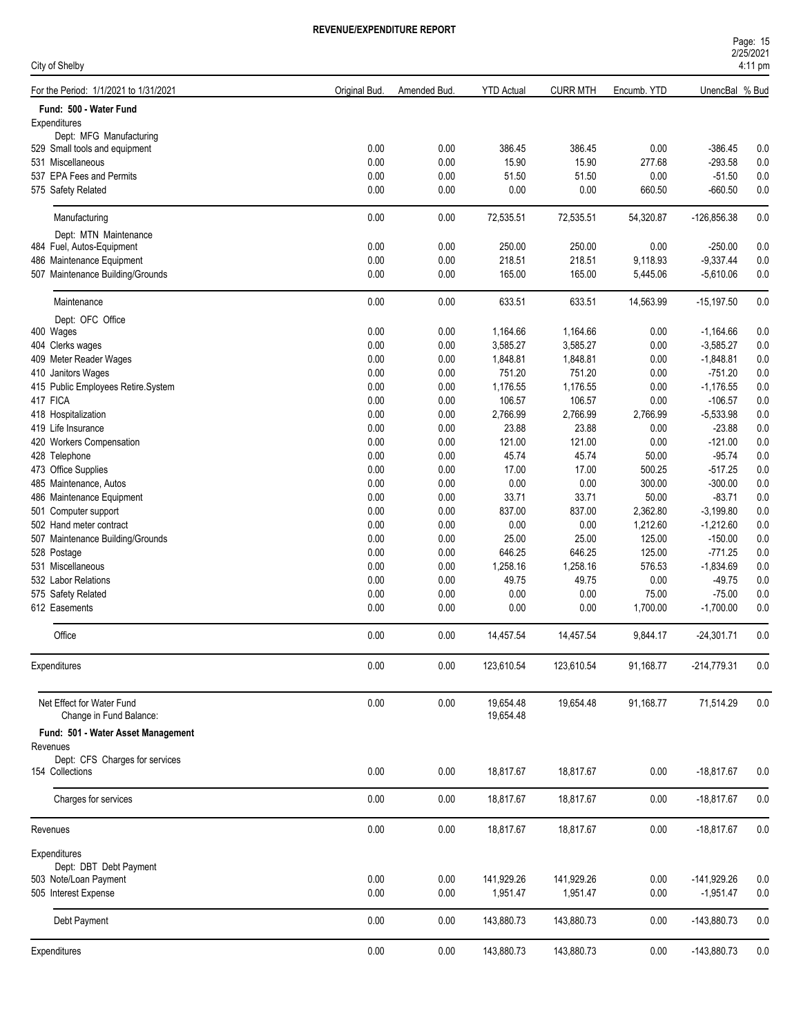| City of Shelby                                                |               |              |                        |                  |                      |                            | 4:11 pm        |
|---------------------------------------------------------------|---------------|--------------|------------------------|------------------|----------------------|----------------------------|----------------|
| For the Period: 1/1/2021 to 1/31/2021                         | Original Bud. | Amended Bud. | <b>YTD Actual</b>      | <b>CURR MTH</b>  | Encumb. YTD          | UnencBal % Bud             |                |
| Fund: 500 - Water Fund                                        |               |              |                        |                  |                      |                            |                |
| Expenditures                                                  |               |              |                        |                  |                      |                            |                |
| Dept: MFG Manufacturing                                       |               |              |                        |                  |                      |                            |                |
| 529 Small tools and equipment<br>531 Miscellaneous            | 0.00<br>0.00  | 0.00<br>0.00 | 386.45<br>15.90        | 386.45<br>15.90  | 0.00<br>277.68       | $-386.45$<br>$-293.58$     | 0.0<br>$0.0\,$ |
| 537 EPA Fees and Permits                                      | 0.00          | 0.00         | 51.50                  | 51.50            | 0.00                 | $-51.50$                   | 0.0            |
| 575 Safety Related                                            | 0.00          | 0.00         | 0.00                   | 0.00             | 660.50               | $-660.50$                  | 0.0            |
|                                                               |               |              |                        |                  |                      |                            |                |
| Manufacturing                                                 | 0.00          | 0.00         | 72,535.51              | 72,535.51        | 54,320.87            | $-126,856.38$              | 0.0            |
| Dept: MTN Maintenance                                         |               |              |                        |                  |                      |                            |                |
| 484 Fuel, Autos-Equipment                                     | 0.00<br>0.00  | 0.00<br>0.00 | 250.00<br>218.51       | 250.00<br>218.51 | 0.00                 | $-250.00$                  | 0.0            |
| 486 Maintenance Equipment<br>507 Maintenance Building/Grounds | 0.00          | 0.00         | 165.00                 | 165.00           | 9,118.93<br>5,445.06 | $-9,337.44$<br>$-5,610.06$ | 0.0<br>0.0     |
|                                                               |               |              |                        |                  |                      |                            |                |
| Maintenance                                                   | 0.00          | 0.00         | 633.51                 | 633.51           | 14,563.99            | $-15,197.50$               | 0.0            |
| Dept: OFC Office                                              |               |              |                        |                  |                      |                            |                |
| 400 Wages                                                     | 0.00          | 0.00         | 1,164.66               | 1,164.66         | 0.00                 | $-1,164.66$                | 0.0            |
| 404 Clerks wages                                              | 0.00          | 0.00         | 3,585.27               | 3,585.27         | 0.00                 | $-3,585.27$                | 0.0            |
| 409 Meter Reader Wages                                        | 0.00          | 0.00         | 1,848.81               | 1,848.81         | 0.00                 | $-1,848.81$                | 0.0            |
| 410 Janitors Wages                                            | 0.00          | 0.00         | 751.20                 | 751.20           | 0.00                 | $-751.20$                  | 0.0            |
| 415 Public Employees Retire.System                            | 0.00          | 0.00         | 1,176.55               | 1,176.55         | 0.00                 | $-1,176.55$                | 0.0            |
| 417 FICA                                                      | 0.00          | 0.00         | 106.57                 | 106.57           | 0.00                 | $-106.57$                  | 0.0            |
| 418 Hospitalization                                           | 0.00          | 0.00         | 2,766.99               | 2,766.99         | 2,766.99             | $-5,533.98$                | 0.0            |
| 419 Life Insurance                                            | 0.00          | 0.00         | 23.88                  | 23.88            | 0.00                 | $-23.88$                   | 0.0            |
| 420 Workers Compensation                                      | 0.00          | 0.00         | 121.00                 | 121.00           | 0.00                 | $-121.00$                  | $0.0\,$        |
| 428 Telephone<br>473 Office Supplies                          | 0.00<br>0.00  | 0.00<br>0.00 | 45.74<br>17.00         | 45.74<br>17.00   | 50.00<br>500.25      | $-95.74$<br>$-517.25$      | 0.0<br>0.0     |
| 485 Maintenance, Autos                                        | 0.00          | 0.00         | 0.00                   | 0.00             | 300.00               | $-300.00$                  | 0.0            |
| 486 Maintenance Equipment                                     | 0.00          | 0.00         | 33.71                  | 33.71            | 50.00                | $-83.71$                   | 0.0            |
|                                                               | 0.00          | 0.00         | 837.00                 | 837.00           | 2,362.80             | $-3,199.80$                |                |
| 501 Computer support<br>502 Hand meter contract               | 0.00          | 0.00         | 0.00                   | 0.00             | 1,212.60             | $-1,212.60$                | 0.0<br>0.0     |
| 507 Maintenance Building/Grounds                              | 0.00          | 0.00         | 25.00                  | 25.00            | 125.00               | $-150.00$                  | $0.0\,$        |
| 528 Postage                                                   | 0.00          | 0.00         | 646.25                 | 646.25           | 125.00               | $-771.25$                  | $0.0\,$        |
| 531 Miscellaneous                                             | 0.00          | 0.00         | 1,258.16               | 1,258.16         | 576.53               | $-1,834.69$                | 0.0            |
| 532 Labor Relations                                           | 0.00          | 0.00         | 49.75                  | 49.75            | 0.00                 | $-49.75$                   | 0.0            |
| 575 Safety Related                                            | 0.00          | 0.00         | 0.00                   | 0.00             | 75.00                | $-75.00$                   | $0.0\,$        |
| 612 Easements                                                 | 0.00          | 0.00         | 0.00                   | 0.00             | 1,700.00             | $-1,700.00$                | 0.0            |
| Office                                                        | 0.00          | 0.00         | 14,457.54              | 14,457.54        | 9.844.17             | $-24,301.71$               | 0.0            |
| Expenditures                                                  | 0.00          | 0.00         | 123,610.54             | 123,610.54       | 91,168.77            | $-214,779.31$              | 0.0            |
|                                                               |               |              |                        |                  |                      |                            |                |
| Net Effect for Water Fund<br>Change in Fund Balance:          | 0.00          | 0.00         | 19,654.48<br>19,654.48 | 19,654.48        | 91,168.77            | 71,514.29                  | 0.0            |
| Fund: 501 - Water Asset Management                            |               |              |                        |                  |                      |                            |                |
| Revenues                                                      |               |              |                        |                  |                      |                            |                |
| Dept: CFS Charges for services<br>154 Collections             | 0.00          | 0.00         | 18,817.67              | 18,817.67        | 0.00                 | $-18,817.67$               | 0.0            |
| Charges for services                                          | 0.00          | 0.00         | 18,817.67              | 18,817.67        | 0.00                 | $-18,817.67$               | 0.0            |
| Revenues                                                      | 0.00          | 0.00         | 18,817.67              | 18,817.67        | 0.00                 | $-18,817.67$               | 0.0            |
| Expenditures                                                  |               |              |                        |                  |                      |                            |                |
| Dept: DBT Debt Payment                                        |               |              |                        |                  |                      |                            |                |
| 503 Note/Loan Payment                                         | 0.00          | 0.00         | 141,929.26             | 141,929.26       | 0.00                 | $-141,929.26$              | 0.0            |
| 505 Interest Expense                                          | 0.00          | 0.00         | 1,951.47               | 1,951.47         | 0.00                 | $-1,951.47$                | 0.0            |
| Debt Payment                                                  | 0.00          | 0.00         | 143,880.73             | 143,880.73       | 0.00                 | -143,880.73                | 0.0            |
| Expenditures                                                  | 0.00          | 0.00         | 143,880.73             | 143,880.73       | 0.00                 | $-143,880.73$              | 0.0            |
|                                                               |               |              |                        |                  |                      |                            |                |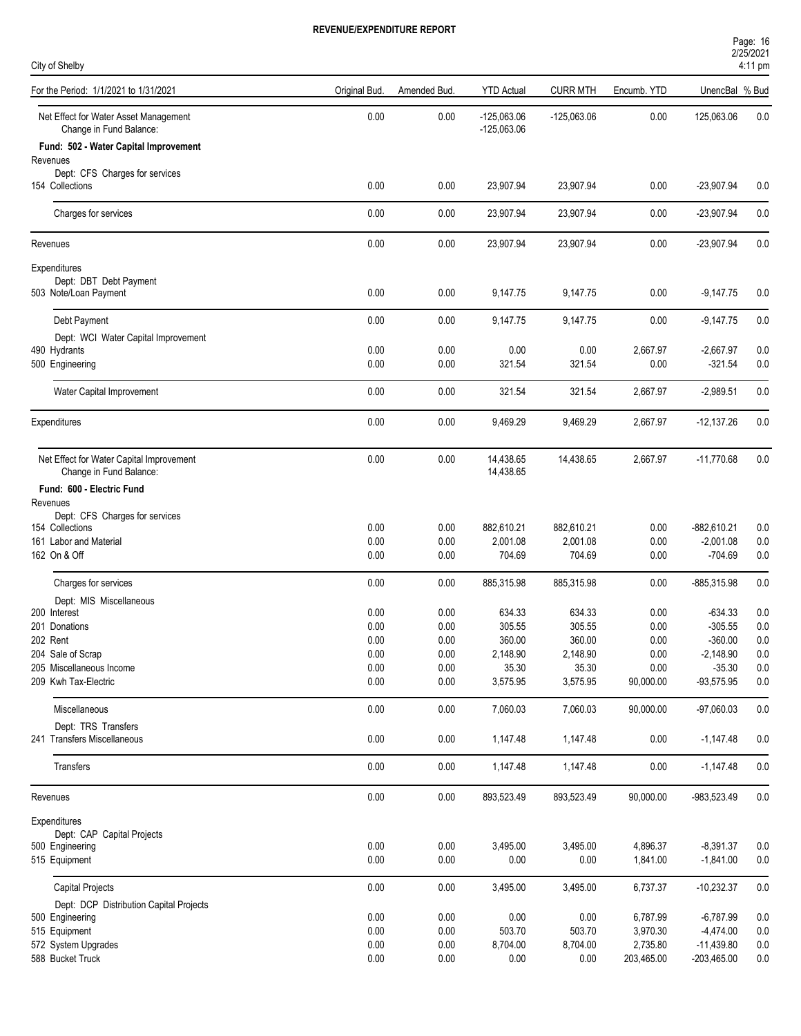| City of Shelby                                                      |               |              |                                |                 |                  |                          | 4:11 pm    |
|---------------------------------------------------------------------|---------------|--------------|--------------------------------|-----------------|------------------|--------------------------|------------|
| For the Period: 1/1/2021 to 1/31/2021                               | Original Bud. | Amended Bud. | <b>YTD</b> Actual              | <b>CURR MTH</b> | Encumb. YTD      | UnencBal % Bud           |            |
| Net Effect for Water Asset Management<br>Change in Fund Balance:    | 0.00          | 0.00         | $-125,063.06$<br>$-125,063.06$ | $-125,063.06$   | 0.00             | 125,063.06               | 0.0        |
| Fund: 502 - Water Capital Improvement<br>Revenues                   |               |              |                                |                 |                  |                          |            |
| Dept: CFS Charges for services                                      |               |              |                                |                 |                  |                          |            |
| 154 Collections                                                     | 0.00          | 0.00         | 23,907.94                      | 23,907.94       | 0.00             | $-23,907.94$             | 0.0        |
| Charges for services                                                | 0.00          | 0.00         | 23,907.94                      | 23,907.94       | 0.00             | $-23,907.94$             | 0.0        |
| Revenues                                                            | 0.00          | 0.00         | 23,907.94                      | 23,907.94       | 0.00             | $-23,907.94$             | 0.0        |
| Expenditures                                                        |               |              |                                |                 |                  |                          |            |
| Dept: DBT Debt Payment<br>503 Note/Loan Payment                     | 0.00          | 0.00         | 9,147.75                       | 9,147.75        | 0.00             | $-9,147.75$              | 0.0        |
| Debt Payment                                                        | 0.00          | 0.00         | 9,147.75                       | 9,147.75        | 0.00             | $-9,147.75$              | 0.0        |
| Dept: WCI Water Capital Improvement                                 |               |              |                                |                 |                  |                          |            |
| 490 Hydrants<br>500 Engineering                                     | 0.00<br>0.00  | 0.00<br>0.00 | 0.00<br>321.54                 | 0.00<br>321.54  | 2,667.97<br>0.00 | $-2,667.97$<br>$-321.54$ | 0.0<br>0.0 |
|                                                                     |               |              |                                |                 |                  |                          |            |
| Water Capital Improvement                                           | 0.00          | 0.00         | 321.54                         | 321.54          | 2,667.97         | $-2,989.51$              | 0.0        |
| Expenditures                                                        | 0.00          | 0.00         | 9,469.29                       | 9,469.29        | 2,667.97         | $-12,137.26$             | 0.0        |
| Net Effect for Water Capital Improvement<br>Change in Fund Balance: | 0.00          | 0.00         | 14,438.65<br>14,438.65         | 14,438.65       | 2,667.97         | $-11,770.68$             | 0.0        |
| Fund: 600 - Electric Fund                                           |               |              |                                |                 |                  |                          |            |
| Revenues<br>Dept: CFS Charges for services                          |               |              |                                |                 |                  |                          |            |
| 154 Collections                                                     | 0.00          | 0.00         | 882,610.21                     | 882,610.21      | 0.00             | $-882,610.21$            | 0.0        |
| 161 Labor and Material                                              | 0.00          | 0.00         | 2,001.08                       | 2,001.08        | 0.00             | $-2,001.08$              | 0.0        |
| 162 On & Off                                                        | 0.00          | 0.00         | 704.69                         | 704.69          | 0.00             | $-704.69$                | 0.0        |
| Charges for services                                                | 0.00          | 0.00         | 885,315.98                     | 885,315.98      | 0.00             | -885,315.98              | 0.0        |
| Dept: MIS Miscellaneous                                             |               |              |                                |                 |                  |                          |            |
| 200 Interest                                                        | 0.00          | 0.00         | 634.33                         | 634.33          | 0.00             | $-634.33$                | 0.0        |
| 201 Donations                                                       | 0.00          | 0.00         | 305.55                         | 305.55          | 0.00             | $-305.55$                | 0.0        |
| 202 Rent                                                            | 0.00          | 0.00         | 360.00                         | 360.00          | 0.00             | $-360.00$                | 0.0        |
| 204 Sale of Scrap                                                   | $0.00\,$      | 0.00         | 2,148.90                       | 2,148.90        | 0.00             | $-2,148.90$              | 0.0        |
| 205 Miscellaneous Income                                            | 0.00          | 0.00         | 35.30                          | 35.30           | 0.00             | $-35.30$                 | 0.0        |
| 209 Kwh Tax-Electric                                                | 0.00          | 0.00         | 3,575.95                       | 3,575.95        | 90,000.00        | $-93,575.95$             | $0.0\,$    |
| Miscellaneous                                                       | 0.00          | 0.00         | 7,060.03                       | 7,060.03        | 90,000.00        | $-97,060.03$             | 0.0        |
| Dept: TRS Transfers<br>241 Transfers Miscellaneous                  | 0.00          | 0.00         | 1,147.48                       | 1,147.48        | 0.00             | $-1,147.48$              | 0.0        |
| Transfers                                                           | $0.00\,$      | 0.00         | 1,147.48                       | 1,147.48        | 0.00             | $-1,147.48$              | 0.0        |
| Revenues                                                            | 0.00          | 0.00         | 893,523.49                     | 893,523.49      | 90,000.00        | -983,523.49              | 0.0        |
| Expenditures                                                        |               |              |                                |                 |                  |                          |            |
| Dept: CAP Capital Projects                                          | $0.00\,$      | 0.00         | 3,495.00                       | 3,495.00        | 4,896.37         | $-8,391.37$              | 0.0        |
| 500 Engineering<br>515 Equipment                                    | 0.00          | 0.00         | 0.00                           | 0.00            | 1,841.00         | $-1,841.00$              | 0.0        |
| Capital Projects                                                    | 0.00          | 0.00         | 3,495.00                       | 3,495.00        | 6,737.37         | $-10,232.37$             | 0.0        |
| Dept: DCP Distribution Capital Projects                             |               |              |                                |                 |                  |                          |            |
| 500 Engineering                                                     | 0.00          | 0.00         | 0.00                           | 0.00            | 6,787.99         | $-6,787.99$              | 0.0        |
| 515 Equipment                                                       | 0.00          | 0.00         | 503.70                         | 503.70          | 3,970.30         | $-4,474.00$              | $0.0\,$    |
| 572 System Upgrades                                                 | 0.00          | 0.00         | 8,704.00                       | 8,704.00        | 2,735.80         | $-11,439.80$             | 0.0        |
| 588 Bucket Truck                                                    | 0.00          | 0.00         | 0.00                           | 0.00            | 203,465.00       | $-203,465.00$            | 0.0        |

588 Bucket Truck 0.00 0.00 0.00 0.00 203,465.00 -203,465.00 0.0

2/25/2021 Page: 16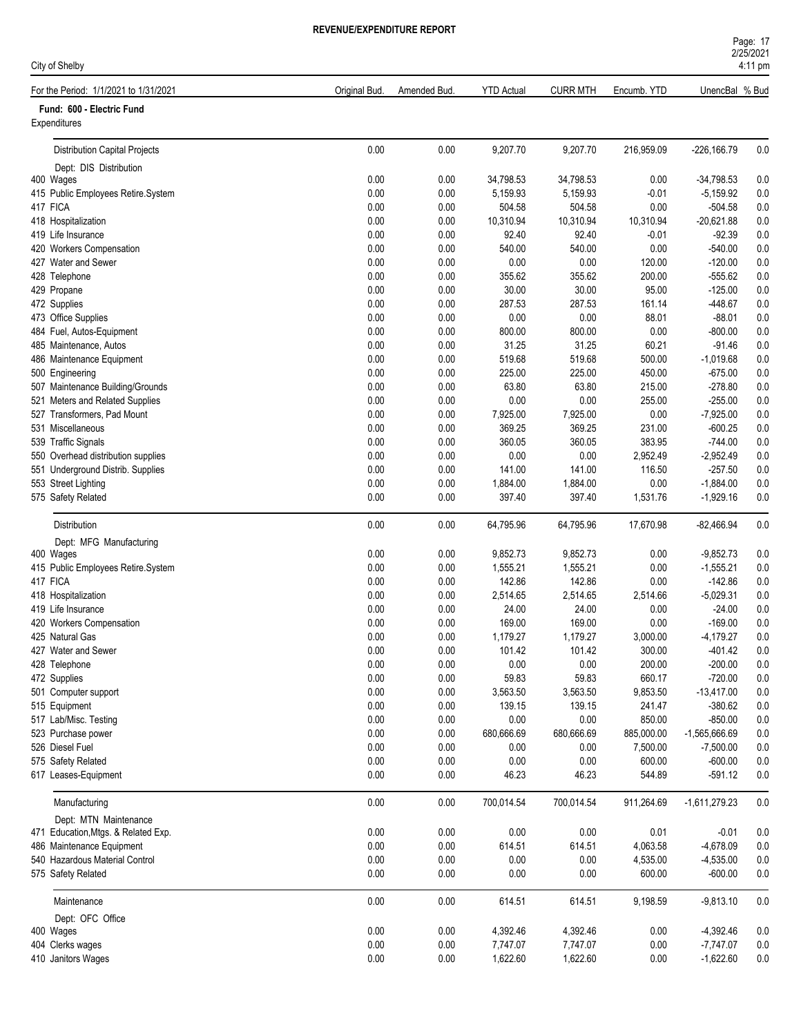|  | NUITURE REFURT |  |
|--|----------------|--|
|  |                |  |

| Page: 17          |  |
|-------------------|--|
| 2/25/2021         |  |
| $4:11 \text{ pm}$ |  |

# For the Period: 1/1/2021 to 1/31/2021 **CHO CONTABLE 1/2010** Original Bud. Amended Bud. YTD Actual CURR MTH Encumb. YTD UnencBal % Bud

|  | Fund: 600 - Electric Fund |  |
|--|---------------------------|--|

City of Shelby

| Fund: 600 - Electric Fund<br>Expenditures |          |      |            |            |            |                 |         |
|-------------------------------------------|----------|------|------------|------------|------------|-----------------|---------|
| <b>Distribution Capital Projects</b>      | 0.00     | 0.00 | 9,207.70   | 9,207.70   | 216,959.09 | $-226,166.79$   | 0.0     |
| Dept: DIS Distribution                    |          |      |            |            |            |                 |         |
| 400 Wages                                 | 0.00     | 0.00 | 34.798.53  | 34,798.53  | 0.00       | $-34,798.53$    | 0.0     |
| 415 Public Employees Retire.System        | 0.00     | 0.00 | 5,159.93   | 5,159.93   | $-0.01$    | $-5,159.92$     | 0.0     |
| 417 FICA                                  | 0.00     | 0.00 | 504.58     | 504.58     | 0.00       | $-504.58$       | 0.0     |
| 418 Hospitalization                       | 0.00     | 0.00 | 10,310.94  | 10,310.94  | 10,310.94  | $-20,621.88$    | 0.0     |
| 419 Life Insurance                        | 0.00     | 0.00 | 92.40      | 92.40      | $-0.01$    | $-92.39$        | 0.0     |
| 420 Workers Compensation                  | 0.00     | 0.00 | 540.00     | 540.00     | 0.00       | $-540.00$       | 0.0     |
| 427 Water and Sewer                       | 0.00     | 0.00 | 0.00       | 0.00       | 120.00     | $-120.00$       | 0.0     |
| 428 Telephone                             | 0.00     | 0.00 | 355.62     | 355.62     | 200.00     | $-555.62$       | 0.0     |
| 429 Propane                               | 0.00     | 0.00 | 30.00      | 30.00      | 95.00      | $-125.00$       | 0.0     |
| 472 Supplies                              | 0.00     | 0.00 | 287.53     | 287.53     | 161.14     | -448.67         | 0.0     |
| 473 Office Supplies                       | 0.00     | 0.00 | 0.00       | 0.00       | 88.01      | $-88.01$        | 0.0     |
| 484 Fuel, Autos-Equipment                 | 0.00     | 0.00 | 800.00     | 800.00     | 0.00       | $-800.00$       | 0.0     |
| 485 Maintenance, Autos                    | 0.00     | 0.00 | 31.25      | 31.25      | 60.21      | $-91.46$        | 0.0     |
| 486 Maintenance Equipment                 | 0.00     | 0.00 | 519.68     | 519.68     | 500.00     | $-1,019.68$     | 0.0     |
| 500 Engineering                           | 0.00     | 0.00 | 225.00     | 225.00     | 450.00     | $-675.00$       | 0.0     |
| 507 Maintenance Building/Grounds          | 0.00     | 0.00 | 63.80      | 63.80      | 215.00     | $-278.80$       | 0.0     |
| 521 Meters and Related Supplies           | 0.00     | 0.00 | 0.00       | 0.00       | 255.00     | $-255.00$       | 0.0     |
| 527 Transformers, Pad Mount               | 0.00     | 0.00 | 7,925.00   | 7,925.00   | 0.00       | $-7,925.00$     | 0.0     |
| 531 Miscellaneous                         | 0.00     | 0.00 | 369.25     | 369.25     | 231.00     | $-600.25$       | 0.0     |
| 539 Traffic Signals                       | 0.00     | 0.00 | 360.05     | 360.05     | 383.95     | $-744.00$       | 0.0     |
| 550 Overhead distribution supplies        | 0.00     | 0.00 | 0.00       | 0.00       | 2,952.49   | $-2,952.49$     | 0.0     |
| 551 Underground Distrib. Supplies         | 0.00     | 0.00 | 141.00     | 141.00     | 116.50     | $-257.50$       | 0.0     |
| 553 Street Lighting                       | 0.00     | 0.00 | 1,884.00   | 1,884.00   | 0.00       | $-1,884.00$     | 0.0     |
| 575 Safety Related                        | 0.00     | 0.00 | 397.40     | 397.40     | 1,531.76   | $-1,929.16$     | 0.0     |
| Distribution                              | 0.00     | 0.00 | 64,795.96  | 64,795.96  | 17,670.98  | $-82,466.94$    | $0.0\,$ |
| Dept: MFG Manufacturing                   |          |      |            |            |            |                 |         |
| 400 Wages                                 | 0.00     | 0.00 | 9,852.73   | 9,852.73   | 0.00       | $-9,852.73$     | 0.0     |
| 415 Public Employees Retire.System        | 0.00     | 0.00 | 1,555.21   | 1,555.21   | 0.00       | $-1,555.21$     | 0.0     |
| 417 FICA                                  | 0.00     | 0.00 | 142.86     | 142.86     | 0.00       | $-142.86$       | 0.0     |
| 418 Hospitalization                       | 0.00     | 0.00 | 2,514.65   | 2,514.65   | 2,514.66   | $-5,029.31$     | 0.0     |
| 419 Life Insurance                        | 0.00     | 0.00 | 24.00      | 24.00      | 0.00       | $-24.00$        | 0.0     |
| 420 Workers Compensation                  | 0.00     | 0.00 | 169.00     | 169.00     | 0.00       | $-169.00$       | 0.0     |
| 425 Natural Gas                           | 0.00     | 0.00 | 1,179.27   | 1,179.27   | 3,000.00   | $-4,179.27$     | 0.0     |
| 427 Water and Sewer                       | 0.00     | 0.00 | 101.42     | 101.42     | 300.00     | $-401.42$       | 0.0     |
| 428 Telephone                             | 0.00     | 0.00 | 0.00       | 0.00       | 200.00     | $-200.00$       | 0.0     |
| 472 Supplies                              | 0.00     | 0.00 | 59.83      | 59.83      | 660.17     | $-720.00$       | 0.0     |
| 501 Computer support                      | 0.00     | 0.00 | 3,563.50   | 3,563.50   | 9,853.50   | $-13,417.00$    | 0.0     |
| 515 Equipment                             | 0.00     | 0.00 | 139.15     | 139.15     | 241.47     | $-380.62$       | 0.0     |
| 517 Lab/Misc. Testing                     | 0.00     | 0.00 | 0.00       | 0.00       | 850.00     | $-850.00$       | 0.0     |
| 523 Purchase power                        | 0.00     | 0.00 | 680,666.69 | 680,666.69 | 885,000.00 | $-1,565,666.69$ | 0.0     |
| 526 Diesel Fuel                           | 0.00     | 0.00 | 0.00       | 0.00       | 7,500.00   | $-7,500.00$     | 0.0     |
| 575 Safety Related                        | 0.00     | 0.00 | 0.00       | 0.00       | 600.00     | $-600.00$       | 0.0     |
| 617 Leases-Equipment                      | 0.00     | 0.00 | 46.23      | 46.23      | 544.89     | $-591.12$       | 0.0     |
| Manufacturing                             | 0.00     | 0.00 | 700,014.54 | 700,014.54 | 911,264.69 | $-1,611,279.23$ | 0.0     |
| Dept: MTN Maintenance                     |          |      |            |            |            |                 |         |
| 471 Education, Mtgs. & Related Exp.       | $0.00\,$ | 0.00 | 0.00       | 0.00       | 0.01       | $-0.01$         | $0.0\,$ |
| 486 Maintenance Equipment                 | 0.00     | 0.00 | 614.51     | 614.51     | 4,063.58   | $-4,678.09$     | 0.0     |
| 540 Hazardous Material Control            | 0.00     | 0.00 | 0.00       | 0.00       | 4,535.00   | $-4,535.00$     | 0.0     |
| 575 Safety Related                        | 0.00     | 0.00 | 0.00       | 0.00       | 600.00     | $-600.00$       | 0.0     |
| Maintenance                               | 0.00     | 0.00 | 614.51     | 614.51     | 9,198.59   | $-9,813.10$     | $0.0\,$ |
| Dept: OFC Office                          |          |      |            |            |            |                 |         |
| 400 Wages                                 | 0.00     | 0.00 | 4,392.46   | 4,392.46   | 0.00       | $-4,392.46$     | 0.0     |
| 404 Clerks wages                          | 0.00     | 0.00 | 7,747.07   | 7,747.07   | 0.00       | $-7,747.07$     | 0.0     |
| 410 Janitors Wages                        | 0.00     | 0.00 | 1,622.60   | 1,622.60   | 0.00       | $-1,622.60$     | $0.0\,$ |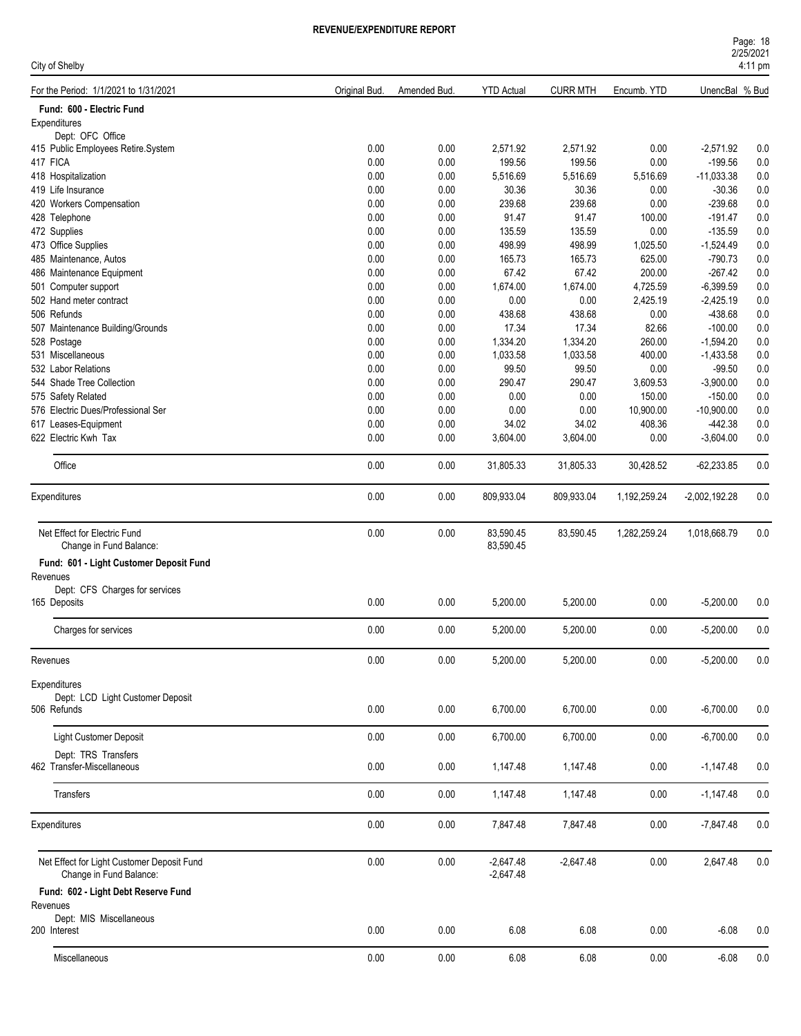| For the Period: 1/1/2021 to 1/31/2021<br><b>YTD Actual</b><br><b>CURR MTH</b><br>UnencBal % Bud<br>Original Bud.<br>Amended Bud.<br>Encumb. YTD<br>Fund: 600 - Electric Fund<br>Expenditures<br>Dept: OFC Office<br>0.00<br>0.00<br>2,571.92<br>2,571.92<br>0.00<br>$-2,571.92$<br>415 Public Employees Retire.System<br>199.56<br>417 FICA<br>0.00<br>0.00<br>199.56<br>0.00<br>$-199.56$<br>418 Hospitalization<br>0.00<br>0.00<br>5,516.69<br>5,516.69<br>$-11,033.38$<br>5,516.69<br>0.00<br>0.00<br>30.36<br>30.36<br>$-30.36$<br>419 Life Insurance<br>0.00<br>239.68<br>0.00<br>0.00<br>239.68<br>0.00<br>$-239.68$<br>420 Workers Compensation<br>0.00<br>0.00<br>91.47<br>91.47<br>100.00<br>$-191.47$<br>428 Telephone<br>0.00<br>0.00<br>135.59<br>0.00<br>472 Supplies<br>135.59<br>$-135.59$<br>0.00<br>0.00<br>498.99<br>498.99<br>473 Office Supplies<br>1,025.50<br>$-1,524.49$<br>0.00<br>0.00<br>165.73<br>165.73<br>625.00<br>$-790.73$<br>485 Maintenance, Autos<br>0.00<br>0.00<br>67.42<br>67.42<br>200.00<br>$-267.42$<br>486 Maintenance Equipment<br>0.00<br>0.00<br>1,674.00<br>4,725.59<br>501 Computer support<br>1,674.00<br>$-6,399.59$<br>0.00<br>0.00<br>0.00<br>0.00<br>2,425.19<br>502 Hand meter contract<br>$-2,425.19$<br>506 Refunds<br>0.00<br>0.00<br>438.68<br>438.68<br>0.00<br>-438.68<br>0.00<br>0.00<br>17.34<br>17.34<br>82.66<br>$-100.00$<br>507 Maintenance Building/Grounds<br>0.00<br>528 Postage<br>0.00<br>1,334.20<br>1,334.20<br>260.00<br>$-1,594.20$<br>0.00<br>1,033.58<br>1,033.58<br>400.00<br>531 Miscellaneous<br>0.00<br>$-1,433.58$<br>532 Labor Relations<br>0.00<br>0.00<br>99.50<br>99.50<br>0.00<br>$-99.50$<br>0.00<br>290.47<br>290.47<br>3,609.53<br>$-3,900.00$<br>544 Shade Tree Collection<br>0.00<br>0.00<br>0.00<br>0.00<br>0.00<br>150.00<br>$-150.00$<br>575 Safety Related<br>576 Electric Dues/Professional Ser<br>0.00<br>0.00<br>0.00<br>0.00<br>10,900.00<br>$-10,900.00$<br>0.00<br>0.00<br>34.02<br>34.02<br>408.36<br>$-442.38$<br>617 Leases-Equipment<br>0.00<br>0.00<br>622 Electric Kwh Tax<br>3,604.00<br>3,604.00<br>0.00<br>$-3,604.00$<br>Office<br>0.00<br>0.00<br>30,428.52<br>$-62,233.85$<br>31,805.33<br>31,805.33<br>0.00<br>0.00<br>809,933.04<br>809,933.04<br>1,192,259.24<br>$-2,002,192.28$<br>Expenditures<br>Net Effect for Electric Fund<br>0.00<br>0.00<br>83,590.45<br>1,282,259.24<br>83,590.45<br>1,018,668.79<br>Change in Fund Balance:<br>83,590.45<br>Fund: 601 - Light Customer Deposit Fund<br>Revenues<br>Dept: CFS Charges for services<br>0.00<br>0.00<br>5,200.00<br>5,200.00<br>0.00<br>$-5,200.00$<br>165 Deposits<br>0.00<br>0.00<br>Charges for services<br>5,200.00<br>5,200.00<br>0.00<br>$-5,200.00$<br>$0.00\,$<br>0.00<br>5,200.00<br>5,200.00<br>0.00<br>$-5,200.00$<br>Revenues<br>Expenditures<br>Dept: LCD Light Customer Deposit<br>506 Refunds<br>0.00<br>0.00<br>6,700.00<br>6,700.00<br>0.00<br>$-6,700.00$<br>$0.00\,$<br>Light Customer Deposit<br>0.00<br>6,700.00<br>6,700.00<br>0.00<br>$-6,700.00$<br>Dept: TRS Transfers<br>462 Transfer-Miscellaneous<br>0.00<br>0.00<br>$-1,147.48$<br>1,147.48<br>1,147.48<br>0.00<br>0.00<br>0.00<br>$0.00\,$<br>$-1,147.48$<br>Transfers<br>1,147.48<br>1,147.48<br>0.00<br>0.00<br>7,847.48<br>7,847.48<br>0.00<br>$-7,847.48$<br>Expenditures<br>Net Effect for Light Customer Deposit Fund<br>0.00<br>0.00<br>$-2,647.48$<br>$-2,647.48$<br>0.00<br>2,647.48<br>Change in Fund Balance:<br>$-2,647.48$<br>Fund: 602 - Light Debt Reserve Fund<br>Revenues<br>Dept: MIS Miscellaneous<br>0.00<br>0.00<br>6.08<br>6.08<br>0.00<br>$-6.08$<br>200 Interest | City of Shelby |  |  |  |  |  | 4:11 pm |         |
|---------------------------------------------------------------------------------------------------------------------------------------------------------------------------------------------------------------------------------------------------------------------------------------------------------------------------------------------------------------------------------------------------------------------------------------------------------------------------------------------------------------------------------------------------------------------------------------------------------------------------------------------------------------------------------------------------------------------------------------------------------------------------------------------------------------------------------------------------------------------------------------------------------------------------------------------------------------------------------------------------------------------------------------------------------------------------------------------------------------------------------------------------------------------------------------------------------------------------------------------------------------------------------------------------------------------------------------------------------------------------------------------------------------------------------------------------------------------------------------------------------------------------------------------------------------------------------------------------------------------------------------------------------------------------------------------------------------------------------------------------------------------------------------------------------------------------------------------------------------------------------------------------------------------------------------------------------------------------------------------------------------------------------------------------------------------------------------------------------------------------------------------------------------------------------------------------------------------------------------------------------------------------------------------------------------------------------------------------------------------------------------------------------------------------------------------------------------------------------------------------------------------------------------------------------------------------------------------------------------------------------------------------------------------------------------------------------------------------------------------------------------------------------------------------------------------------------------------------------------------------------------------------------------------------------------------------------------------------------------------------------------------------------------------------------------------------------------------------------------------------------------------------------------------------------------------------------------------------------------------------------------------------------------------------------------------------------------------------------------------------------------------------------------------------------------------------------------------------------------------------------------------------------------------------------------------------------------------------------------------------------------------------|----------------|--|--|--|--|--|---------|---------|
|                                                                                                                                                                                                                                                                                                                                                                                                                                                                                                                                                                                                                                                                                                                                                                                                                                                                                                                                                                                                                                                                                                                                                                                                                                                                                                                                                                                                                                                                                                                                                                                                                                                                                                                                                                                                                                                                                                                                                                                                                                                                                                                                                                                                                                                                                                                                                                                                                                                                                                                                                                                                                                                                                                                                                                                                                                                                                                                                                                                                                                                                                                                                                                                                                                                                                                                                                                                                                                                                                                                                                                                                                                                   |                |  |  |  |  |  |         |         |
|                                                                                                                                                                                                                                                                                                                                                                                                                                                                                                                                                                                                                                                                                                                                                                                                                                                                                                                                                                                                                                                                                                                                                                                                                                                                                                                                                                                                                                                                                                                                                                                                                                                                                                                                                                                                                                                                                                                                                                                                                                                                                                                                                                                                                                                                                                                                                                                                                                                                                                                                                                                                                                                                                                                                                                                                                                                                                                                                                                                                                                                                                                                                                                                                                                                                                                                                                                                                                                                                                                                                                                                                                                                   |                |  |  |  |  |  |         |         |
|                                                                                                                                                                                                                                                                                                                                                                                                                                                                                                                                                                                                                                                                                                                                                                                                                                                                                                                                                                                                                                                                                                                                                                                                                                                                                                                                                                                                                                                                                                                                                                                                                                                                                                                                                                                                                                                                                                                                                                                                                                                                                                                                                                                                                                                                                                                                                                                                                                                                                                                                                                                                                                                                                                                                                                                                                                                                                                                                                                                                                                                                                                                                                                                                                                                                                                                                                                                                                                                                                                                                                                                                                                                   |                |  |  |  |  |  |         |         |
|                                                                                                                                                                                                                                                                                                                                                                                                                                                                                                                                                                                                                                                                                                                                                                                                                                                                                                                                                                                                                                                                                                                                                                                                                                                                                                                                                                                                                                                                                                                                                                                                                                                                                                                                                                                                                                                                                                                                                                                                                                                                                                                                                                                                                                                                                                                                                                                                                                                                                                                                                                                                                                                                                                                                                                                                                                                                                                                                                                                                                                                                                                                                                                                                                                                                                                                                                                                                                                                                                                                                                                                                                                                   |                |  |  |  |  |  |         |         |
|                                                                                                                                                                                                                                                                                                                                                                                                                                                                                                                                                                                                                                                                                                                                                                                                                                                                                                                                                                                                                                                                                                                                                                                                                                                                                                                                                                                                                                                                                                                                                                                                                                                                                                                                                                                                                                                                                                                                                                                                                                                                                                                                                                                                                                                                                                                                                                                                                                                                                                                                                                                                                                                                                                                                                                                                                                                                                                                                                                                                                                                                                                                                                                                                                                                                                                                                                                                                                                                                                                                                                                                                                                                   |                |  |  |  |  |  |         | 0.0     |
|                                                                                                                                                                                                                                                                                                                                                                                                                                                                                                                                                                                                                                                                                                                                                                                                                                                                                                                                                                                                                                                                                                                                                                                                                                                                                                                                                                                                                                                                                                                                                                                                                                                                                                                                                                                                                                                                                                                                                                                                                                                                                                                                                                                                                                                                                                                                                                                                                                                                                                                                                                                                                                                                                                                                                                                                                                                                                                                                                                                                                                                                                                                                                                                                                                                                                                                                                                                                                                                                                                                                                                                                                                                   |                |  |  |  |  |  |         | 0.0     |
|                                                                                                                                                                                                                                                                                                                                                                                                                                                                                                                                                                                                                                                                                                                                                                                                                                                                                                                                                                                                                                                                                                                                                                                                                                                                                                                                                                                                                                                                                                                                                                                                                                                                                                                                                                                                                                                                                                                                                                                                                                                                                                                                                                                                                                                                                                                                                                                                                                                                                                                                                                                                                                                                                                                                                                                                                                                                                                                                                                                                                                                                                                                                                                                                                                                                                                                                                                                                                                                                                                                                                                                                                                                   |                |  |  |  |  |  |         | 0.0     |
|                                                                                                                                                                                                                                                                                                                                                                                                                                                                                                                                                                                                                                                                                                                                                                                                                                                                                                                                                                                                                                                                                                                                                                                                                                                                                                                                                                                                                                                                                                                                                                                                                                                                                                                                                                                                                                                                                                                                                                                                                                                                                                                                                                                                                                                                                                                                                                                                                                                                                                                                                                                                                                                                                                                                                                                                                                                                                                                                                                                                                                                                                                                                                                                                                                                                                                                                                                                                                                                                                                                                                                                                                                                   |                |  |  |  |  |  |         | 0.0     |
|                                                                                                                                                                                                                                                                                                                                                                                                                                                                                                                                                                                                                                                                                                                                                                                                                                                                                                                                                                                                                                                                                                                                                                                                                                                                                                                                                                                                                                                                                                                                                                                                                                                                                                                                                                                                                                                                                                                                                                                                                                                                                                                                                                                                                                                                                                                                                                                                                                                                                                                                                                                                                                                                                                                                                                                                                                                                                                                                                                                                                                                                                                                                                                                                                                                                                                                                                                                                                                                                                                                                                                                                                                                   |                |  |  |  |  |  |         | 0.0     |
|                                                                                                                                                                                                                                                                                                                                                                                                                                                                                                                                                                                                                                                                                                                                                                                                                                                                                                                                                                                                                                                                                                                                                                                                                                                                                                                                                                                                                                                                                                                                                                                                                                                                                                                                                                                                                                                                                                                                                                                                                                                                                                                                                                                                                                                                                                                                                                                                                                                                                                                                                                                                                                                                                                                                                                                                                                                                                                                                                                                                                                                                                                                                                                                                                                                                                                                                                                                                                                                                                                                                                                                                                                                   |                |  |  |  |  |  |         | 0.0     |
|                                                                                                                                                                                                                                                                                                                                                                                                                                                                                                                                                                                                                                                                                                                                                                                                                                                                                                                                                                                                                                                                                                                                                                                                                                                                                                                                                                                                                                                                                                                                                                                                                                                                                                                                                                                                                                                                                                                                                                                                                                                                                                                                                                                                                                                                                                                                                                                                                                                                                                                                                                                                                                                                                                                                                                                                                                                                                                                                                                                                                                                                                                                                                                                                                                                                                                                                                                                                                                                                                                                                                                                                                                                   |                |  |  |  |  |  |         | 0.0     |
|                                                                                                                                                                                                                                                                                                                                                                                                                                                                                                                                                                                                                                                                                                                                                                                                                                                                                                                                                                                                                                                                                                                                                                                                                                                                                                                                                                                                                                                                                                                                                                                                                                                                                                                                                                                                                                                                                                                                                                                                                                                                                                                                                                                                                                                                                                                                                                                                                                                                                                                                                                                                                                                                                                                                                                                                                                                                                                                                                                                                                                                                                                                                                                                                                                                                                                                                                                                                                                                                                                                                                                                                                                                   |                |  |  |  |  |  |         | 0.0     |
|                                                                                                                                                                                                                                                                                                                                                                                                                                                                                                                                                                                                                                                                                                                                                                                                                                                                                                                                                                                                                                                                                                                                                                                                                                                                                                                                                                                                                                                                                                                                                                                                                                                                                                                                                                                                                                                                                                                                                                                                                                                                                                                                                                                                                                                                                                                                                                                                                                                                                                                                                                                                                                                                                                                                                                                                                                                                                                                                                                                                                                                                                                                                                                                                                                                                                                                                                                                                                                                                                                                                                                                                                                                   |                |  |  |  |  |  |         | 0.0     |
|                                                                                                                                                                                                                                                                                                                                                                                                                                                                                                                                                                                                                                                                                                                                                                                                                                                                                                                                                                                                                                                                                                                                                                                                                                                                                                                                                                                                                                                                                                                                                                                                                                                                                                                                                                                                                                                                                                                                                                                                                                                                                                                                                                                                                                                                                                                                                                                                                                                                                                                                                                                                                                                                                                                                                                                                                                                                                                                                                                                                                                                                                                                                                                                                                                                                                                                                                                                                                                                                                                                                                                                                                                                   |                |  |  |  |  |  |         | 0.0     |
|                                                                                                                                                                                                                                                                                                                                                                                                                                                                                                                                                                                                                                                                                                                                                                                                                                                                                                                                                                                                                                                                                                                                                                                                                                                                                                                                                                                                                                                                                                                                                                                                                                                                                                                                                                                                                                                                                                                                                                                                                                                                                                                                                                                                                                                                                                                                                                                                                                                                                                                                                                                                                                                                                                                                                                                                                                                                                                                                                                                                                                                                                                                                                                                                                                                                                                                                                                                                                                                                                                                                                                                                                                                   |                |  |  |  |  |  |         | 0.0     |
|                                                                                                                                                                                                                                                                                                                                                                                                                                                                                                                                                                                                                                                                                                                                                                                                                                                                                                                                                                                                                                                                                                                                                                                                                                                                                                                                                                                                                                                                                                                                                                                                                                                                                                                                                                                                                                                                                                                                                                                                                                                                                                                                                                                                                                                                                                                                                                                                                                                                                                                                                                                                                                                                                                                                                                                                                                                                                                                                                                                                                                                                                                                                                                                                                                                                                                                                                                                                                                                                                                                                                                                                                                                   |                |  |  |  |  |  |         | 0.0     |
|                                                                                                                                                                                                                                                                                                                                                                                                                                                                                                                                                                                                                                                                                                                                                                                                                                                                                                                                                                                                                                                                                                                                                                                                                                                                                                                                                                                                                                                                                                                                                                                                                                                                                                                                                                                                                                                                                                                                                                                                                                                                                                                                                                                                                                                                                                                                                                                                                                                                                                                                                                                                                                                                                                                                                                                                                                                                                                                                                                                                                                                                                                                                                                                                                                                                                                                                                                                                                                                                                                                                                                                                                                                   |                |  |  |  |  |  |         | 0.0     |
|                                                                                                                                                                                                                                                                                                                                                                                                                                                                                                                                                                                                                                                                                                                                                                                                                                                                                                                                                                                                                                                                                                                                                                                                                                                                                                                                                                                                                                                                                                                                                                                                                                                                                                                                                                                                                                                                                                                                                                                                                                                                                                                                                                                                                                                                                                                                                                                                                                                                                                                                                                                                                                                                                                                                                                                                                                                                                                                                                                                                                                                                                                                                                                                                                                                                                                                                                                                                                                                                                                                                                                                                                                                   |                |  |  |  |  |  |         | 0.0     |
|                                                                                                                                                                                                                                                                                                                                                                                                                                                                                                                                                                                                                                                                                                                                                                                                                                                                                                                                                                                                                                                                                                                                                                                                                                                                                                                                                                                                                                                                                                                                                                                                                                                                                                                                                                                                                                                                                                                                                                                                                                                                                                                                                                                                                                                                                                                                                                                                                                                                                                                                                                                                                                                                                                                                                                                                                                                                                                                                                                                                                                                                                                                                                                                                                                                                                                                                                                                                                                                                                                                                                                                                                                                   |                |  |  |  |  |  |         | 0.0     |
|                                                                                                                                                                                                                                                                                                                                                                                                                                                                                                                                                                                                                                                                                                                                                                                                                                                                                                                                                                                                                                                                                                                                                                                                                                                                                                                                                                                                                                                                                                                                                                                                                                                                                                                                                                                                                                                                                                                                                                                                                                                                                                                                                                                                                                                                                                                                                                                                                                                                                                                                                                                                                                                                                                                                                                                                                                                                                                                                                                                                                                                                                                                                                                                                                                                                                                                                                                                                                                                                                                                                                                                                                                                   |                |  |  |  |  |  |         | 0.0     |
|                                                                                                                                                                                                                                                                                                                                                                                                                                                                                                                                                                                                                                                                                                                                                                                                                                                                                                                                                                                                                                                                                                                                                                                                                                                                                                                                                                                                                                                                                                                                                                                                                                                                                                                                                                                                                                                                                                                                                                                                                                                                                                                                                                                                                                                                                                                                                                                                                                                                                                                                                                                                                                                                                                                                                                                                                                                                                                                                                                                                                                                                                                                                                                                                                                                                                                                                                                                                                                                                                                                                                                                                                                                   |                |  |  |  |  |  |         | 0.0     |
|                                                                                                                                                                                                                                                                                                                                                                                                                                                                                                                                                                                                                                                                                                                                                                                                                                                                                                                                                                                                                                                                                                                                                                                                                                                                                                                                                                                                                                                                                                                                                                                                                                                                                                                                                                                                                                                                                                                                                                                                                                                                                                                                                                                                                                                                                                                                                                                                                                                                                                                                                                                                                                                                                                                                                                                                                                                                                                                                                                                                                                                                                                                                                                                                                                                                                                                                                                                                                                                                                                                                                                                                                                                   |                |  |  |  |  |  |         | 0.0     |
|                                                                                                                                                                                                                                                                                                                                                                                                                                                                                                                                                                                                                                                                                                                                                                                                                                                                                                                                                                                                                                                                                                                                                                                                                                                                                                                                                                                                                                                                                                                                                                                                                                                                                                                                                                                                                                                                                                                                                                                                                                                                                                                                                                                                                                                                                                                                                                                                                                                                                                                                                                                                                                                                                                                                                                                                                                                                                                                                                                                                                                                                                                                                                                                                                                                                                                                                                                                                                                                                                                                                                                                                                                                   |                |  |  |  |  |  |         | 0.0     |
|                                                                                                                                                                                                                                                                                                                                                                                                                                                                                                                                                                                                                                                                                                                                                                                                                                                                                                                                                                                                                                                                                                                                                                                                                                                                                                                                                                                                                                                                                                                                                                                                                                                                                                                                                                                                                                                                                                                                                                                                                                                                                                                                                                                                                                                                                                                                                                                                                                                                                                                                                                                                                                                                                                                                                                                                                                                                                                                                                                                                                                                                                                                                                                                                                                                                                                                                                                                                                                                                                                                                                                                                                                                   |                |  |  |  |  |  |         | 0.0     |
|                                                                                                                                                                                                                                                                                                                                                                                                                                                                                                                                                                                                                                                                                                                                                                                                                                                                                                                                                                                                                                                                                                                                                                                                                                                                                                                                                                                                                                                                                                                                                                                                                                                                                                                                                                                                                                                                                                                                                                                                                                                                                                                                                                                                                                                                                                                                                                                                                                                                                                                                                                                                                                                                                                                                                                                                                                                                                                                                                                                                                                                                                                                                                                                                                                                                                                                                                                                                                                                                                                                                                                                                                                                   |                |  |  |  |  |  |         | 0.0     |
|                                                                                                                                                                                                                                                                                                                                                                                                                                                                                                                                                                                                                                                                                                                                                                                                                                                                                                                                                                                                                                                                                                                                                                                                                                                                                                                                                                                                                                                                                                                                                                                                                                                                                                                                                                                                                                                                                                                                                                                                                                                                                                                                                                                                                                                                                                                                                                                                                                                                                                                                                                                                                                                                                                                                                                                                                                                                                                                                                                                                                                                                                                                                                                                                                                                                                                                                                                                                                                                                                                                                                                                                                                                   |                |  |  |  |  |  |         | 0.0     |
|                                                                                                                                                                                                                                                                                                                                                                                                                                                                                                                                                                                                                                                                                                                                                                                                                                                                                                                                                                                                                                                                                                                                                                                                                                                                                                                                                                                                                                                                                                                                                                                                                                                                                                                                                                                                                                                                                                                                                                                                                                                                                                                                                                                                                                                                                                                                                                                                                                                                                                                                                                                                                                                                                                                                                                                                                                                                                                                                                                                                                                                                                                                                                                                                                                                                                                                                                                                                                                                                                                                                                                                                                                                   |                |  |  |  |  |  |         | 0.0     |
|                                                                                                                                                                                                                                                                                                                                                                                                                                                                                                                                                                                                                                                                                                                                                                                                                                                                                                                                                                                                                                                                                                                                                                                                                                                                                                                                                                                                                                                                                                                                                                                                                                                                                                                                                                                                                                                                                                                                                                                                                                                                                                                                                                                                                                                                                                                                                                                                                                                                                                                                                                                                                                                                                                                                                                                                                                                                                                                                                                                                                                                                                                                                                                                                                                                                                                                                                                                                                                                                                                                                                                                                                                                   |                |  |  |  |  |  |         | 0.0     |
|                                                                                                                                                                                                                                                                                                                                                                                                                                                                                                                                                                                                                                                                                                                                                                                                                                                                                                                                                                                                                                                                                                                                                                                                                                                                                                                                                                                                                                                                                                                                                                                                                                                                                                                                                                                                                                                                                                                                                                                                                                                                                                                                                                                                                                                                                                                                                                                                                                                                                                                                                                                                                                                                                                                                                                                                                                                                                                                                                                                                                                                                                                                                                                                                                                                                                                                                                                                                                                                                                                                                                                                                                                                   |                |  |  |  |  |  |         |         |
|                                                                                                                                                                                                                                                                                                                                                                                                                                                                                                                                                                                                                                                                                                                                                                                                                                                                                                                                                                                                                                                                                                                                                                                                                                                                                                                                                                                                                                                                                                                                                                                                                                                                                                                                                                                                                                                                                                                                                                                                                                                                                                                                                                                                                                                                                                                                                                                                                                                                                                                                                                                                                                                                                                                                                                                                                                                                                                                                                                                                                                                                                                                                                                                                                                                                                                                                                                                                                                                                                                                                                                                                                                                   |                |  |  |  |  |  |         | 0.0     |
|                                                                                                                                                                                                                                                                                                                                                                                                                                                                                                                                                                                                                                                                                                                                                                                                                                                                                                                                                                                                                                                                                                                                                                                                                                                                                                                                                                                                                                                                                                                                                                                                                                                                                                                                                                                                                                                                                                                                                                                                                                                                                                                                                                                                                                                                                                                                                                                                                                                                                                                                                                                                                                                                                                                                                                                                                                                                                                                                                                                                                                                                                                                                                                                                                                                                                                                                                                                                                                                                                                                                                                                                                                                   |                |  |  |  |  |  |         |         |
|                                                                                                                                                                                                                                                                                                                                                                                                                                                                                                                                                                                                                                                                                                                                                                                                                                                                                                                                                                                                                                                                                                                                                                                                                                                                                                                                                                                                                                                                                                                                                                                                                                                                                                                                                                                                                                                                                                                                                                                                                                                                                                                                                                                                                                                                                                                                                                                                                                                                                                                                                                                                                                                                                                                                                                                                                                                                                                                                                                                                                                                                                                                                                                                                                                                                                                                                                                                                                                                                                                                                                                                                                                                   |                |  |  |  |  |  |         |         |
|                                                                                                                                                                                                                                                                                                                                                                                                                                                                                                                                                                                                                                                                                                                                                                                                                                                                                                                                                                                                                                                                                                                                                                                                                                                                                                                                                                                                                                                                                                                                                                                                                                                                                                                                                                                                                                                                                                                                                                                                                                                                                                                                                                                                                                                                                                                                                                                                                                                                                                                                                                                                                                                                                                                                                                                                                                                                                                                                                                                                                                                                                                                                                                                                                                                                                                                                                                                                                                                                                                                                                                                                                                                   |                |  |  |  |  |  |         |         |
|                                                                                                                                                                                                                                                                                                                                                                                                                                                                                                                                                                                                                                                                                                                                                                                                                                                                                                                                                                                                                                                                                                                                                                                                                                                                                                                                                                                                                                                                                                                                                                                                                                                                                                                                                                                                                                                                                                                                                                                                                                                                                                                                                                                                                                                                                                                                                                                                                                                                                                                                                                                                                                                                                                                                                                                                                                                                                                                                                                                                                                                                                                                                                                                                                                                                                                                                                                                                                                                                                                                                                                                                                                                   |                |  |  |  |  |  |         | 0.0     |
|                                                                                                                                                                                                                                                                                                                                                                                                                                                                                                                                                                                                                                                                                                                                                                                                                                                                                                                                                                                                                                                                                                                                                                                                                                                                                                                                                                                                                                                                                                                                                                                                                                                                                                                                                                                                                                                                                                                                                                                                                                                                                                                                                                                                                                                                                                                                                                                                                                                                                                                                                                                                                                                                                                                                                                                                                                                                                                                                                                                                                                                                                                                                                                                                                                                                                                                                                                                                                                                                                                                                                                                                                                                   |                |  |  |  |  |  |         |         |
|                                                                                                                                                                                                                                                                                                                                                                                                                                                                                                                                                                                                                                                                                                                                                                                                                                                                                                                                                                                                                                                                                                                                                                                                                                                                                                                                                                                                                                                                                                                                                                                                                                                                                                                                                                                                                                                                                                                                                                                                                                                                                                                                                                                                                                                                                                                                                                                                                                                                                                                                                                                                                                                                                                                                                                                                                                                                                                                                                                                                                                                                                                                                                                                                                                                                                                                                                                                                                                                                                                                                                                                                                                                   |                |  |  |  |  |  |         | 0.0     |
|                                                                                                                                                                                                                                                                                                                                                                                                                                                                                                                                                                                                                                                                                                                                                                                                                                                                                                                                                                                                                                                                                                                                                                                                                                                                                                                                                                                                                                                                                                                                                                                                                                                                                                                                                                                                                                                                                                                                                                                                                                                                                                                                                                                                                                                                                                                                                                                                                                                                                                                                                                                                                                                                                                                                                                                                                                                                                                                                                                                                                                                                                                                                                                                                                                                                                                                                                                                                                                                                                                                                                                                                                                                   |                |  |  |  |  |  |         | 0.0     |
|                                                                                                                                                                                                                                                                                                                                                                                                                                                                                                                                                                                                                                                                                                                                                                                                                                                                                                                                                                                                                                                                                                                                                                                                                                                                                                                                                                                                                                                                                                                                                                                                                                                                                                                                                                                                                                                                                                                                                                                                                                                                                                                                                                                                                                                                                                                                                                                                                                                                                                                                                                                                                                                                                                                                                                                                                                                                                                                                                                                                                                                                                                                                                                                                                                                                                                                                                                                                                                                                                                                                                                                                                                                   |                |  |  |  |  |  |         |         |
|                                                                                                                                                                                                                                                                                                                                                                                                                                                                                                                                                                                                                                                                                                                                                                                                                                                                                                                                                                                                                                                                                                                                                                                                                                                                                                                                                                                                                                                                                                                                                                                                                                                                                                                                                                                                                                                                                                                                                                                                                                                                                                                                                                                                                                                                                                                                                                                                                                                                                                                                                                                                                                                                                                                                                                                                                                                                                                                                                                                                                                                                                                                                                                                                                                                                                                                                                                                                                                                                                                                                                                                                                                                   |                |  |  |  |  |  |         |         |
|                                                                                                                                                                                                                                                                                                                                                                                                                                                                                                                                                                                                                                                                                                                                                                                                                                                                                                                                                                                                                                                                                                                                                                                                                                                                                                                                                                                                                                                                                                                                                                                                                                                                                                                                                                                                                                                                                                                                                                                                                                                                                                                                                                                                                                                                                                                                                                                                                                                                                                                                                                                                                                                                                                                                                                                                                                                                                                                                                                                                                                                                                                                                                                                                                                                                                                                                                                                                                                                                                                                                                                                                                                                   |                |  |  |  |  |  |         |         |
|                                                                                                                                                                                                                                                                                                                                                                                                                                                                                                                                                                                                                                                                                                                                                                                                                                                                                                                                                                                                                                                                                                                                                                                                                                                                                                                                                                                                                                                                                                                                                                                                                                                                                                                                                                                                                                                                                                                                                                                                                                                                                                                                                                                                                                                                                                                                                                                                                                                                                                                                                                                                                                                                                                                                                                                                                                                                                                                                                                                                                                                                                                                                                                                                                                                                                                                                                                                                                                                                                                                                                                                                                                                   |                |  |  |  |  |  |         | 0.0     |
|                                                                                                                                                                                                                                                                                                                                                                                                                                                                                                                                                                                                                                                                                                                                                                                                                                                                                                                                                                                                                                                                                                                                                                                                                                                                                                                                                                                                                                                                                                                                                                                                                                                                                                                                                                                                                                                                                                                                                                                                                                                                                                                                                                                                                                                                                                                                                                                                                                                                                                                                                                                                                                                                                                                                                                                                                                                                                                                                                                                                                                                                                                                                                                                                                                                                                                                                                                                                                                                                                                                                                                                                                                                   |                |  |  |  |  |  |         |         |
|                                                                                                                                                                                                                                                                                                                                                                                                                                                                                                                                                                                                                                                                                                                                                                                                                                                                                                                                                                                                                                                                                                                                                                                                                                                                                                                                                                                                                                                                                                                                                                                                                                                                                                                                                                                                                                                                                                                                                                                                                                                                                                                                                                                                                                                                                                                                                                                                                                                                                                                                                                                                                                                                                                                                                                                                                                                                                                                                                                                                                                                                                                                                                                                                                                                                                                                                                                                                                                                                                                                                                                                                                                                   |                |  |  |  |  |  |         | 0.0     |
|                                                                                                                                                                                                                                                                                                                                                                                                                                                                                                                                                                                                                                                                                                                                                                                                                                                                                                                                                                                                                                                                                                                                                                                                                                                                                                                                                                                                                                                                                                                                                                                                                                                                                                                                                                                                                                                                                                                                                                                                                                                                                                                                                                                                                                                                                                                                                                                                                                                                                                                                                                                                                                                                                                                                                                                                                                                                                                                                                                                                                                                                                                                                                                                                                                                                                                                                                                                                                                                                                                                                                                                                                                                   |                |  |  |  |  |  |         |         |
|                                                                                                                                                                                                                                                                                                                                                                                                                                                                                                                                                                                                                                                                                                                                                                                                                                                                                                                                                                                                                                                                                                                                                                                                                                                                                                                                                                                                                                                                                                                                                                                                                                                                                                                                                                                                                                                                                                                                                                                                                                                                                                                                                                                                                                                                                                                                                                                                                                                                                                                                                                                                                                                                                                                                                                                                                                                                                                                                                                                                                                                                                                                                                                                                                                                                                                                                                                                                                                                                                                                                                                                                                                                   |                |  |  |  |  |  |         | 0.0     |
|                                                                                                                                                                                                                                                                                                                                                                                                                                                                                                                                                                                                                                                                                                                                                                                                                                                                                                                                                                                                                                                                                                                                                                                                                                                                                                                                                                                                                                                                                                                                                                                                                                                                                                                                                                                                                                                                                                                                                                                                                                                                                                                                                                                                                                                                                                                                                                                                                                                                                                                                                                                                                                                                                                                                                                                                                                                                                                                                                                                                                                                                                                                                                                                                                                                                                                                                                                                                                                                                                                                                                                                                                                                   |                |  |  |  |  |  |         | $0.0\,$ |
|                                                                                                                                                                                                                                                                                                                                                                                                                                                                                                                                                                                                                                                                                                                                                                                                                                                                                                                                                                                                                                                                                                                                                                                                                                                                                                                                                                                                                                                                                                                                                                                                                                                                                                                                                                                                                                                                                                                                                                                                                                                                                                                                                                                                                                                                                                                                                                                                                                                                                                                                                                                                                                                                                                                                                                                                                                                                                                                                                                                                                                                                                                                                                                                                                                                                                                                                                                                                                                                                                                                                                                                                                                                   |                |  |  |  |  |  |         |         |
|                                                                                                                                                                                                                                                                                                                                                                                                                                                                                                                                                                                                                                                                                                                                                                                                                                                                                                                                                                                                                                                                                                                                                                                                                                                                                                                                                                                                                                                                                                                                                                                                                                                                                                                                                                                                                                                                                                                                                                                                                                                                                                                                                                                                                                                                                                                                                                                                                                                                                                                                                                                                                                                                                                                                                                                                                                                                                                                                                                                                                                                                                                                                                                                                                                                                                                                                                                                                                                                                                                                                                                                                                                                   |                |  |  |  |  |  |         | 0.0     |
|                                                                                                                                                                                                                                                                                                                                                                                                                                                                                                                                                                                                                                                                                                                                                                                                                                                                                                                                                                                                                                                                                                                                                                                                                                                                                                                                                                                                                                                                                                                                                                                                                                                                                                                                                                                                                                                                                                                                                                                                                                                                                                                                                                                                                                                                                                                                                                                                                                                                                                                                                                                                                                                                                                                                                                                                                                                                                                                                                                                                                                                                                                                                                                                                                                                                                                                                                                                                                                                                                                                                                                                                                                                   |                |  |  |  |  |  |         | 0.0     |
|                                                                                                                                                                                                                                                                                                                                                                                                                                                                                                                                                                                                                                                                                                                                                                                                                                                                                                                                                                                                                                                                                                                                                                                                                                                                                                                                                                                                                                                                                                                                                                                                                                                                                                                                                                                                                                                                                                                                                                                                                                                                                                                                                                                                                                                                                                                                                                                                                                                                                                                                                                                                                                                                                                                                                                                                                                                                                                                                                                                                                                                                                                                                                                                                                                                                                                                                                                                                                                                                                                                                                                                                                                                   |                |  |  |  |  |  |         |         |
|                                                                                                                                                                                                                                                                                                                                                                                                                                                                                                                                                                                                                                                                                                                                                                                                                                                                                                                                                                                                                                                                                                                                                                                                                                                                                                                                                                                                                                                                                                                                                                                                                                                                                                                                                                                                                                                                                                                                                                                                                                                                                                                                                                                                                                                                                                                                                                                                                                                                                                                                                                                                                                                                                                                                                                                                                                                                                                                                                                                                                                                                                                                                                                                                                                                                                                                                                                                                                                                                                                                                                                                                                                                   |                |  |  |  |  |  |         |         |
|                                                                                                                                                                                                                                                                                                                                                                                                                                                                                                                                                                                                                                                                                                                                                                                                                                                                                                                                                                                                                                                                                                                                                                                                                                                                                                                                                                                                                                                                                                                                                                                                                                                                                                                                                                                                                                                                                                                                                                                                                                                                                                                                                                                                                                                                                                                                                                                                                                                                                                                                                                                                                                                                                                                                                                                                                                                                                                                                                                                                                                                                                                                                                                                                                                                                                                                                                                                                                                                                                                                                                                                                                                                   |                |  |  |  |  |  |         |         |
|                                                                                                                                                                                                                                                                                                                                                                                                                                                                                                                                                                                                                                                                                                                                                                                                                                                                                                                                                                                                                                                                                                                                                                                                                                                                                                                                                                                                                                                                                                                                                                                                                                                                                                                                                                                                                                                                                                                                                                                                                                                                                                                                                                                                                                                                                                                                                                                                                                                                                                                                                                                                                                                                                                                                                                                                                                                                                                                                                                                                                                                                                                                                                                                                                                                                                                                                                                                                                                                                                                                                                                                                                                                   |                |  |  |  |  |  |         |         |
|                                                                                                                                                                                                                                                                                                                                                                                                                                                                                                                                                                                                                                                                                                                                                                                                                                                                                                                                                                                                                                                                                                                                                                                                                                                                                                                                                                                                                                                                                                                                                                                                                                                                                                                                                                                                                                                                                                                                                                                                                                                                                                                                                                                                                                                                                                                                                                                                                                                                                                                                                                                                                                                                                                                                                                                                                                                                                                                                                                                                                                                                                                                                                                                                                                                                                                                                                                                                                                                                                                                                                                                                                                                   |                |  |  |  |  |  |         | 0.0     |
| $0.00\,$<br>0.00<br>Miscellaneous<br>6.08<br>6.08<br>0.00<br>$-6.08$                                                                                                                                                                                                                                                                                                                                                                                                                                                                                                                                                                                                                                                                                                                                                                                                                                                                                                                                                                                                                                                                                                                                                                                                                                                                                                                                                                                                                                                                                                                                                                                                                                                                                                                                                                                                                                                                                                                                                                                                                                                                                                                                                                                                                                                                                                                                                                                                                                                                                                                                                                                                                                                                                                                                                                                                                                                                                                                                                                                                                                                                                                                                                                                                                                                                                                                                                                                                                                                                                                                                                                              |                |  |  |  |  |  |         | 0.0     |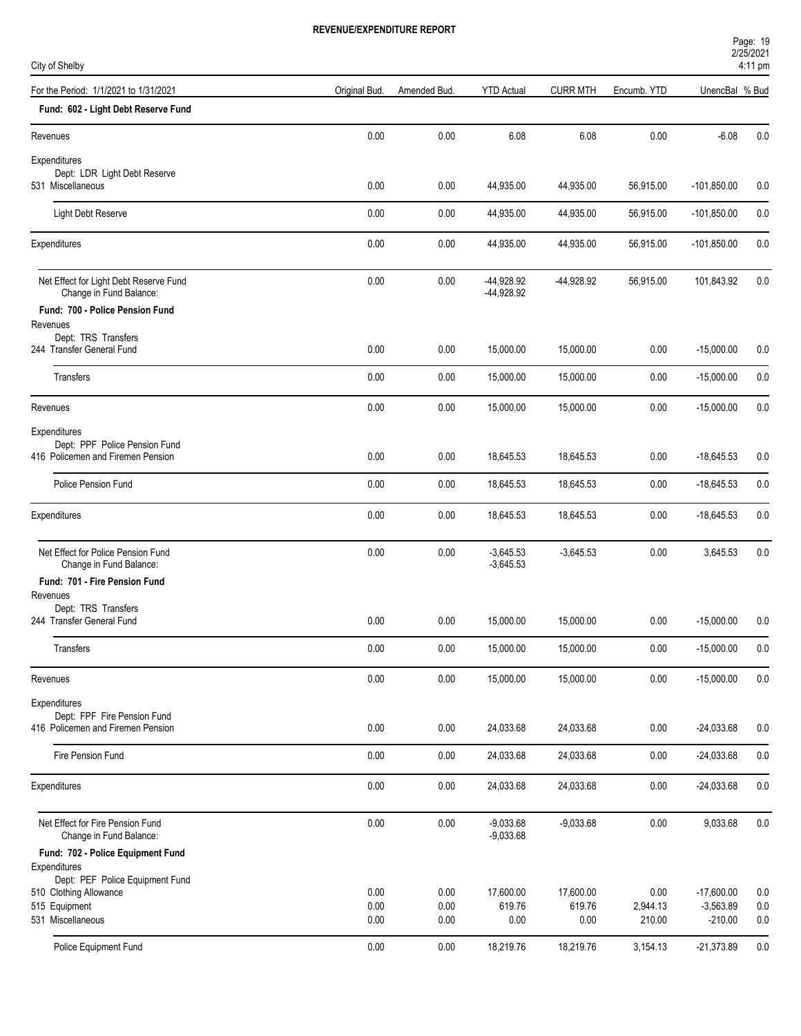| Page: 19     |  |
|--------------|--|
| 2/25/2021    |  |
| $1.11 - 2.2$ |  |

| City of Shelby                                                     |               |              |                            |                     |                  | <b>LIZOIZUZ I</b><br>4:11 pm |            |  |
|--------------------------------------------------------------------|---------------|--------------|----------------------------|---------------------|------------------|------------------------------|------------|--|
| For the Period: 1/1/2021 to 1/31/2021                              | Original Bud. | Amended Bud. | <b>YTD Actual</b>          | <b>CURR MTH</b>     | Encumb. YTD      | UnencBal % Bud               |            |  |
| Fund: 602 - Light Debt Reserve Fund                                |               |              |                            |                     |                  |                              |            |  |
| Revenues                                                           | 0.00          | 0.00         | 6.08                       | 6.08                | 0.00             | $-6.08$                      | 0.0        |  |
| Expenditures                                                       |               |              |                            |                     |                  |                              |            |  |
| Dept: LDR Light Debt Reserve<br>531 Miscellaneous                  | 0.00          | 0.00         | 44,935.00                  | 44,935.00           | 56,915.00        | $-101,850.00$                | 0.0        |  |
| Light Debt Reserve                                                 | 0.00          | 0.00         | 44,935.00                  | 44,935.00           | 56,915.00        | $-101,850.00$                | 0.0        |  |
| Expenditures                                                       | 0.00          | 0.00         | 44,935.00                  | 44,935.00           | 56,915.00        | $-101,850.00$                | 0.0        |  |
| Net Effect for Light Debt Reserve Fund<br>Change in Fund Balance:  | 0.00          | 0.00         | -44,928.92<br>-44,928.92   | -44,928.92          | 56,915.00        | 101,843.92                   | 0.0        |  |
| Fund: 700 - Police Pension Fund                                    |               |              |                            |                     |                  |                              |            |  |
| Revenues<br>Dept: TRS Transfers                                    |               |              |                            |                     |                  |                              |            |  |
| 244 Transfer General Fund                                          | 0.00          | 0.00         | 15,000.00                  | 15,000.00           | 0.00             | $-15,000.00$                 | 0.0        |  |
| Transfers                                                          | 0.00          | 0.00         | 15,000.00                  | 15,000.00           | 0.00             | $-15,000.00$                 | 0.0        |  |
| Revenues                                                           | 0.00          | 0.00         | 15,000.00                  | 15,000.00           | 0.00             | $-15,000.00$                 | 0.0        |  |
| Expenditures                                                       |               |              |                            |                     |                  |                              |            |  |
| Dept: PPF Police Pension Fund<br>416 Policemen and Firemen Pension | 0.00          | 0.00         | 18,645.53                  | 18,645.53           | 0.00             | $-18,645.53$                 | 0.0        |  |
| Police Pension Fund                                                | 0.00          | 0.00         | 18,645.53                  | 18,645.53           | 0.00             | $-18,645.53$                 | 0.0        |  |
| Expenditures                                                       | 0.00          | 0.00         | 18,645.53                  | 18,645.53           | 0.00             | $-18,645.53$                 | 0.0        |  |
| Net Effect for Police Pension Fund<br>Change in Fund Balance:      | 0.00          | 0.00         | $-3,645.53$<br>$-3,645.53$ | $-3,645.53$         | 0.00             | 3,645.53                     | 0.0        |  |
| Fund: 701 - Fire Pension Fund                                      |               |              |                            |                     |                  |                              |            |  |
| Revenues<br>Dept: TRS Transfers                                    |               |              |                            |                     |                  |                              |            |  |
| 244 Transfer General Fund                                          | 0.00          | 0.00         | 15,000.00                  | 15,000.00           | 0.00             | $-15,000.00$                 | 0.0        |  |
| Transfers                                                          | 0.00          | 0.00         | 15,000.00                  | 15,000.00           | 0.00             | $-15,000.00$                 | 0.0        |  |
| Revenues                                                           | 0.00          | 0.00         | 15,000.00                  | 15,000.00           | 0.00             | $-15,000.00$                 | 0.0        |  |
| Expenditures                                                       |               |              |                            |                     |                  |                              |            |  |
| Dept: FPF Fire Pension Fund<br>416 Policemen and Firemen Pension   | 0.00          | 0.00         | 24,033.68                  | 24,033.68           | 0.00             | $-24,033.68$                 | 0.0        |  |
| Fire Pension Fund                                                  | 0.00          | 0.00         | 24,033.68                  | 24,033.68           | 0.00             | $-24,033.68$                 | 0.0        |  |
| Expenditures                                                       | 0.00          | 0.00         | 24,033.68                  | 24,033.68           | 0.00             | $-24,033.68$                 | 0.0        |  |
| Net Effect for Fire Pension Fund                                   | 0.00          | 0.00         | $-9,033.68$                | $-9,033.68$         | 0.00             | 9,033.68                     | 0.0        |  |
| Change in Fund Balance:                                            |               |              | $-9,033.68$                |                     |                  |                              |            |  |
| Fund: 702 - Police Equipment Fund<br>Expenditures                  |               |              |                            |                     |                  |                              |            |  |
| Dept: PEF Police Equipment Fund                                    |               |              |                            |                     |                  |                              |            |  |
| 510 Clothing Allowance<br>515 Equipment                            | 0.00<br>0.00  | 0.00<br>0.00 | 17,600.00<br>619.76        | 17,600.00<br>619.76 | 0.00<br>2,944.13 | $-17,600.00$<br>$-3,563.89$  | 0.0<br>0.0 |  |
| 531 Miscellaneous                                                  | 0.00          | 0.00         | 0.00                       | 0.00                | 210.00           | $-210.00$                    | 0.0        |  |
|                                                                    |               |              |                            |                     |                  |                              |            |  |
| Police Equipment Fund                                              | 0.00          | 0.00         | 18,219.76                  | 18,219.76           | 3,154.13         | $-21,373.89$                 | 0.0        |  |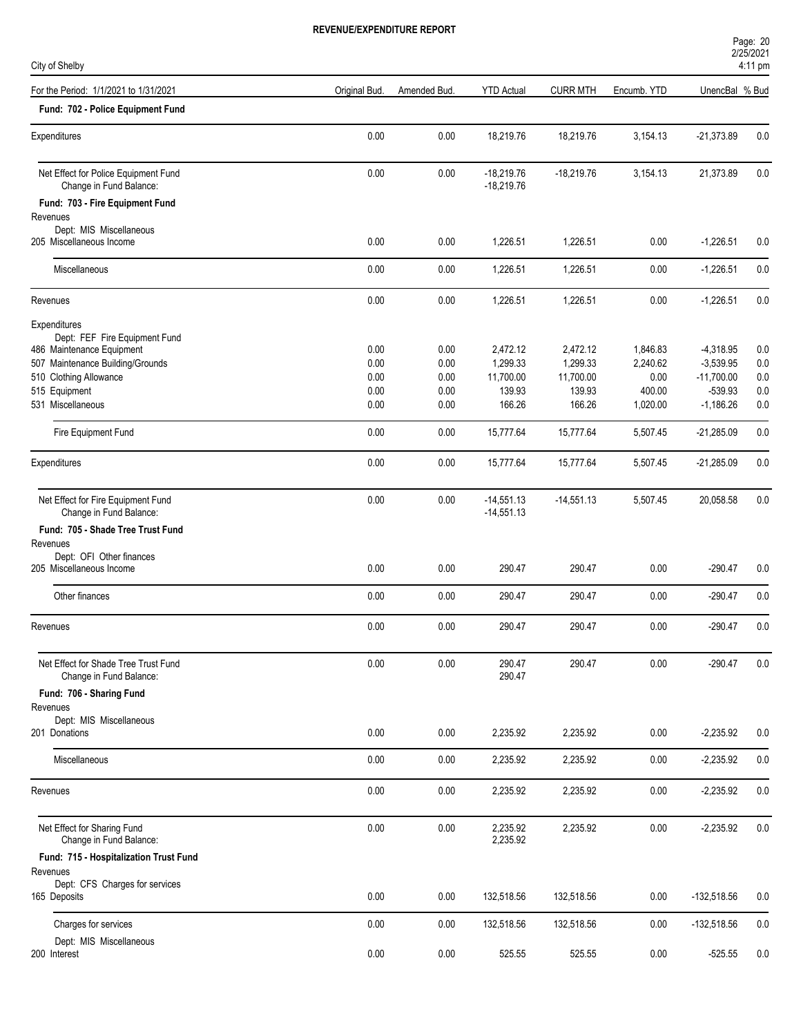| Page: 20          |  |  |
|-------------------|--|--|
| 2/25/2021         |  |  |
| $4:11 \text{ pm}$ |  |  |

| City of Shelby                                                                                                                                            |                              |                              |                                             |                                             |                                        |                                                         | 4:11 pm                  |
|-----------------------------------------------------------------------------------------------------------------------------------------------------------|------------------------------|------------------------------|---------------------------------------------|---------------------------------------------|----------------------------------------|---------------------------------------------------------|--------------------------|
| For the Period: 1/1/2021 to 1/31/2021                                                                                                                     | Original Bud.                | Amended Bud.                 | <b>YTD Actual</b>                           | <b>CURR MTH</b>                             | Encumb. YTD                            | UnencBal % Bud                                          |                          |
| Fund: 702 - Police Equipment Fund                                                                                                                         |                              |                              |                                             |                                             |                                        |                                                         |                          |
| Expenditures                                                                                                                                              | 0.00                         | 0.00                         | 18,219.76                                   | 18,219.76                                   | 3,154.13                               | $-21,373.89$                                            | 0.0                      |
| Net Effect for Police Equipment Fund<br>Change in Fund Balance:                                                                                           | 0.00                         | 0.00                         | $-18,219.76$<br>$-18,219.76$                | $-18,219.76$                                | 3,154.13                               | 21,373.89                                               | 0.0                      |
| Fund: 703 - Fire Equipment Fund<br>Revenues<br>Dept: MIS Miscellaneous                                                                                    |                              |                              |                                             |                                             |                                        |                                                         |                          |
| 205 Miscellaneous Income                                                                                                                                  | 0.00                         | 0.00                         | 1,226.51                                    | 1,226.51                                    | 0.00                                   | $-1,226.51$                                             | 0.0                      |
| Miscellaneous                                                                                                                                             | 0.00                         | 0.00                         | 1,226.51                                    | 1,226.51                                    | 0.00                                   | $-1,226.51$                                             | 0.0                      |
| Revenues                                                                                                                                                  | 0.00                         | 0.00                         | 1,226.51                                    | 1,226.51                                    | 0.00                                   | $-1,226.51$                                             | 0.0                      |
| Expenditures<br>Dept: FEF Fire Equipment Fund<br>486 Maintenance Equipment<br>507 Maintenance Building/Grounds<br>510 Clothing Allowance<br>515 Equipment | 0.00<br>0.00<br>0.00<br>0.00 | 0.00<br>0.00<br>0.00<br>0.00 | 2,472.12<br>1,299.33<br>11,700.00<br>139.93 | 2,472.12<br>1,299.33<br>11,700.00<br>139.93 | 1,846.83<br>2,240.62<br>0.00<br>400.00 | $-4,318.95$<br>$-3,539.95$<br>$-11,700.00$<br>$-539.93$ | 0.0<br>0.0<br>0.0<br>0.0 |
| 531 Miscellaneous                                                                                                                                         | 0.00                         | 0.00                         | 166.26                                      | 166.26                                      | 1,020.00                               | $-1,186.26$                                             | 0.0                      |
| Fire Equipment Fund                                                                                                                                       | 0.00                         | 0.00                         | 15,777.64                                   | 15,777.64                                   | 5,507.45                               | $-21,285.09$                                            | 0.0                      |
| Expenditures                                                                                                                                              | 0.00                         | 0.00                         | 15,777.64                                   | 15,777.64                                   | 5,507.45                               | $-21,285.09$                                            | 0.0                      |
| Net Effect for Fire Equipment Fund<br>Change in Fund Balance:                                                                                             | 0.00                         | 0.00                         | $-14,551.13$<br>$-14,551.13$                | $-14,551.13$                                | 5,507.45                               | 20,058.58                                               | 0.0                      |
| Fund: 705 - Shade Tree Trust Fund<br>Revenues                                                                                                             |                              |                              |                                             |                                             |                                        |                                                         |                          |
| Dept: OFI Other finances<br>205 Miscellaneous Income                                                                                                      | 0.00                         | 0.00                         | 290.47                                      | 290.47                                      | 0.00                                   | $-290.47$                                               | 0.0                      |
| Other finances                                                                                                                                            | 0.00                         | 0.00                         | 290.47                                      | 290.47                                      | 0.00                                   | $-290.47$                                               | 0.0                      |
| Revenues                                                                                                                                                  | 0.00                         | 0.00                         | 290.47                                      | 290.47                                      | 0.00                                   | $-290.47$                                               | 0.0                      |
| Net Effect for Shade Tree Trust Fund<br>Change in Fund Balance:                                                                                           | 0.00                         | 0.00                         | 290.47<br>290.47                            | 290.47                                      | 0.00                                   | $-290.47$                                               | 0.0                      |
| Fund: 706 - Sharing Fund                                                                                                                                  |                              |                              |                                             |                                             |                                        |                                                         |                          |
| Revenues<br>Dept: MIS Miscellaneous<br>201 Donations                                                                                                      | 0.00                         | 0.00                         | 2,235.92                                    | 2,235.92                                    | 0.00                                   | $-2,235.92$                                             | 0.0                      |
| Miscellaneous                                                                                                                                             | $0.00\,$                     | 0.00                         | 2,235.92                                    | 2,235.92                                    | 0.00                                   | $-2,235.92$                                             | 0.0                      |
| Revenues                                                                                                                                                  | 0.00                         | 0.00                         | 2,235.92                                    | 2,235.92                                    | 0.00                                   | $-2,235.92$                                             | 0.0                      |
| Net Effect for Sharing Fund<br>Change in Fund Balance:                                                                                                    | 0.00                         | 0.00                         | 2,235.92<br>2,235.92                        | 2,235.92                                    | 0.00                                   | $-2,235.92$                                             | 0.0                      |
| Fund: 715 - Hospitalization Trust Fund<br>Revenues                                                                                                        |                              |                              |                                             |                                             |                                        |                                                         |                          |
| Dept: CFS Charges for services<br>165 Deposits                                                                                                            | 0.00                         | 0.00                         | 132,518.56                                  | 132,518.56                                  | 0.00                                   | $-132,518.56$                                           | 0.0                      |
| Charges for services                                                                                                                                      | 0.00                         | 0.00                         | 132,518.56                                  | 132,518.56                                  | 0.00                                   | $-132,518.56$                                           | 0.0                      |
| Dept: MIS Miscellaneous<br>200 Interest                                                                                                                   | 0.00                         | 0.00                         | 525.55                                      | 525.55                                      | 0.00                                   | $-525.55$                                               | 0.0                      |